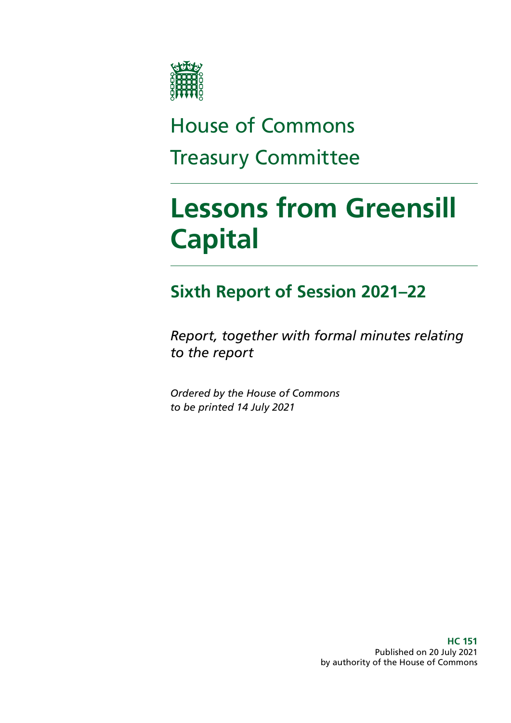

# House of Commons Treasury Committee

# **Lessons from Greensill Capital**

# **Sixth Report of Session 2021–22**

*Report, together with formal minutes relating to the report*

*Ordered by the House of Commons to be printed 14 July 2021*

> **HC 151** Published on 20 July 2021 by authority of the House of Commons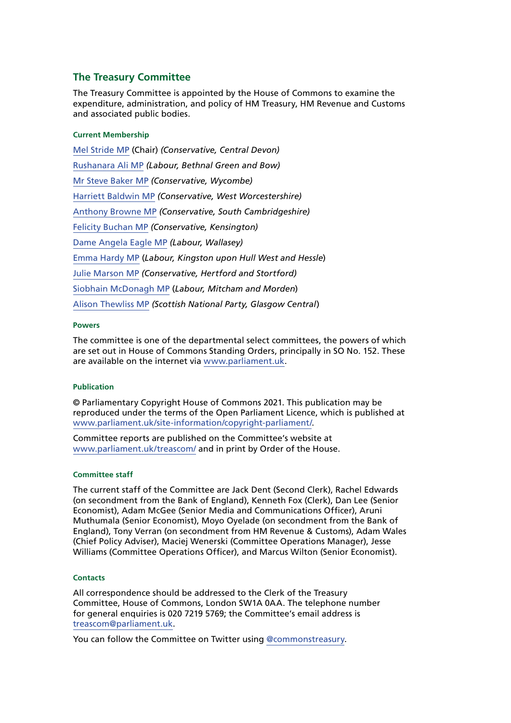#### **The Treasury Committee**

The Treasury Committee is appointed by the House of Commons to examine the expenditure, administration, and policy of HM Treasury, HM Revenue and Customs and associated public bodies.

#### **Current Membership**

[Mel Stride MP](https://members.parliament.uk/member/3935/contact) (Chair) *(Conservative, Central Devon)* [Rushanara Ali MP](https://members.parliament.uk/member/4138/contact) *(Labour, Bethnal Green and Bow)* [Mr Steve Baker MP](https://www.parliament.uk/biographies/commons/mr-steve-baker/4064) *(Conservative, Wycombe)* [Harriett Baldwin MP](https://members.parliament.uk/member/4107/contact) *(Conservative, West Worcestershire)* [Anthony Browne MP](https://members.parliament.uk/member/4801/contact) *(Conservative, South Cambridgeshire)* [Felicity Buchan MP](https://members.parliament.uk/member/4821/contact) *(Conservative, Kensington)* [Dame Angela Eagle MP](https://members.parliament.uk/member/491/contact) *(Labour, Wallasey)* [Emma Hardy MP](https://members.parliament.uk/member/4645/contact) (*Labour, Kingston upon Hull West and Hessle*) [Julie Marson MP](https://members.parliament.uk/member/4768/contact) *(Conservative, Hertford and Stortford)* [Siobhain McDonagh MP](https://members.parliament.uk/member/193/contact) (*Labour, Mitcham and Morden*) [Alison Thewliss MP](https://www.parliament.uk/biographies/commons/alison-thewliss/4430) *(Scottish National Party, Glasgow Central*)

#### **Powers**

The committee is one of the departmental select committees, the powers of which are set out in House of Commons Standing Orders, principally in SO No. 152. These are available on the internet via [www.parliament.uk.](http://www.parliament.uk)

#### **Publication**

© Parliamentary Copyright House of Commons 2021. This publication may be reproduced under the terms of the Open Parliament Licence, which is published at [www.parliament.uk/site-information/copyright-parliament/](http://www.parliament.uk/site-information/copyright-parliament/).

Committee reports are published on the Committee's website at [www.parliament.uk/treascom/](https://committees.parliament.uk/committee/158/treasury-committee/) and in print by Order of the House.

#### **Committee staff**

The current staff of the Committee are Jack Dent (Second Clerk), Rachel Edwards (on secondment from the Bank of England), Kenneth Fox (Clerk), Dan Lee (Senior Economist), Adam McGee (Senior Media and Communications Officer), Aruni Muthumala (Senior Economist), Moyo Oyelade (on secondment from the Bank of England), Tony Verran (on secondment from HM Revenue & Customs), Adam Wales (Chief Policy Adviser), Maciej Wenerski (Committee Operations Manager), Jesse Williams (Committee Operations Officer), and Marcus Wilton (Senior Economist).

#### **Contacts**

All correspondence should be addressed to the Clerk of the Treasury Committee, House of Commons, London SW1A 0AA. The telephone number for general enquiries is 020 7219 5769; the Committee's email address is [treascom@parliament.uk](mailto:treascom%40parliament.uk?subject=).

You can follow the Committee on Twitter using [@commonstreasury](https://twitter.com/CommonsTreasury).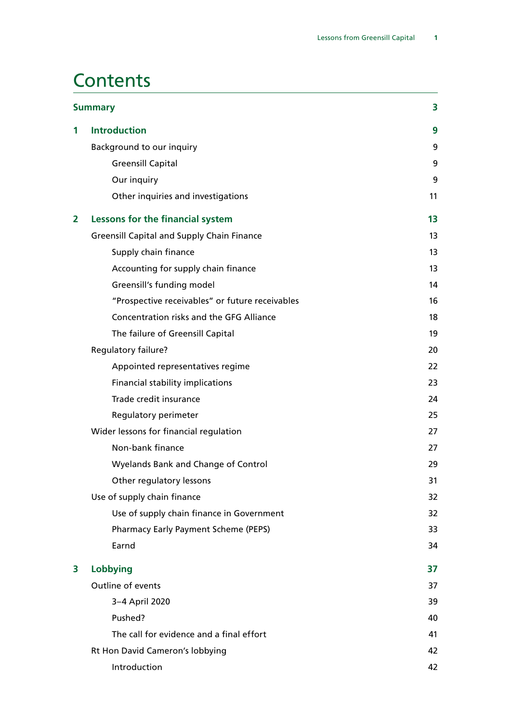# **Contents**

|                | <b>Summary</b>                                    | 3  |
|----------------|---------------------------------------------------|----|
| 1              | <b>Introduction</b>                               | 9  |
|                | Background to our inquiry                         | 9  |
|                | <b>Greensill Capital</b>                          | 9  |
|                | Our inquiry                                       | 9  |
|                | Other inquiries and investigations                | 11 |
| $\overline{2}$ | Lessons for the financial system                  | 13 |
|                | <b>Greensill Capital and Supply Chain Finance</b> | 13 |
|                | Supply chain finance                              | 13 |
|                | Accounting for supply chain finance               | 13 |
|                | Greensill's funding model                         | 14 |
|                | "Prospective receivables" or future receivables   | 16 |
|                | Concentration risks and the GFG Alliance          | 18 |
|                | The failure of Greensill Capital                  | 19 |
|                | Regulatory failure?                               | 20 |
|                | Appointed representatives regime                  | 22 |
|                | <b>Financial stability implications</b>           | 23 |
|                | Trade credit insurance                            | 24 |
|                | Regulatory perimeter                              | 25 |
|                | Wider lessons for financial regulation            | 27 |
|                | Non-bank finance                                  | 27 |
|                | <b>Wyelands Bank and Change of Control</b>        | 29 |
|                | Other regulatory lessons                          | 31 |
|                | Use of supply chain finance                       | 32 |
|                | Use of supply chain finance in Government         | 32 |
|                | Pharmacy Early Payment Scheme (PEPS)              | 33 |
|                | Earnd                                             | 34 |
| 3              | Lobbying                                          | 37 |
|                | Outline of events                                 | 37 |
|                | 3-4 April 2020                                    | 39 |
|                | Pushed?                                           | 40 |
|                | The call for evidence and a final effort          | 41 |
|                | Rt Hon David Cameron's lobbying                   | 42 |
|                | Introduction                                      | 42 |
|                |                                                   |    |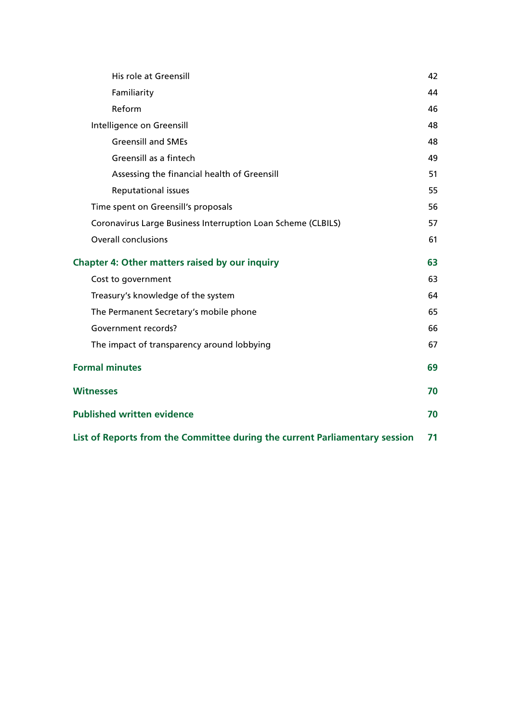| His role at Greensill                                                       | 42 |
|-----------------------------------------------------------------------------|----|
| Familiarity                                                                 | 44 |
| Reform                                                                      | 46 |
| Intelligence on Greensill                                                   | 48 |
| <b>Greensill and SMEs</b>                                                   | 48 |
| Greensill as a fintech                                                      | 49 |
| Assessing the financial health of Greensill                                 | 51 |
| Reputational issues                                                         | 55 |
| Time spent on Greensill's proposals                                         | 56 |
| Coronavirus Large Business Interruption Loan Scheme (CLBILS)                | 57 |
| <b>Overall conclusions</b>                                                  | 61 |
| <b>Chapter 4: Other matters raised by our inquiry</b>                       |    |
| Cost to government                                                          | 63 |
| Treasury's knowledge of the system                                          | 64 |
| The Permanent Secretary's mobile phone                                      | 65 |
| Government records?                                                         | 66 |
| The impact of transparency around lobbying                                  | 67 |
| <b>Formal minutes</b>                                                       | 69 |
| <b>Witnesses</b>                                                            | 70 |
| <b>Published written evidence</b>                                           | 70 |
| List of Reports from the Committee during the current Parliamentary session | 71 |
|                                                                             |    |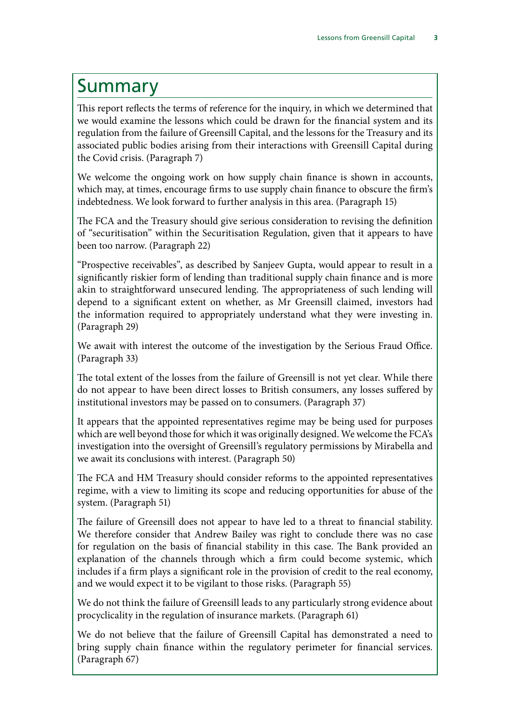# <span id="page-4-0"></span>Summary

This report reflects the terms of reference for the inquiry, in which we determined that we would examine the lessons which could be drawn for the financial system and its regulation from the failure of Greensill Capital, and the lessons for the Treasury and its associated public bodies arising from their interactions with Greensill Capital during the Covid crisis. (Paragraph 7)

We welcome the ongoing work on how supply chain finance is shown in accounts, which may, at times, encourage firms to use supply chain finance to obscure the firm's indebtedness. We look forward to further analysis in this area. (Paragraph 15)

The FCA and the Treasury should give serious consideration to revising the definition of "securitisation" within the Securitisation Regulation, given that it appears to have been too narrow. (Paragraph 22)

"Prospective receivables", as described by Sanjeev Gupta, would appear to result in a significantly riskier form of lending than traditional supply chain finance and is more akin to straightforward unsecured lending. The appropriateness of such lending will depend to a significant extent on whether, as Mr Greensill claimed, investors had the information required to appropriately understand what they were investing in. (Paragraph 29)

We await with interest the outcome of the investigation by the Serious Fraud Office. (Paragraph 33)

The total extent of the losses from the failure of Greensill is not yet clear. While there do not appear to have been direct losses to British consumers, any losses suffered by institutional investors may be passed on to consumers. (Paragraph 37)

It appears that the appointed representatives regime may be being used for purposes which are well beyond those for which it was originally designed. We welcome the FCA's investigation into the oversight of Greensill's regulatory permissions by Mirabella and we await its conclusions with interest. (Paragraph 50)

The FCA and HM Treasury should consider reforms to the appointed representatives regime, with a view to limiting its scope and reducing opportunities for abuse of the system. (Paragraph 51)

The failure of Greensill does not appear to have led to a threat to financial stability. We therefore consider that Andrew Bailey was right to conclude there was no case for regulation on the basis of financial stability in this case. The Bank provided an explanation of the channels through which a firm could become systemic, which includes if a firm plays a significant role in the provision of credit to the real economy, and we would expect it to be vigilant to those risks. (Paragraph 55)

We do not think the failure of Greensill leads to any particularly strong evidence about procyclicality in the regulation of insurance markets. (Paragraph 61)

We do not believe that the failure of Greensill Capital has demonstrated a need to bring supply chain finance within the regulatory perimeter for financial services. (Paragraph 67)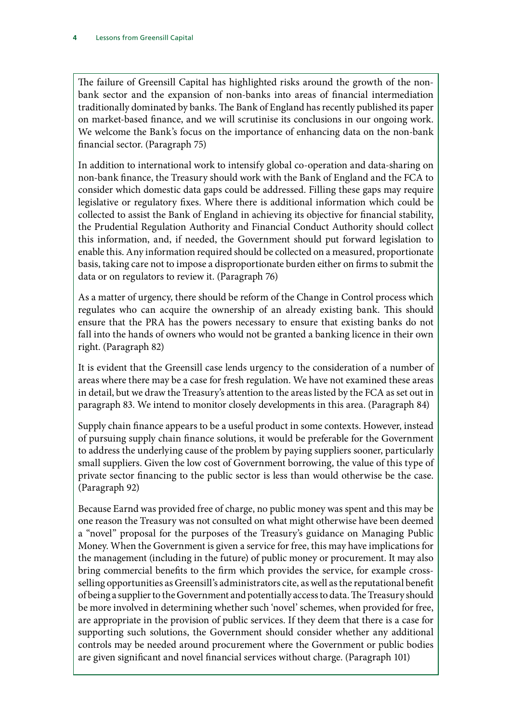The failure of Greensill Capital has highlighted risks around the growth of the nonbank sector and the expansion of non-banks into areas of financial intermediation traditionally dominated by banks. The Bank of England has recently published its paper on market-based finance, and we will scrutinise its conclusions in our ongoing work. We welcome the Bank's focus on the importance of enhancing data on the non-bank financial sector. (Paragraph 75)

In addition to international work to intensify global co-operation and data-sharing on non-bank finance, the Treasury should work with the Bank of England and the FCA to consider which domestic data gaps could be addressed. Filling these gaps may require legislative or regulatory fixes. Where there is additional information which could be collected to assist the Bank of England in achieving its objective for financial stability, the Prudential Regulation Authority and Financial Conduct Authority should collect this information, and, if needed, the Government should put forward legislation to enable this. Any information required should be collected on a measured, proportionate basis, taking care not to impose a disproportionate burden either on firms to submit the data or on regulators to review it. (Paragraph 76)

As a matter of urgency, there should be reform of the Change in Control process which regulates who can acquire the ownership of an already existing bank. This should ensure that the PRA has the powers necessary to ensure that existing banks do not fall into the hands of owners who would not be granted a banking licence in their own right. (Paragraph 82)

It is evident that the Greensill case lends urgency to the consideration of a number of areas where there may be a case for fresh regulation. We have not examined these areas in detail, but we draw the Treasury's attention to the areas listed by the FCA as set out in paragraph 83. We intend to monitor closely developments in this area. (Paragraph 84)

Supply chain finance appears to be a useful product in some contexts. However, instead of pursuing supply chain finance solutions, it would be preferable for the Government to address the underlying cause of the problem by paying suppliers sooner, particularly small suppliers. Given the low cost of Government borrowing, the value of this type of private sector financing to the public sector is less than would otherwise be the case. (Paragraph 92)

Because Earnd was provided free of charge, no public money was spent and this may be one reason the Treasury was not consulted on what might otherwise have been deemed a "novel" proposal for the purposes of the Treasury's guidance on Managing Public Money. When the Government is given a service for free, this may have implications for the management (including in the future) of public money or procurement. It may also bring commercial benefits to the firm which provides the service, for example crossselling opportunities as Greensill's administrators cite, as well as the reputational benefit of being a supplier to the Government and potentially access to data. The Treasury should be more involved in determining whether such 'novel' schemes, when provided for free, are appropriate in the provision of public services. If they deem that there is a case for supporting such solutions, the Government should consider whether any additional controls may be needed around procurement where the Government or public bodies are given significant and novel financial services without charge. (Paragraph 101)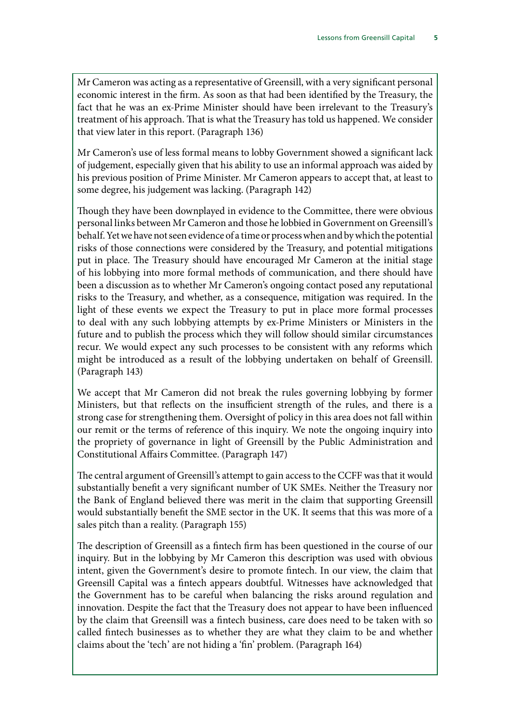Mr Cameron was acting as a representative of Greensill, with a very significant personal economic interest in the firm. As soon as that had been identified by the Treasury, the fact that he was an ex-Prime Minister should have been irrelevant to the Treasury's treatment of his approach. That is what the Treasury has told us happened. We consider that view later in this report. (Paragraph 136)

Mr Cameron's use of less formal means to lobby Government showed a significant lack of judgement, especially given that his ability to use an informal approach was aided by his previous position of Prime Minister. Mr Cameron appears to accept that, at least to some degree, his judgement was lacking. (Paragraph 142)

Though they have been downplayed in evidence to the Committee, there were obvious personal links between Mr Cameron and those he lobbied in Government on Greensill's behalf. Yet we have not seen evidence of a time or process when and by which the potential risks of those connections were considered by the Treasury, and potential mitigations put in place. The Treasury should have encouraged Mr Cameron at the initial stage of his lobbying into more formal methods of communication, and there should have been a discussion as to whether Mr Cameron's ongoing contact posed any reputational risks to the Treasury, and whether, as a consequence, mitigation was required. In the light of these events we expect the Treasury to put in place more formal processes to deal with any such lobbying attempts by ex-Prime Ministers or Ministers in the future and to publish the process which they will follow should similar circumstances recur. We would expect any such processes to be consistent with any reforms which might be introduced as a result of the lobbying undertaken on behalf of Greensill. (Paragraph 143)

We accept that Mr Cameron did not break the rules governing lobbying by former Ministers, but that reflects on the insufficient strength of the rules, and there is a strong case for strengthening them. Oversight of policy in this area does not fall within our remit or the terms of reference of this inquiry. We note the ongoing inquiry into the propriety of governance in light of Greensill by the Public Administration and Constitutional Affairs Committee. (Paragraph 147)

The central argument of Greensill's attempt to gain access to the CCFF was that it would substantially benefit a very significant number of UK SMEs. Neither the Treasury nor the Bank of England believed there was merit in the claim that supporting Greensill would substantially benefit the SME sector in the UK. It seems that this was more of a sales pitch than a reality. (Paragraph 155)

The description of Greensill as a fintech firm has been questioned in the course of our inquiry. But in the lobbying by Mr Cameron this description was used with obvious intent, given the Government's desire to promote fintech. In our view, the claim that Greensill Capital was a fintech appears doubtful. Witnesses have acknowledged that the Government has to be careful when balancing the risks around regulation and innovation. Despite the fact that the Treasury does not appear to have been influenced by the claim that Greensill was a fintech business, care does need to be taken with so called fintech businesses as to whether they are what they claim to be and whether claims about the 'tech' are not hiding a 'fin' problem. (Paragraph 164)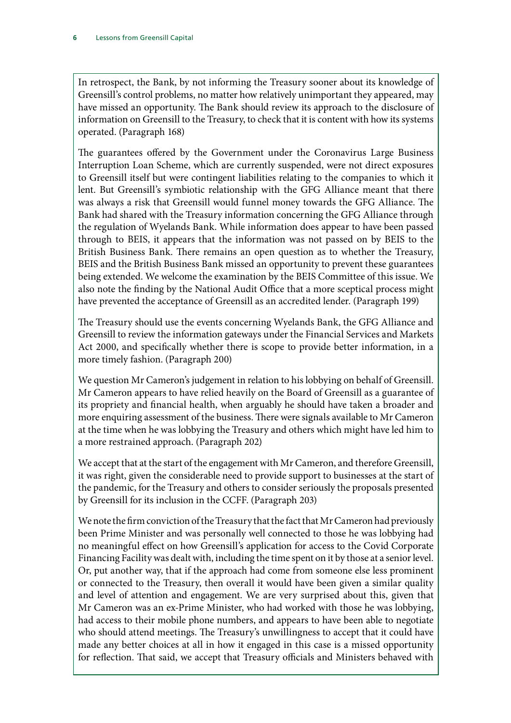In retrospect, the Bank, by not informing the Treasury sooner about its knowledge of Greensill's control problems, no matter how relatively unimportant they appeared, may have missed an opportunity. The Bank should review its approach to the disclosure of information on Greensill to the Treasury, to check that it is content with how its systems operated. (Paragraph 168)

The guarantees offered by the Government under the Coronavirus Large Business Interruption Loan Scheme, which are currently suspended, were not direct exposures to Greensill itself but were contingent liabilities relating to the companies to which it lent. But Greensill's symbiotic relationship with the GFG Alliance meant that there was always a risk that Greensill would funnel money towards the GFG Alliance. The Bank had shared with the Treasury information concerning the GFG Alliance through the regulation of Wyelands Bank. While information does appear to have been passed through to BEIS, it appears that the information was not passed on by BEIS to the British Business Bank. There remains an open question as to whether the Treasury, BEIS and the British Business Bank missed an opportunity to prevent these guarantees being extended. We welcome the examination by the BEIS Committee of this issue. We also note the finding by the National Audit Office that a more sceptical process might have prevented the acceptance of Greensill as an accredited lender. (Paragraph 199)

The Treasury should use the events concerning Wyelands Bank, the GFG Alliance and Greensill to review the information gateways under the Financial Services and Markets Act 2000, and specifically whether there is scope to provide better information, in a more timely fashion. (Paragraph 200)

We question Mr Cameron's judgement in relation to his lobbying on behalf of Greensill. Mr Cameron appears to have relied heavily on the Board of Greensill as a guarantee of its propriety and financial health, when arguably he should have taken a broader and more enquiring assessment of the business. There were signals available to Mr Cameron at the time when he was lobbying the Treasury and others which might have led him to a more restrained approach. (Paragraph 202)

We accept that at the start of the engagement with Mr Cameron, and therefore Greensill, it was right, given the considerable need to provide support to businesses at the start of the pandemic, for the Treasury and others to consider seriously the proposals presented by Greensill for its inclusion in the CCFF. (Paragraph 203)

We note the firm conviction of the Treasury that the fact that Mr Cameron had previously been Prime Minister and was personally well connected to those he was lobbying had no meaningful effect on how Greensill's application for access to the Covid Corporate Financing Facility was dealt with, including the time spent on it by those at a senior level. Or, put another way, that if the approach had come from someone else less prominent or connected to the Treasury, then overall it would have been given a similar quality and level of attention and engagement. We are very surprised about this, given that Mr Cameron was an ex-Prime Minister, who had worked with those he was lobbying, had access to their mobile phone numbers, and appears to have been able to negotiate who should attend meetings. The Treasury's unwillingness to accept that it could have made any better choices at all in how it engaged in this case is a missed opportunity for reflection. That said, we accept that Treasury officials and Ministers behaved with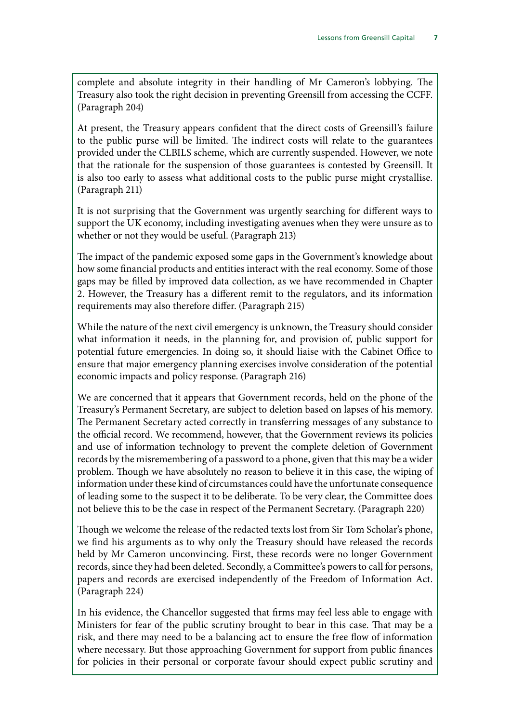complete and absolute integrity in their handling of Mr Cameron's lobbying. The Treasury also took the right decision in preventing Greensill from accessing the CCFF. (Paragraph 204)

At present, the Treasury appears confident that the direct costs of Greensill's failure to the public purse will be limited. The indirect costs will relate to the guarantees provided under the CLBILS scheme, which are currently suspended. However, we note that the rationale for the suspension of those guarantees is contested by Greensill. It is also too early to assess what additional costs to the public purse might crystallise. (Paragraph 211)

It is not surprising that the Government was urgently searching for different ways to support the UK economy, including investigating avenues when they were unsure as to whether or not they would be useful. (Paragraph 213)

The impact of the pandemic exposed some gaps in the Government's knowledge about how some financial products and entities interact with the real economy. Some of those gaps may be filled by improved data collection, as we have recommended in Chapter 2. However, the Treasury has a different remit to the regulators, and its information requirements may also therefore differ. (Paragraph 215)

While the nature of the next civil emergency is unknown, the Treasury should consider what information it needs, in the planning for, and provision of, public support for potential future emergencies. In doing so, it should liaise with the Cabinet Office to ensure that major emergency planning exercises involve consideration of the potential economic impacts and policy response. (Paragraph 216)

We are concerned that it appears that Government records, held on the phone of the Treasury's Permanent Secretary, are subject to deletion based on lapses of his memory. The Permanent Secretary acted correctly in transferring messages of any substance to the official record. We recommend, however, that the Government reviews its policies and use of information technology to prevent the complete deletion of Government records by the misremembering of a password to a phone, given that this may be a wider problem. Though we have absolutely no reason to believe it in this case, the wiping of information under these kind of circumstances could have the unfortunate consequence of leading some to the suspect it to be deliberate. To be very clear, the Committee does not believe this to be the case in respect of the Permanent Secretary. (Paragraph 220)

Though we welcome the release of the redacted texts lost from Sir Tom Scholar's phone, we find his arguments as to why only the Treasury should have released the records held by Mr Cameron unconvincing. First, these records were no longer Government records, since they had been deleted. Secondly, a Committee's powers to call for persons, papers and records are exercised independently of the Freedom of Information Act. (Paragraph 224)

In his evidence, the Chancellor suggested that firms may feel less able to engage with Ministers for fear of the public scrutiny brought to bear in this case. That may be a risk, and there may need to be a balancing act to ensure the free flow of information where necessary. But those approaching Government for support from public finances for policies in their personal or corporate favour should expect public scrutiny and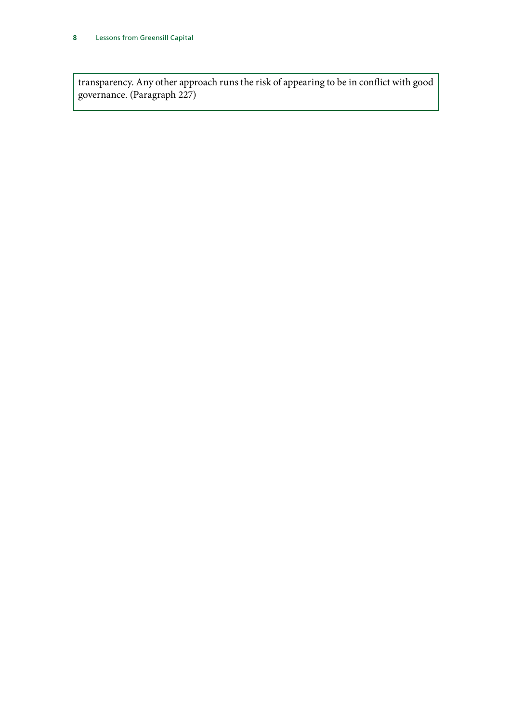transparency. Any other approach runs the risk of appearing to be in conflict with good governance. (Paragraph 227)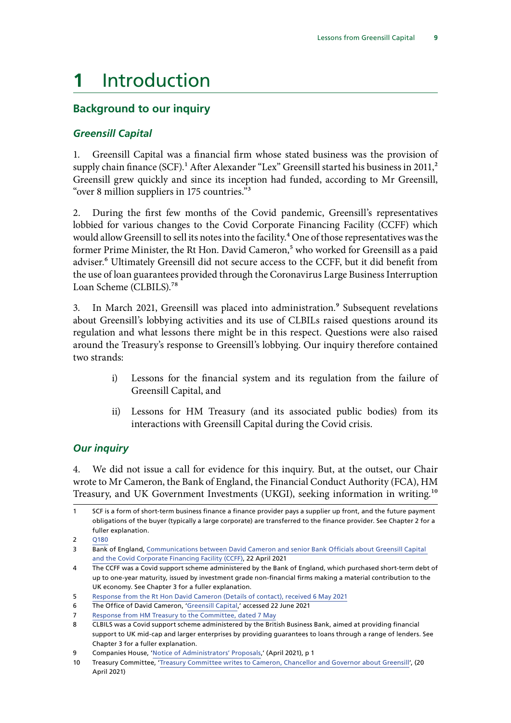# <span id="page-10-0"></span>**1** Introduction

# **Background to our inquiry**

### *Greensill Capital*

1. Greensill Capital was a financial firm whose stated business was the provision of supply chain finance (SCF).<sup>1</sup> After Alexander "Lex" Greensill started his business in 2011,<sup>2</sup> Greensill grew quickly and since its inception had funded, according to Mr Greensill, "over 8 million suppliers in 175 countries."3

2. During the first few months of the Covid pandemic, Greensill's representatives lobbied for various changes to the Covid Corporate Financing Facility (CCFF) which would allow Greensill to sell its notes into the facility.<sup>4</sup> One of those representatives was the former Prime Minister, the Rt Hon. David Cameron,<sup>5</sup> who worked for Greensill as a paid adviser.<sup>6</sup> Ultimately Greensill did not secure access to the CCFF, but it did benefit from the use of loan guarantees provided through the Coronavirus Large Business Interruption Loan Scheme (CLBILS).<sup>78</sup>

3. In March 2021, Greensill was placed into administration.<sup>9</sup> Subsequent revelations about Greensill's lobbying activities and its use of CLBILs raised questions around its regulation and what lessons there might be in this respect. Questions were also raised around the Treasury's response to Greensill's lobbying. Our inquiry therefore contained two strands:

- i) Lessons for the financial system and its regulation from the failure of Greensill Capital, and
- ii) Lessons for HM Treasury (and its associated public bodies) from its interactions with Greensill Capital during the Covid crisis.

#### *Our inquiry*

4. We did not issue a call for evidence for this inquiry. But, at the outset, our Chair wrote to Mr Cameron, the Bank of England, the Financial Conduct Authority (FCA), HM Treasury, and UK Government Investments (UKGI), seeking information in writing.10

SCF is a form of short-term business finance a finance provider pays a supplier up front, and the future payment obligations of the buyer (typically a large corporate) are transferred to the finance provider. See Chapter 2 for a fuller explanation.

<sup>2</sup> [Q180](https://committees.parliament.uk/oralevidence/2149/pdf/)

**<sup>3</sup> Bank of England, [Communications between David Cameron and senior Bank Officials about Greensill Capital](https://www.bankofengland.co.uk/-/media/boe/files/freedom-of-information/2021/response-information.pdf?la=en&hash=46C7ACF152D47174EB8A48CB62F2A81CBCED3DFA)** [and the Covid Corporate Financing Facility \(CCFF\)](https://www.bankofengland.co.uk/-/media/boe/files/freedom-of-information/2021/response-information.pdf?la=en&hash=46C7ACF152D47174EB8A48CB62F2A81CBCED3DFA), 22 April 2021

<sup>4</sup> The CCFF was a Covid support scheme administered by the Bank of England, which purchased short-term debt of up to one-year maturity, issued by investment grade non-financial firms making a material contribution to the UK economy. See Chapter 3 for a fuller explanation.

<sup>5</sup> [Response from the Rt Hon David Cameron \(Details of contact\), received 6 May 2021](https://committees.parliament.uk/publications/5763/documents/66069/default/)

<sup>6</sup> The Office of David Cameron, ['Greensill Capital,](https://www.davidcameronoffice.org/greensill-capital/)' accessed 22 June 2021

<sup>7</sup> [Response from HM Treasury to the Committee, dated 7 May](https://committees.parliament.uk/publications/5758/documents/66074/default/)

<sup>8</sup> CLBILS was a Covid support scheme administered by the British Business Bank, aimed at providing financial support to UK mid-cap and larger enterprises by providing guarantees to loans through a range of lenders. See Chapter 3 for a fuller explanation.

<sup>9</sup> Companies House, '[Notice of Administrators' Proposals](https://find-and-update.company-information.service.gov.uk/company/08126173/filing-history),' (April 2021), p 1

<sup>10</sup> Treasury Committee, ['Treasury Committee writes to Cameron, Chancellor and Governor about Greensill](https://committees.parliament.uk/committee/158/treasury-committee/news/154645/treasury-committee-writes-to-cameron-chancellor-and-governor-about-greensill/)', (20 April 2021)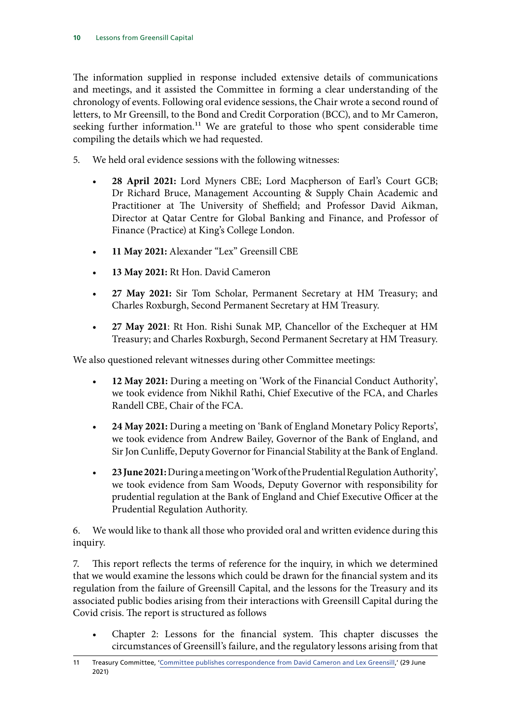The information supplied in response included extensive details of communications and meetings, and it assisted the Committee in forming a clear understanding of the chronology of events. Following oral evidence sessions, the Chair wrote a second round of letters, to Mr Greensill, to the Bond and Credit Corporation (BCC), and to Mr Cameron, seeking further information.<sup>11</sup> We are grateful to those who spent considerable time compiling the details which we had requested.

- 5. We held oral evidence sessions with the following witnesses:
	- **28 April 2021:** Lord Myners CBE; Lord Macpherson of Earl's Court GCB; Dr Richard Bruce, Management Accounting & Supply Chain Academic and Practitioner at The University of Sheffield; and Professor David Aikman, Director at Qatar Centre for Global Banking and Finance, and Professor of Finance (Practice) at King's College London.
	- **11 May 2021:** Alexander "Lex" Greensill CBE
	- **13 May 2021:** Rt Hon. David Cameron
	- **27 May 2021:** Sir Tom Scholar, Permanent Secretary at HM Treasury; and Charles Roxburgh, Second Permanent Secretary at HM Treasury.
	- **27 May 2021**: Rt Hon. Rishi Sunak MP, Chancellor of the Exchequer at HM Treasury; and Charles Roxburgh, Second Permanent Secretary at HM Treasury.

We also questioned relevant witnesses during other Committee meetings:

- **12 May 2021:** During a meeting on 'Work of the Financial Conduct Authority', we took evidence from Nikhil Rathi, Chief Executive of the FCA, and Charles Randell CBE, Chair of the FCA.
- **24 May 2021:** During a meeting on 'Bank of England Monetary Policy Reports', we took evidence from Andrew Bailey, Governor of the Bank of England, and Sir Jon Cunliffe, Deputy Governor for Financial Stability at the Bank of England.
- **23 June 2021:** During a meeting on 'Work of the Prudential Regulation Authority', we took evidence from Sam Woods, Deputy Governor with responsibility for prudential regulation at the Bank of England and Chief Executive Officer at the Prudential Regulation Authority.

6. We would like to thank all those who provided oral and written evidence during this inquiry.

7. This report reflects the terms of reference for the inquiry, in which we determined that we would examine the lessons which could be drawn for the financial system and its regulation from the failure of Greensill Capital, and the lessons for the Treasury and its associated public bodies arising from their interactions with Greensill Capital during the Covid crisis. The report is structured as follows

• Chapter 2: Lessons for the financial system. This chapter discusses the circumstances of Greensill's failure, and the regulatory lessons arising from that

<sup>11</sup> Treasury Committee, ['Committee publishes correspondence from David Cameron and Lex Greensill](https://committees.parliament.uk/committee/158/treasury-committee/news/156207/committee-publishes-correspondence-from-david-cameron-and-lex-greensill/),' (29 June 2021)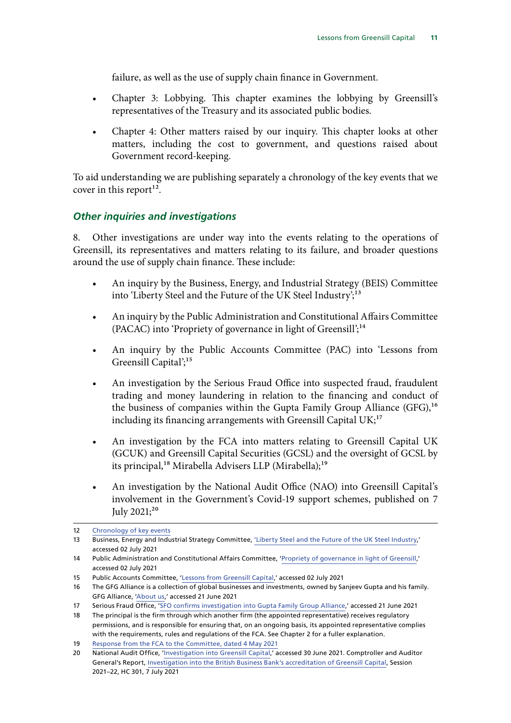failure, as well as the use of supply chain finance in Government.

- <span id="page-12-0"></span>• Chapter 3: Lobbying. This chapter examines the lobbying by Greensill's representatives of the Treasury and its associated public bodies.
- Chapter 4: Other matters raised by our inquiry. This chapter looks at other matters, including the cost to government, and questions raised about Government record-keeping.

To aid understanding we are publishing separately a chronology of the key events that we cover in this report<sup>12</sup>.

#### *Other inquiries and investigations*

8. Other investigations are under way into the events relating to the operations of Greensill, its representatives and matters relating to its failure, and broader questions around the use of supply chain finance. These include:

- An inquiry by the Business, Energy, and Industrial Strategy (BEIS) Committee into 'Liberty Steel and the Future of the UK Steel Industry';<sup>13</sup>
- An inquiry by the Public Administration and Constitutional Affairs Committee (PACAC) into 'Propriety of governance in light of Greensill';14
- An inquiry by the Public Accounts Committee (PAC) into 'Lessons from Greensill Capital';<sup>15</sup>
- An investigation by the Serious Fraud Office into suspected fraud, fraudulent trading and money laundering in relation to the financing and conduct of the business of companies within the Gupta Family Group Alliance (GFG),<sup>16</sup> including its financing arrangements with Greensill Capital  $UK;^{17}$
- An investigation by the FCA into matters relating to Greensill Capital UK (GCUK) and Greensill Capital Securities (GCSL) and the oversight of GCSL by its principal,<sup>18</sup> Mirabella Advisers LLP (Mirabella);<sup>19</sup>
- An investigation by the National Audit Office (NAO) into Greensill Capital's involvement in the Government's Covid-19 support schemes, published on 7 July 2021;<sup>20</sup>

<sup>12</sup> [Chronology of key events](https://committees.parliament.uk/writtenevidence/37921/pdf/)

<sup>13</sup> Business, Energy and Industrial Strategy Committee, ['Liberty Steel and the Future of the UK Steel Industry,](https://committees.parliament.uk/work/1215/liberty-steel-and-the-future-of-the-uk-steel-industry/)' accessed 02 July 2021

<sup>14</sup> Public Administration and Constitutional Affairs Committee, '[Propriety of governance in light of Greensill](https://committees.parliament.uk/work/1192/propriety-of-governance-in-light-of-greensill/),' accessed 02 July 2021

<sup>15</sup> Public Accounts Committee, '[Lessons from Greensill Capital](https://committees.parliament.uk/work/1173/lessons-from-greensill-capital/),' accessed 02 July 2021

<sup>16</sup> The GFG Alliance is a collection of global businesses and investments, owned by Sanjeev Gupta and his family. GFG Alliance, ['About us,](https://www.gfgalliance.com/about-us/)' accessed 21 June 2021

<sup>17</sup> Serious Fraud Office, '[SFO confirms investigation into Gupta Family Group Alliance](https://www.sfo.gov.uk/2021/05/14/sfo-confirms-investigation-into-gupta-family-group-alliance/),' accessed 21 June 2021

<sup>18</sup> The principal is the firm through which another firm (the appointed representative) receives regulatory permissions, and is responsible for ensuring that, on an ongoing basis, its appointed representative complies with the requirements, rules and regulations of the FCA. See Chapter 2 for a fuller explanation.

<sup>19</sup> [Response from the FCA to the Committee, dated 4 May 2021](https://committees.parliament.uk/publications/5761/documents/66071/default/)

<sup>20</sup> National Audit Office, '[Investigation into Greensill Capital,](https://www.nao.org.uk/work-in-progress/investigation-into-greensill-capital/)' accessed 30 June 2021. Comptroller and Auditor General's Report, [Investigation into the British Business Bank's accreditation of Greensill Capital](https://www.nao.org.uk/wp-content/uploads/2021/07/Investigation-into-the-British-Business-Banks-accreditation-of-Greensill-Capital.pdf), Session 2021–22, HC 301, 7 July 2021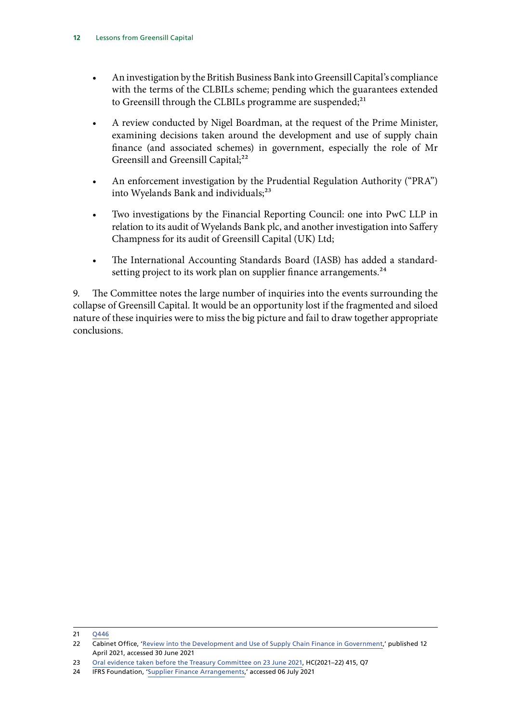- An investigation by the British Business Bank into Greensill Capital's compliance with the terms of the CLBILs scheme; pending which the guarantees extended to Greensill through the CLBILs programme are suspended;<sup>21</sup>
- A review conducted by Nigel Boardman, at the request of the Prime Minister, examining decisions taken around the development and use of supply chain finance (and associated schemes) in government, especially the role of Mr Greensill and Greensill Capital;<sup>22</sup>
- An enforcement investigation by the Prudential Regulation Authority ("PRA") into Wyelands Bank and individuals;<sup>23</sup>
- Two investigations by the Financial Reporting Council: one into PwC LLP in relation to its audit of Wyelands Bank plc, and another investigation into Saffery Champness for its audit of Greensill Capital (UK) Ltd;
- The International Accounting Standards Board (IASB) has added a standardsetting project to its work plan on supplier finance arrangements.<sup>24</sup>

9. The Committee notes the large number of inquiries into the events surrounding the collapse of Greensill Capital. It would be an opportunity lost if the fragmented and siloed nature of these inquiries were to miss the big picture and fail to draw together appropriate conclusions.

21 [Q446](https://committees.parliament.uk/oralevidence/2292/pdf/)

<sup>22</sup> Cabinet Office, ['Review into the Development and Use of Supply Chain Finance in Government](https://www.gov.uk/government/news/review-into-the-development-and-use-of-supply-chain-finance-in-government),' published 12 April 2021, accessed 30 June 2021

<sup>23</sup> [Oral evidence taken before the Treasury Committee on 23 June 2021](https://committees.parliament.uk/oralevidence/2433/pdf/), HC(2021–22) 415, Q7

<sup>24</sup> IFRS Foundation, 'Supplier Finance Arrangements,' accessed 06 July 2021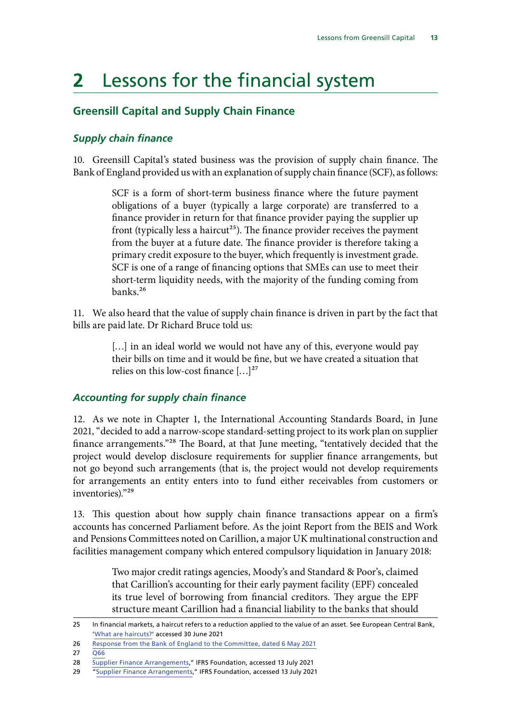# <span id="page-14-0"></span>**2** Lessons for the financial system

# **Greensill Capital and Supply Chain Finance**

### *Supply chain finance*

10. Greensill Capital's stated business was the provision of supply chain finance. The Bank of England provided us with an explanation of supply chain finance (SCF), as follows:

> SCF is a form of short-term business finance where the future payment obligations of a buyer (typically a large corporate) are transferred to a finance provider in return for that finance provider paying the supplier up front (typically less a haircut<sup>25</sup>). The finance provider receives the payment from the buyer at a future date. The finance provider is therefore taking a primary credit exposure to the buyer, which frequently is investment grade. SCF is one of a range of financing options that SMEs can use to meet their short-term liquidity needs, with the majority of the funding coming from banks.26

11. We also heard that the value of supply chain finance is driven in part by the fact that bills are paid late. Dr Richard Bruce told us:

> [...] in an ideal world we would not have any of this, everyone would pay their bills on time and it would be fine, but we have created a situation that relies on this low-cost finance  $[...]^{27}$

#### *Accounting for supply chain finance*

12. As we note in Chapter 1, the International Accounting Standards Board, in June 2021, "decided to add a narrow-scope standard-setting project to its work plan on supplier finance arrangements."28 The Board, at that June meeting, "tentatively decided that the project would develop disclosure requirements for supplier finance arrangements, but not go beyond such arrangements (that is, the project would not develop requirements for arrangements an entity enters into to fund either receivables from customers or inventories)."29

13. This question about how supply chain finance transactions appear on a firm's accounts has concerned Parliament before. As the joint Report from the BEIS and Work and Pensions Committees noted on Carillion, a major UK multinational construction and facilities management company which entered compulsory liquidation in January 2018:

> Two major credit ratings agencies, Moody's and Standard & Poor's, claimed that Carillion's accounting for their early payment facility (EPF) concealed its true level of borrowing from financial creditors. They argue the EPF structure meant Carillion had a financial liability to the banks that should

<sup>25</sup> In financial markets, a haircut refers to a reduction applied to the value of an asset. See European Central Bank, '[What are haircuts?](https://www.ecb.europa.eu/explainers/tell-me-more/html/haircuts.en.html)' accessed 30 June 2021

<sup>26</sup> [Response from the Bank of England to the Committee, dated 6 May 2021](https://committees.parliament.uk/publications/5759/documents/66073/default/)

<sup>27</sup> [Q66](https://committees.parliament.uk/oralevidence/2138/pdf/)

<sup>28</sup> Supplier Finance Arrangements," IFRS Foundation, accessed 13 July 2021

<sup>29</sup> "Supplier Finance Arrangements," IFRS Foundation, accessed 13 July 2021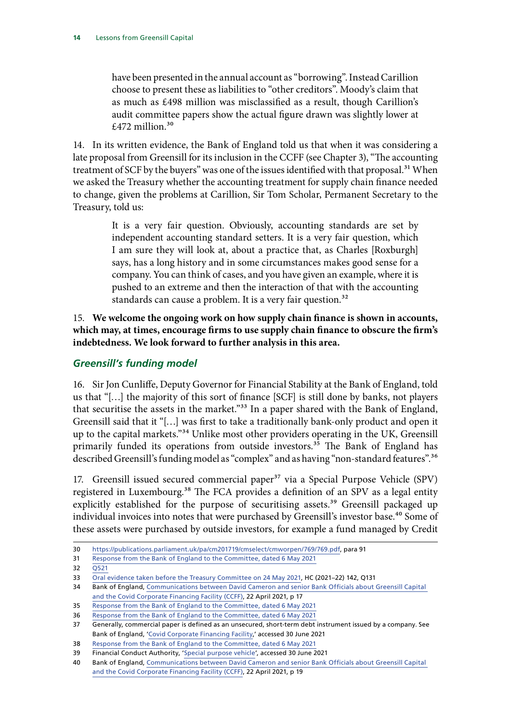<span id="page-15-0"></span>have been presented in the annual account as "borrowing". Instead Carillion choose to present these as liabilities to "other creditors". Moody's claim that as much as £498 million was misclassified as a result, though Carillion's audit committee papers show the actual figure drawn was slightly lower at £472 million. $30$ 

14. In its written evidence, the Bank of England told us that when it was considering a late proposal from Greensill for its inclusion in the CCFF (see Chapter 3), "The accounting treatment of SCF by the buyers" was one of the issues identified with that proposal.<sup>31</sup> When we asked the Treasury whether the accounting treatment for supply chain finance needed to change, given the problems at Carillion, Sir Tom Scholar, Permanent Secretary to the Treasury, told us:

> It is a very fair question. Obviously, accounting standards are set by independent accounting standard setters. It is a very fair question, which I am sure they will look at, about a practice that, as Charles [Roxburgh] says, has a long history and in some circumstances makes good sense for a company. You can think of cases, and you have given an example, where it is pushed to an extreme and then the interaction of that with the accounting standards can cause a problem. It is a very fair question.<sup>32</sup>

15. **We welcome the ongoing work on how supply chain finance is shown in accounts, which may, at times, encourage firms to use supply chain finance to obscure the firm's indebtedness. We look forward to further analysis in this area.**

### *Greensill's funding model*

16. Sir Jon Cunliffe, Deputy Governor for Financial Stability at the Bank of England, told us that "[…] the majority of this sort of finance [SCF] is still done by banks, not players that securitise the assets in the market."<sup>33</sup> In a paper shared with the Bank of England, Greensill said that it "[…] was first to take a traditionally bank-only product and open it up to the capital markets."<sup>34</sup> Unlike most other providers operating in the UK, Greensill primarily funded its operations from outside investors.<sup>35</sup> The Bank of England has described Greensill's funding model as "complex" and as having "non-standard features".<sup>36</sup>

17. Greensill issued secured commercial paper<sup>37</sup> via a Special Purpose Vehicle (SPV) registered in Luxembourg.<sup>38</sup> The FCA provides a definition of an SPV as a legal entity explicitly established for the purpose of securitising assets.<sup>39</sup> Greensill packaged up individual invoices into notes that were purchased by Greensill's investor base.<sup>40</sup> Some of these assets were purchased by outside investors, for example a fund managed by Credit

<sup>30</sup> <https://publications.parliament.uk/pa/cm201719/cmselect/cmworpen/769/769.pdf>, para 91

<sup>31</sup> [Response from the Bank of England to the Committee, dated 6 May 2021](https://committees.parliament.uk/publications/5759/documents/66073/default/)

<sup>32</sup> [Q521](https://committees.parliament.uk/oralevidence/2292/pdf/)

<sup>33</sup> [Oral evidence taken before the Treasury Committee on 24 May 2021,](https://committees.parliament.uk/oralevidence/2236/pdf/) HC (2021–22) 142, Q131

<sup>34</sup> Bank of England, [Communications between David Cameron and senior Bank Officials about Greensill Capital](https://www.bankofengland.co.uk/-/media/boe/files/freedom-of-information/2021/response-information.pdf?la=en&hash=46C7ACF152D47174EB8A48CB62F2A81CBCED3DFA)  [and the Covid Corporate Financing Facility \(CCFF\)](https://www.bankofengland.co.uk/-/media/boe/files/freedom-of-information/2021/response-information.pdf?la=en&hash=46C7ACF152D47174EB8A48CB62F2A81CBCED3DFA), 22 April 2021, p 17

<sup>35</sup> [Response from the Bank of England to the Committee, dated 6 May 2021](https://committees.parliament.uk/publications/5759/documents/66073/default/)

<sup>36</sup> [Response from the Bank of England to the Committee, dated 6 May 2021](https://committees.parliament.uk/publications/5759/documents/66073/default/)

<sup>37</sup> Generally, commercial paper is defined as an unsecured, short-term debt instrument issued by a company. See Bank of England, '[Covid Corporate Financing Facility](https://www.bankofengland.co.uk/markets/covid-corporate-financing-facility),' accessed 30 June 2021

<sup>38</sup> [Response from the Bank of England to the Committee, dated 6 May 2021](https://committees.parliament.uk/publications/5759/documents/66073/default/)

<sup>39</sup> Financial Conduct Authority, '[Special purpose vehicle'](https://www.handbook.fca.org.uk/handbook/glossary/G1113.html), accessed 30 June 2021

<sup>40</sup> Bank of England, [Communications between David Cameron and senior Bank Officials about Greensill Capital](https://www.bankofengland.co.uk/-/media/boe/files/freedom-of-information/2021/response-information.pdf?la=en&hash=46C7ACF152D47174EB8A48CB62F2A81CBCED3DFA)  [and the Covid Corporate Financing Facility \(CCFF\)](https://www.bankofengland.co.uk/-/media/boe/files/freedom-of-information/2021/response-information.pdf?la=en&hash=46C7ACF152D47174EB8A48CB62F2A81CBCED3DFA), 22 April 2021, p 19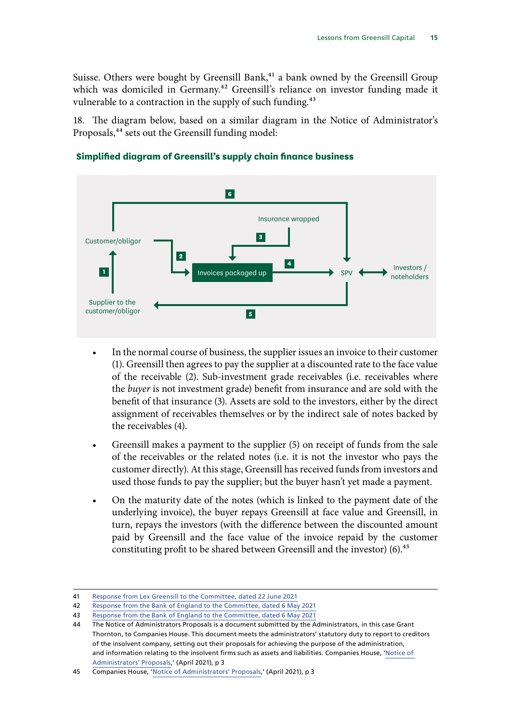Suisse. Others were bought by Greensill Bank,<sup>41</sup> a bank owned by the Greensill Group which was domiciled in Germany.<sup>42</sup> Greensill's reliance on investor funding made it vulnerable to a contraction in the supply of such funding.<sup>43</sup>

18. The diagram below, based on a similar diagram in the Notice of Administrator's Proposals,<sup>44</sup> sets out the Greensill funding model:



#### **Simplified diagram of Greensill's supply chain finance business**

- In the normal course of business, the supplier issues an invoice to their customer (1). Greensill then agrees to pay the supplier at a discounted rate to the face value of the receivable (2). Sub-investment grade receivables (i.e. receivables where the *buyer* is not investment grade) benefit from insurance and are sold with the benefit of that insurance (3). Assets are sold to the investors, either by the direct assignment of receivables themselves or by the indirect sale of notes backed by the receivables (4).
- Greensill makes a payment to the supplier (5) on receipt of funds from the sale of the receivables or the related notes (i.e. it is not the investor who pays the customer directly). At this stage, Greensill has received funds from investors and used those funds to pay the supplier; but the buyer hasn't yet made a payment.
- On the maturity date of the notes (which is linked to the payment date of the underlying invoice), the buyer repays Greensill at face value and Greensill, in turn, repays the investors (with the difference between the discounted amount paid by Greensill and the face value of the invoice repaid by the customer constituting profit to be shared between Greensill and the investor) (6).<sup>45</sup>

<sup>41</sup> [Response from Lex Greensill to the Committee, dated 22 June 2021](https://committees.parliament.uk/publications/6417/documents/70206/default/)

<sup>42</sup> [Response from the Bank of England to the Committee, dated 6 May 2021](https://committees.parliament.uk/publications/5759/documents/66073/default/)

<sup>43</sup> [Response from the Bank of England to the Committee, dated 6 May 2021](https://committees.parliament.uk/publications/5759/documents/66073/default/)

<sup>44</sup> The Notice of Administrators Proposals is a document submitted by the Administrators, in this case Grant Thornton, to Companies House. This document meets the administrators' statutory duty to report to creditors of the insolvent company, setting out their proposals for achieving the purpose of the administration, and information relating to the insolvent firms such as assets and liabilities. Companies House, '[Notice of](https://find-and-update.company-information.service.gov.uk/company/08126173/filing-history)  [Administrators' Proposals](https://find-and-update.company-information.service.gov.uk/company/08126173/filing-history),' (April 2021), p 3

<sup>45</sup> Companies House, '[Notice of Administrators' Proposals](https://find-and-update.company-information.service.gov.uk/company/08126173/filing-history),' (April 2021), p 3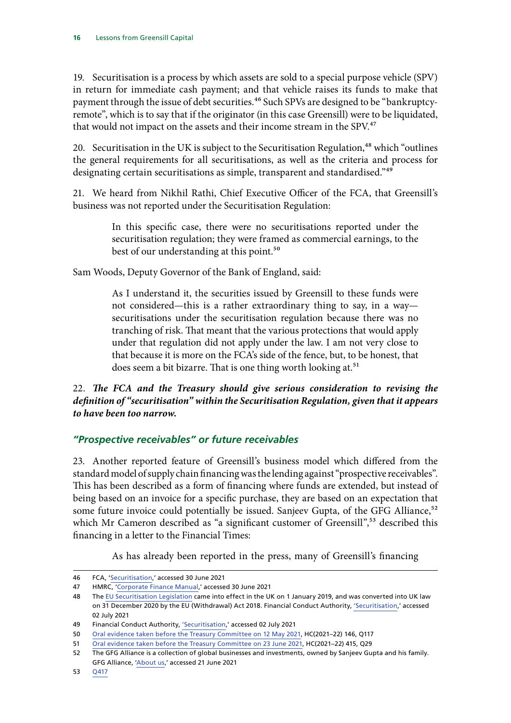<span id="page-17-0"></span>19. Securitisation is a process by which assets are sold to a special purpose vehicle (SPV) in return for immediate cash payment; and that vehicle raises its funds to make that payment through the issue of debt securities.<sup>46</sup> Such SPVs are designed to be "bankruptcyremote", which is to say that if the originator (in this case Greensill) were to be liquidated, that would not impact on the assets and their income stream in the SPV.<sup>47</sup>

20. Securitisation in the UK is subject to the Securitisation Regulation, $48$  which "outlines" the general requirements for all securitisations, as well as the criteria and process for designating certain securitisations as simple, transparent and standardised."<sup>49</sup>

21. We heard from Nikhil Rathi, Chief Executive Officer of the FCA, that Greensill's business was not reported under the Securitisation Regulation:

> In this specific case, there were no securitisations reported under the securitisation regulation; they were framed as commercial earnings, to the best of our understanding at this point.<sup>50</sup>

Sam Woods, Deputy Governor of the Bank of England, said:

As I understand it, the securities issued by Greensill to these funds were not considered—this is a rather extraordinary thing to say, in a way securitisations under the securitisation regulation because there was no tranching of risk. That meant that the various protections that would apply under that regulation did not apply under the law. I am not very close to that because it is more on the FCA's side of the fence, but, to be honest, that does seem a bit bizarre. That is one thing worth looking at.<sup>51</sup>

### 22. *The FCA and the Treasury should give serious consideration to revising the definition of "securitisation" within the Securitisation Regulation, given that it appears to have been too narrow.*

## *"Prospective receivables" or future receivables*

23. Another reported feature of Greensill's business model which differed from the standard model of supply chain financing was the lending against "prospective receivables". This has been described as a form of financing where funds are extended, but instead of being based on an invoice for a specific purchase, they are based on an expectation that some future invoice could potentially be issued. Sanjeev Gupta, of the GFG Alliance,<sup>52</sup> which Mr Cameron described as "a significant customer of Greensill",<sup>53</sup> described this financing in a letter to the Financial Times:

As has already been reported in the press, many of Greensill's financing

<sup>46</sup> FCA, '[Securitisation,' accessed 30 June 2021](https://www.handbook.fca.org.uk/handbook/glossary/G1331.html)

<sup>47</sup> HMRC, ['Corporate Finance Manual](https://www.gov.uk/hmrc-internal-manuals/corporate-finance-manual/cfm72030),' accessed 30 June 2021

<sup>48</sup> The [EU Securitisation Legislation](https://eur-lex.europa.eu/legal-content/EN/TXT/PDF/?uri=CELEX:32017R2402&from=en) came into effect in the UK on 1 January 2019, and was converted into UK law on 31 December 2020 by the EU (Withdrawal) Act 2018. Financial Conduct Authority, ['Securitisation](https://www.fca.org.uk/markets/securitisation),' accessed 02 July 2021

<sup>49</sup> Financial Conduct Authority, ['Securitisation](https://www.fca.org.uk/markets/securitisation),' accessed 02 July 2021

<sup>50</sup> [Oral evidence taken before the Treasury Committee on 12 May 2021,](https://committees.parliament.uk/oralevidence/2155/pdf/) HC(2021–22) 146, Q117

<sup>51</sup> [Oral evidence taken before the Treasury Committee on 23 June 2021](https://committees.parliament.uk/oralevidence/2433/pdf/), HC(2021–22) 415, Q29

<sup>52</sup> The GFG Alliance is a collection of global businesses and investments, owned by Sanjeev Gupta and his family. GFG Alliance, ['About us](https://www.gfgalliance.com/about-us/),' accessed 21 June 2021

<sup>53</sup> [Q417](https://committees.parliament.uk/oralevidence/2163/pdf/)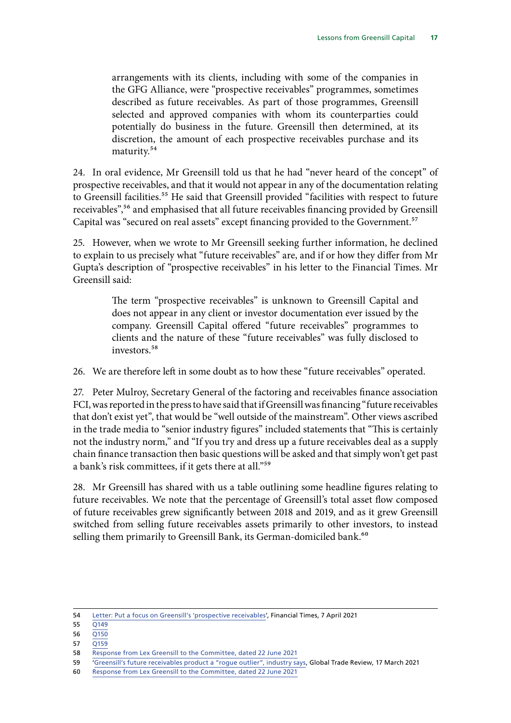arrangements with its clients, including with some of the companies in the GFG Alliance, were "prospective receivables" programmes, sometimes described as future receivables. As part of those programmes, Greensill selected and approved companies with whom its counterparties could potentially do business in the future. Greensill then determined, at its discretion, the amount of each prospective receivables purchase and its maturity.54

24. In oral evidence, Mr Greensill told us that he had "never heard of the concept" of prospective receivables, and that it would not appear in any of the documentation relating to Greensill facilities.<sup>55</sup> He said that Greensill provided "facilities with respect to future receivables",<sup>56</sup> and emphasised that all future receivables financing provided by Greensill Capital was "secured on real assets" except financing provided to the Government.<sup>57</sup>

25. However, when we wrote to Mr Greensill seeking further information, he declined to explain to us precisely what "future receivables" are, and if or how they differ from Mr Gupta's description of "prospective receivables" in his letter to the Financial Times. Mr Greensill said:

> The term "prospective receivables" is unknown to Greensill Capital and does not appear in any client or investor documentation ever issued by the company. Greensill Capital offered "future receivables" programmes to clients and the nature of these "future receivables" was fully disclosed to investors.<sup>58</sup>

26. We are therefore left in some doubt as to how these "future receivables" operated.

27. Peter Mulroy, Secretary General of the factoring and receivables finance association FCI, was reported in the press to have said that if Greensill was financing "future receivables that don't exist yet", that would be "well outside of the mainstream". Other views ascribed in the trade media to "senior industry figures" included statements that "This is certainly not the industry norm," and "If you try and dress up a future receivables deal as a supply chain finance transaction then basic questions will be asked and that simply won't get past a bank's risk committees, if it gets there at all."59

28. Mr Greensill has shared with us a table outlining some headline figures relating to future receivables. We note that the percentage of Greensill's total asset flow composed of future receivables grew significantly between 2018 and 2019, and as it grew Greensill switched from selling future receivables assets primarily to other investors, to instead selling them primarily to Greensill Bank, its German-domiciled bank.<sup>60</sup>

 $57 \overline{O159}$ 

<sup>54</sup> [Letter: Put a focus on Greensill's 'prospective receivables'](https://www.ft.com/content/afc3b6ef-7c00-4a1f-9ce3-718354d9e64d), Financial Times, 7 April 2021

<sup>55</sup> [Q149](https://committees.parliament.uk/oralevidence/2149/pdf/)

<sup>56</sup> [Q150](https://committees.parliament.uk/oralevidence/2149/pdf/)

<sup>58</sup> [Response from Lex Greensill to the Committee, dated 22 June 2021](https://committees.parliament.uk/publications/6417/documents/70206/default/)

<sup>59</sup> '[Greensill's future receivables product a "rogue outlier", industry says](https://www.gtreview.com/news/global/greensills-future-receivables-product-a-rogue-outlier-industry-says/), Global Trade Review, 17 March 2021

<sup>60</sup> [Response from Lex Greensill to the Committee, dated 22 June 2021](https://committees.parliament.uk/publications/6417/documents/70206/default/)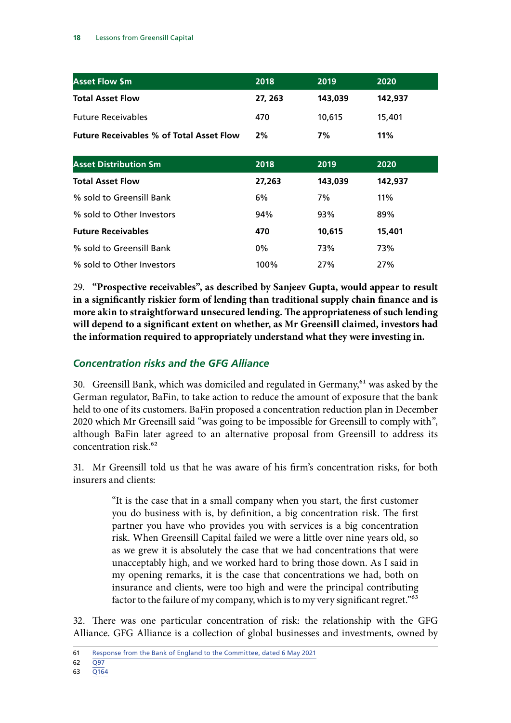<span id="page-19-0"></span>

| <b>Asset Flow \$m</b>                           | 2018    | 2019    | 2020    |
|-------------------------------------------------|---------|---------|---------|
| <b>Total Asset Flow</b>                         | 27, 263 | 143,039 | 142,937 |
| <b>Future Receivables</b>                       | 470     | 10.615  | 15.401  |
| <b>Future Receivables % of Total Asset Flow</b> | 2%      | 7%      | 11%     |

| <b>Asset Distribution \$m</b> | 2018   | 2019    | 2020    |
|-------------------------------|--------|---------|---------|
| <b>Total Asset Flow</b>       | 27,263 | 143,039 | 142,937 |
| % sold to Greensill Bank      | 6%     | 7%      | 11%     |
| % sold to Other Investors     | 94%    | 93%     | 89%     |
| <b>Future Receivables</b>     | 470    | 10,615  | 15,401  |
| % sold to Greensill Bank      | $0\%$  | 73%     | 73%     |
| % sold to Other Investors     | 100%   | 27%     | 27%     |

29. **"Prospective receivables", as described by Sanjeev Gupta, would appear to result in a significantly riskier form of lending than traditional supply chain finance and is more akin to straightforward unsecured lending. The appropriateness of such lending will depend to a significant extent on whether, as Mr Greensill claimed, investors had the information required to appropriately understand what they were investing in.**

#### *Concentration risks and the GFG Alliance*

30. Greensill Bank, which was domiciled and regulated in Germany,<sup>61</sup> was asked by the German regulator, BaFin, to take action to reduce the amount of exposure that the bank held to one of its customers. BaFin proposed a concentration reduction plan in December 2020 which Mr Greensill said "was going to be impossible for Greensill to comply with", although BaFin later agreed to an alternative proposal from Greensill to address its concentration risk.62

31. Mr Greensill told us that he was aware of his firm's concentration risks, for both insurers and clients:

> "It is the case that in a small company when you start, the first customer you do business with is, by definition, a big concentration risk. The first partner you have who provides you with services is a big concentration risk. When Greensill Capital failed we were a little over nine years old, so as we grew it is absolutely the case that we had concentrations that were unacceptably high, and we worked hard to bring those down. As I said in my opening remarks, it is the case that concentrations we had, both on insurance and clients, were too high and were the principal contributing factor to the failure of my company, which is to my very significant regret."63

32. There was one particular concentration of risk: the relationship with the GFG Alliance. GFG Alliance is a collection of global businesses and investments, owned by

<sup>61</sup> [Response from the Bank of England to the Committee, dated 6 May 2021](https://committees.parliament.uk/publications/5759/documents/66073/default/)

<sup>62</sup> [Q97](https://committees.parliament.uk/oralevidence/2149/pdf/)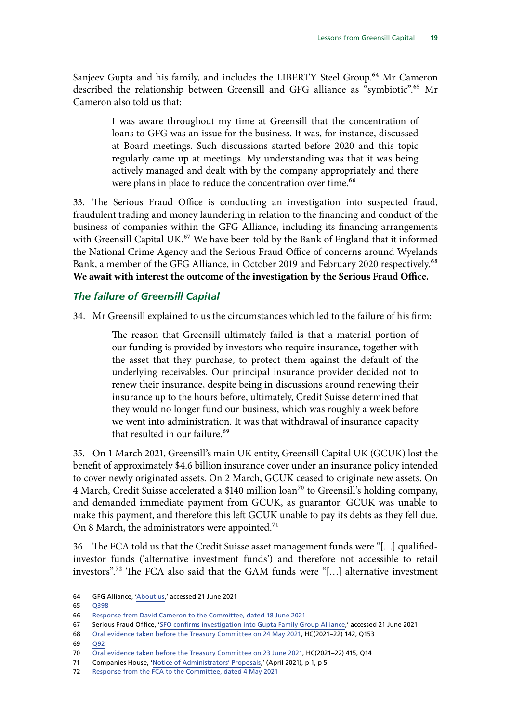<span id="page-20-0"></span>Sanjeev Gupta and his family, and includes the LIBERTY Steel Group.<sup>64</sup> Mr Cameron described the relationship between Greensill and GFG alliance as "symbiotic".<sup>65</sup> Mr Cameron also told us that:

> I was aware throughout my time at Greensill that the concentration of loans to GFG was an issue for the business. It was, for instance, discussed at Board meetings. Such discussions started before 2020 and this topic regularly came up at meetings. My understanding was that it was being actively managed and dealt with by the company appropriately and there were plans in place to reduce the concentration over time.<sup>66</sup>

33. The Serious Fraud Office is conducting an investigation into suspected fraud, fraudulent trading and money laundering in relation to the financing and conduct of the business of companies within the GFG Alliance, including its financing arrangements with Greensill Capital UK.<sup>67</sup> We have been told by the Bank of England that it informed the National Crime Agency and the Serious Fraud Office of concerns around Wyelands Bank, a member of the GFG Alliance, in October 2019 and February 2020 respectively.<sup>68</sup> **We await with interest the outcome of the investigation by the Serious Fraud Office.**

#### *The failure of Greensill Capital*

34. Mr Greensill explained to us the circumstances which led to the failure of his firm:

The reason that Greensill ultimately failed is that a material portion of our funding is provided by investors who require insurance, together with the asset that they purchase, to protect them against the default of the underlying receivables. Our principal insurance provider decided not to renew their insurance, despite being in discussions around renewing their insurance up to the hours before, ultimately, Credit Suisse determined that they would no longer fund our business, which was roughly a week before we went into administration. It was that withdrawal of insurance capacity that resulted in our failure.<sup>69</sup>

35. On 1 March 2021, Greensill's main UK entity, Greensill Capital UK (GCUK) lost the benefit of approximately \$4.6 billion insurance cover under an insurance policy intended to cover newly originated assets. On 2 March, GCUK ceased to originate new assets. On 4 March, Credit Suisse accelerated a \$140 million loan<sup>70</sup> to Greensill's holding company, and demanded immediate payment from GCUK, as guarantor. GCUK was unable to make this payment, and therefore this left GCUK unable to pay its debts as they fell due. On 8 March, the administrators were appointed.<sup>71</sup>

36. The FCA told us that the Credit Suisse asset management funds were "[…] qualifiedinvestor funds ('alternative investment funds') and therefore not accessible to retail investors".72 The FCA also said that the GAM funds were "[…] alternative investment

 $69 \overline{092}$ 

<sup>64</sup> GFG Alliance, ['About us,](https://www.gfgalliance.com/about-us/)' accessed 21 June 2021

<sup>65</sup> [Q398](https://committees.parliament.uk/oralevidence/2163/pdf/)

<sup>66</sup> [Response from David Cameron to the Committee, dated 18 June 2021](https://committees.parliament.uk/publications/6416/documents/70205/default/)

<sup>67</sup> Serious Fraud Office, '[SFO confirms investigation into Gupta Family Group Alliance](https://www.sfo.gov.uk/2021/05/14/sfo-confirms-investigation-into-gupta-family-group-alliance/),' accessed 21 June 2021

<sup>68</sup> [Oral evidence taken before the Treasury Committee on 24 May 2021,](https://committees.parliament.uk/oralevidence/2236/pdf/) HC(2021–22) 142, Q153

<sup>70</sup> [Oral evidence taken before the Treasury Committee on 23 June 2021](https://committees.parliament.uk/oralevidence/2433/pdf/), HC(2021–22) 415, Q14

<sup>71</sup> Companies House, '[Notice of Administrators' Proposals](https://find-and-update.company-information.service.gov.uk/company/08126173/filing-history),' (April 2021), p 1, p 5

<sup>72</sup> [Response from the FCA to the Committee, dated 4 May 2021](https://committees.parliament.uk/publications/5761/documents/66071/default/)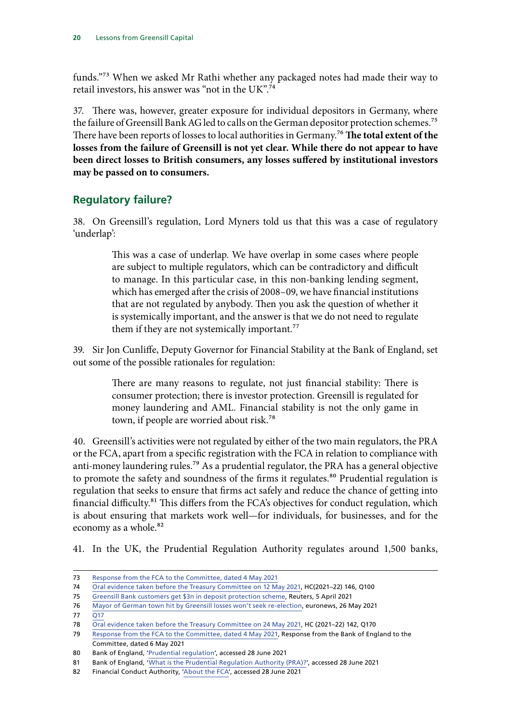<span id="page-21-0"></span>funds."73 When we asked Mr Rathi whether any packaged notes had made their way to retail investors, his answer was "not in the UK".74

37. There was, however, greater exposure for individual depositors in Germany, where the failure of Greensill Bank AG led to calls on the German depositor protection schemes.<sup>75</sup> There have been reports of losses to local authorities in Germany.76 **The total extent of the losses from the failure of Greensill is not yet clear. While there do not appear to have been direct losses to British consumers, any losses suffered by institutional investors may be passed on to consumers.**

## **Regulatory failure?**

38. On Greensill's regulation, Lord Myners told us that this was a case of regulatory 'underlap':

> This was a case of underlap. We have overlap in some cases where people are subject to multiple regulators, which can be contradictory and difficult to manage. In this particular case, in this non-banking lending segment, which has emerged after the crisis of 2008–09, we have financial institutions that are not regulated by anybody. Then you ask the question of whether it is systemically important, and the answer is that we do not need to regulate them if they are not systemically important.<sup>77</sup>

39. Sir Jon Cunliffe, Deputy Governor for Financial Stability at the Bank of England, set out some of the possible rationales for regulation:

> There are many reasons to regulate, not just financial stability: There is consumer protection; there is investor protection. Greensill is regulated for money laundering and AML. Financial stability is not the only game in town, if people are worried about risk.78

40. Greensill's activities were not regulated by either of the two main regulators, the PRA or the FCA, apart from a specific registration with the FCA in relation to compliance with anti-money laundering rules.79 As a prudential regulator, the PRA has a general objective to promote the safety and soundness of the firms it regulates.<sup>80</sup> Prudential regulation is regulation that seeks to ensure that firms act safely and reduce the chance of getting into financial difficulty.<sup>81</sup> This differs from the FCA's objectives for conduct regulation, which is about ensuring that markets work well—for individuals, for businesses, and for the economy as a whole.<sup>82</sup>

41. In the UK, the Prudential Regulation Authority regulates around 1,500 banks,

<sup>73</sup> [Response from the FCA to the Committee, dated 4 May 2021](https://committees.parliament.uk/publications/5761/documents/66071/default/)

<sup>74</sup> [Oral evidence taken before the Treasury Committee on 12 May 2021,](https://committees.parliament.uk/oralevidence/2155/pdf/) HC(2021–22) 146, Q100

<sup>75</sup> [Greensill Bank customers get \\$3n in deposit protection scheme](https://www.reuters.com/article/uk-britain-greensill-germany-idUSKBN2BS0I4), Reuters, 5 April 2021

<sup>76</sup> [Mayor of German town hit by Greensill losses won't seek re-election,](https://www.euronews.com/2021/05/26/uk-britain-greensill-germany) euronews, 26 May 2021

 $77 \overline{017}$ 

<sup>78</sup> [Oral evidence taken before the Treasury Committee on 24 May 2021,](https://committees.parliament.uk/oralevidence/2236/pdf/) HC (2021–22) 142, Q170

<sup>79</sup> [Response from the FCA to the Committee, dated 4 May 2021,](https://committees.parliament.uk/publications/5761/documents/66071/default/) Response from the Bank of England to the Committee, dated 6 May 2021

<sup>80</sup> Bank of England, '[Prudential regulation'](https://www.bankofengland.co.uk/prudential-regulation), accessed 28 June 2021

<sup>81</sup> Bank of England, '[What is the Prudential Regulation Authority \(PRA\)?](https://www.bankofengland.co.uk/knowledgebank/what-is-the-prudential-regulation-authority-pra)', accessed 28 June 2021

<sup>82</sup> Financial Conduct Authority, ['About the FCA'](https://www.fca.org.uk/about/the-fca), accessed 28 June 2021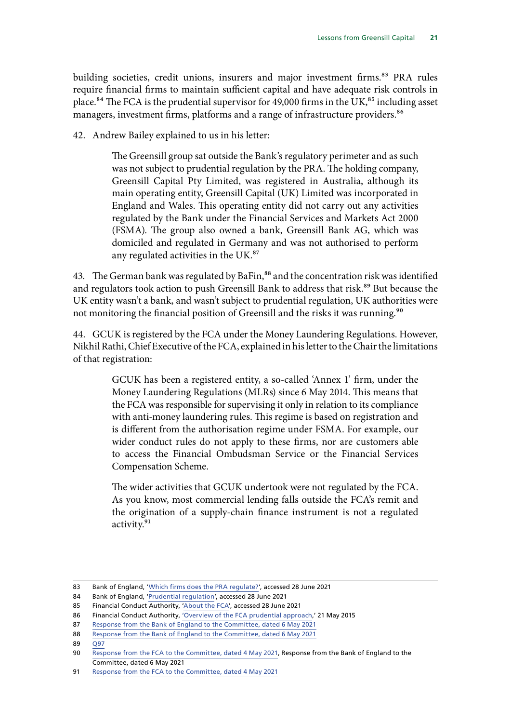building societies, credit unions, insurers and major investment firms.<sup>83</sup> PRA rules require financial firms to maintain sufficient capital and have adequate risk controls in place.<sup>84</sup> The FCA is the prudential supervisor for 49,000 firms in the UK, $85$  including asset managers, investment firms, platforms and a range of infrastructure providers.<sup>86</sup>

42. Andrew Bailey explained to us in his letter:

The Greensill group sat outside the Bank's regulatory perimeter and as such was not subject to prudential regulation by the PRA. The holding company, Greensill Capital Pty Limited, was registered in Australia, although its main operating entity, Greensill Capital (UK) Limited was incorporated in England and Wales. This operating entity did not carry out any activities regulated by the Bank under the Financial Services and Markets Act 2000 (FSMA). The group also owned a bank, Greensill Bank AG, which was domiciled and regulated in Germany and was not authorised to perform any regulated activities in the UK.<sup>87</sup>

43. The German bank was regulated by BaFin,<sup>88</sup> and the concentration risk was identified and regulators took action to push Greensill Bank to address that risk.<sup>89</sup> But because the UK entity wasn't a bank, and wasn't subject to prudential regulation, UK authorities were not monitoring the financial position of Greensill and the risks it was running.<sup>90</sup>

44. GCUK is registered by the FCA under the Money Laundering Regulations. However, Nikhil Rathi, Chief Executive of the FCA, explained in his letter to the Chair the limitations of that registration:

> GCUK has been a registered entity, a so-called 'Annex 1' firm, under the Money Laundering Regulations (MLRs) since 6 May 2014. This means that the FCA was responsible for supervising it only in relation to its compliance with anti-money laundering rules. This regime is based on registration and is different from the authorisation regime under FSMA. For example, our wider conduct rules do not apply to these firms, nor are customers able to access the Financial Ombudsman Service or the Financial Services Compensation Scheme.

> The wider activities that GCUK undertook were not regulated by the FCA. As you know, most commercial lending falls outside the FCA's remit and the origination of a supply-chain finance instrument is not a regulated activity.<sup>91</sup>

<sup>83</sup> Bank of England, '[Which firms does the PRA regulate?](https://www.bankofengland.co.uk/prudential-regulation/authorisations/which-firms-does-the-pra-regulate)', accessed 28 June 2021

<sup>84</sup> Bank of England, '[Prudential regulation'](https://www.bankofengland.co.uk/prudential-regulation), accessed 28 June 2021

<sup>85</sup> Financial Conduct Authority, ['About the FCA'](https://www.fca.org.uk/about/the-fca), accessed 28 June 2021

<sup>86</sup> Financial Conduct Authority, ['Overview of the FCA prudential approach,](https://www.fca.org.uk/news/speeches/overview-fca-prudential-approach)' 21 May 2015

<sup>87</sup> [Response from the Bank of England to the Committee, dated 6 May 2021](https://committees.parliament.uk/publications/5759/documents/66073/default/)

<sup>88</sup> [Response from the Bank of England to the Committee, dated 6 May 2021](https://committees.parliament.uk/publications/5759/documents/66073/default/)

<sup>89 097</sup> 

<sup>90</sup> [Response from the FCA to the Committee, dated 4 May 2021,](https://committees.parliament.uk/publications/5761/documents/66071/default/) Response from the Bank of England to the Committee, dated 6 May 2021

<sup>91</sup> [Response from the FCA to the Committee, dated 4 May 2021](https://committees.parliament.uk/publications/5761/documents/66071/default/)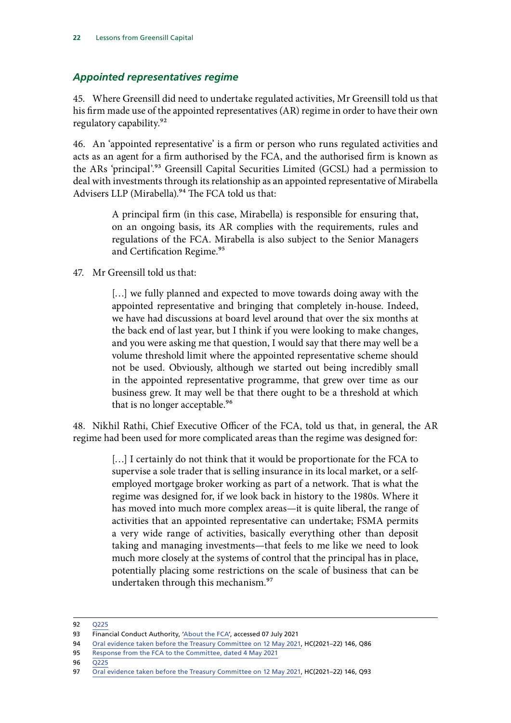#### <span id="page-23-0"></span>*Appointed representatives regime*

45. Where Greensill did need to undertake regulated activities, Mr Greensill told us that his firm made use of the appointed representatives (AR) regime in order to have their own regulatory capability.92

46. An 'appointed representative' is a firm or person who runs regulated activities and acts as an agent for a firm authorised by the FCA, and the authorised firm is known as the ARs 'principal'.<sup>93</sup> Greensill Capital Securities Limited (GCSL) had a permission to deal with investments through its relationship as an appointed representative of Mirabella Advisers LLP (Mirabella).<sup>94</sup> The FCA told us that:

> A principal firm (in this case, Mirabella) is responsible for ensuring that, on an ongoing basis, its AR complies with the requirements, rules and regulations of the FCA. Mirabella is also subject to the Senior Managers and Certification Regime.<sup>95</sup>

47. Mr Greensill told us that:

[...] we fully planned and expected to move towards doing away with the appointed representative and bringing that completely in-house. Indeed, we have had discussions at board level around that over the six months at the back end of last year, but I think if you were looking to make changes, and you were asking me that question, I would say that there may well be a volume threshold limit where the appointed representative scheme should not be used. Obviously, although we started out being incredibly small in the appointed representative programme, that grew over time as our business grew. It may well be that there ought to be a threshold at which that is no longer acceptable.<sup>96</sup>

48. Nikhil Rathi, Chief Executive Officer of the FCA, told us that, in general, the AR regime had been used for more complicated areas than the regime was designed for:

> [...] I certainly do not think that it would be proportionate for the FCA to supervise a sole trader that is selling insurance in its local market, or a selfemployed mortgage broker working as part of a network. That is what the regime was designed for, if we look back in history to the 1980s. Where it has moved into much more complex areas—it is quite liberal, the range of activities that an appointed representative can undertake; FSMA permits a very wide range of activities, basically everything other than deposit taking and managing investments—that feels to me like we need to look much more closely at the systems of control that the principal has in place, potentially placing some restrictions on the scale of business that can be undertaken through this mechanism.<sup>97</sup>

<sup>92</sup> [Q225](https://committees.parliament.uk/oralevidence/2149/pdf/)

<sup>93</sup> Financial Conduct Authority, ['About the FCA'](https://www.fca.org.uk/firms/appointed-representatives-principals), accessed 07 July 2021

<sup>94</sup> [Oral evidence taken before the Treasury Committee on 12 May 2021,](https://committees.parliament.uk/oralevidence/2155/pdf/) HC(2021-22) 146, Q86

<sup>95</sup> [Response from the FCA to the Committee, dated 4 May 2021](https://committees.parliament.uk/publications/5761/documents/66071/default/)

<sup>96</sup> [Q225](https://committees.parliament.uk/oralevidence/2149/pdf/)

<sup>97</sup> [Oral evidence taken before the Treasury Committee on 12 May 2021,](https://committees.parliament.uk/oralevidence/2155/pdf/) HC(2021–22) 146, Q93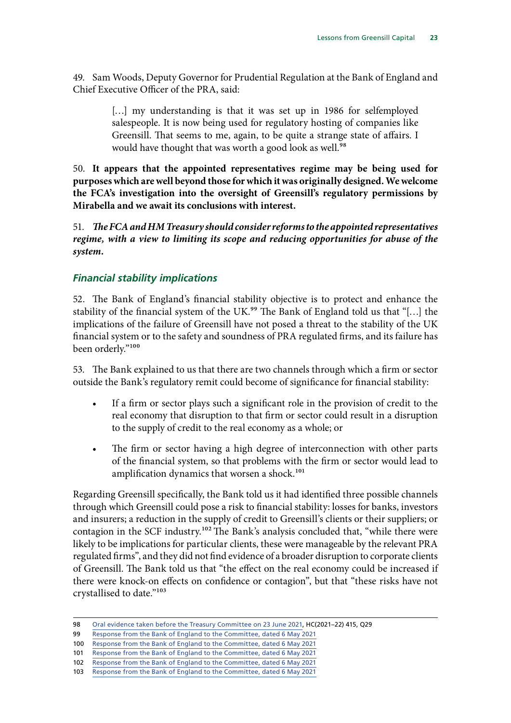<span id="page-24-0"></span>49. Sam Woods, Deputy Governor for Prudential Regulation at the Bank of England and Chief Executive Officer of the PRA, said:

> [...] my understanding is that it was set up in 1986 for selfemployed salespeople. It is now being used for regulatory hosting of companies like Greensill. That seems to me, again, to be quite a strange state of affairs. I would have thought that was worth a good look as well.<sup>98</sup>

50. **It appears that the appointed representatives regime may be being used for purposes which are well beyond those for which it was originally designed. We welcome the FCA's investigation into the oversight of Greensill's regulatory permissions by Mirabella and we await its conclusions with interest.**

51. *The FCA and HM Treasury should consider reforms to the appointed representatives regime, with a view to limiting its scope and reducing opportunities for abuse of the system.*

### *Financial stability implications*

52. The Bank of England's financial stability objective is to protect and enhance the stability of the financial system of the UK.<sup>99</sup> The Bank of England told us that "[...] the implications of the failure of Greensill have not posed a threat to the stability of the UK financial system or to the safety and soundness of PRA regulated firms, and its failure has been orderly."100

53. The Bank explained to us that there are two channels through which a firm or sector outside the Bank's regulatory remit could become of significance for financial stability:

- If a firm or sector plays such a significant role in the provision of credit to the real economy that disruption to that firm or sector could result in a disruption to the supply of credit to the real economy as a whole; or
- The firm or sector having a high degree of interconnection with other parts of the financial system, so that problems with the firm or sector would lead to amplification dynamics that worsen a shock.<sup>101</sup>

Regarding Greensill specifically, the Bank told us it had identified three possible channels through which Greensill could pose a risk to financial stability: losses for banks, investors and insurers; a reduction in the supply of credit to Greensill's clients or their suppliers; or contagion in the SCF industry.<sup>102</sup> The Bank's analysis concluded that, "while there were likely to be implications for particular clients, these were manageable by the relevant PRA regulated firms", and they did not find evidence of a broader disruption to corporate clients of Greensill. The Bank told us that "the effect on the real economy could be increased if there were knock-on effects on confidence or contagion", but that "these risks have not crystallised to date."103

<sup>98</sup> [Oral evidence taken before the Treasury Committee on 23 June 2021](https://committees.parliament.uk/oralevidence/2433/pdf/), HC(2021–22) 415, Q29

<sup>99</sup> [Response from the Bank of England to the Committee, dated 6 May 2021](https://committees.parliament.uk/publications/5759/documents/66073/default/)

<sup>100</sup> [Response from the Bank of England to the Committee, dated 6 May 2021](https://committees.parliament.uk/publications/5759/documents/66073/default/)

<sup>101</sup> [Response from the Bank of England to the Committee, dated 6 May 2021](https://committees.parliament.uk/publications/5759/documents/66073/default/)

<sup>102</sup> [Response from the Bank of England to the Committee, dated 6 May 2021](https://committees.parliament.uk/publications/5759/documents/66073/default/)

<sup>103</sup> [Response from the Bank of England to the Committee, dated 6 May 2021](https://committees.parliament.uk/publications/5759/documents/66073/default/)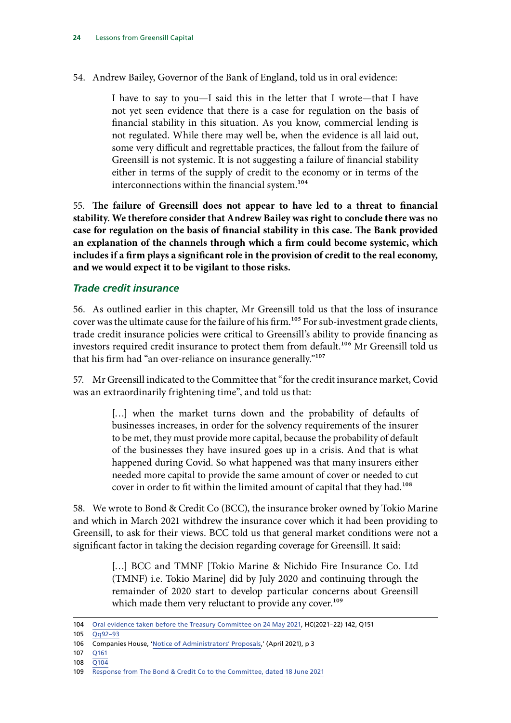<span id="page-25-0"></span>54. Andrew Bailey, Governor of the Bank of England, told us in oral evidence:

I have to say to you—I said this in the letter that I wrote—that I have not yet seen evidence that there is a case for regulation on the basis of financial stability in this situation. As you know, commercial lending is not regulated. While there may well be, when the evidence is all laid out, some very difficult and regrettable practices, the fallout from the failure of Greensill is not systemic. It is not suggesting a failure of financial stability either in terms of the supply of credit to the economy or in terms of the interconnections within the financial system.<sup>104</sup>

55. **The failure of Greensill does not appear to have led to a threat to financial stability. We therefore consider that Andrew Bailey was right to conclude there was no case for regulation on the basis of financial stability in this case. The Bank provided an explanation of the channels through which a firm could become systemic, which includes if a firm plays a significant role in the provision of credit to the real economy, and we would expect it to be vigilant to those risks.**

#### *Trade credit insurance*

56. As outlined earlier in this chapter, Mr Greensill told us that the loss of insurance cover was the ultimate cause for the failure of his firm.<sup>105</sup> For sub-investment grade clients, trade credit insurance policies were critical to Greensill's ability to provide financing as investors required credit insurance to protect them from default.<sup>106</sup> Mr Greensill told us that his firm had "an over-reliance on insurance generally."107

57. Mr Greensill indicated to the Committee that "for the credit insurance market, Covid was an extraordinarily frightening time", and told us that:

> [...] when the market turns down and the probability of defaults of businesses increases, in order for the solvency requirements of the insurer to be met, they must provide more capital, because the probability of default of the businesses they have insured goes up in a crisis. And that is what happened during Covid. So what happened was that many insurers either needed more capital to provide the same amount of cover or needed to cut cover in order to fit within the limited amount of capital that they had.108

58. We wrote to Bond & Credit Co (BCC), the insurance broker owned by Tokio Marine and which in March 2021 withdrew the insurance cover which it had been providing to Greensill, to ask for their views. BCC told us that general market conditions were not a significant factor in taking the decision regarding coverage for Greensill. It said:

> [...] BCC and TMNF [Tokio Marine & Nichido Fire Insurance Co. Ltd (TMNF) i.e. Tokio Marine] did by July 2020 and continuing through the remainder of 2020 start to develop particular concerns about Greensill which made them very reluctant to provide any cover.<sup>109</sup>

105 [Qq92–93](https://committees.parliament.uk/oralevidence/2149/pdf/)

- 107 [Q161](https://committees.parliament.uk/oralevidence/2149/pdf/)
- 108 [Q104](https://committees.parliament.uk/oralevidence/2149/pdf/)

<sup>104</sup> [Oral evidence taken before the Treasury Committee on 24 May 2021,](https://committees.parliament.uk/oralevidence/2236/pdf/) HC(2021–22) 142, Q151

<sup>106</sup> Companies House, '[Notice of Administrators' Proposals](https://find-and-update.company-information.service.gov.uk/company/08126173/filing-history),' (April 2021), p 3

<sup>109</sup> [Response from The Bond & Credit Co to the Committee, dated 18 June 2021](https://committees.parliament.uk/publications/6418/documents/70209/default/)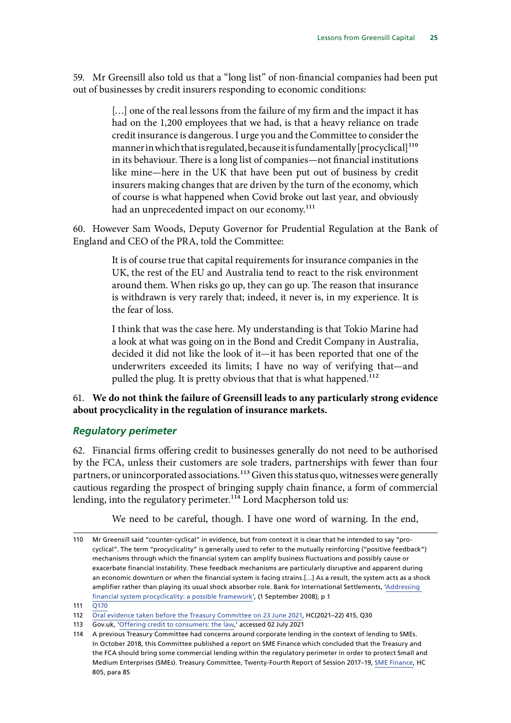<span id="page-26-0"></span>59. Mr Greensill also told us that a "long list" of non-financial companies had been put out of businesses by credit insurers responding to economic conditions:

> [...] one of the real lessons from the failure of my firm and the impact it has had on the 1,200 employees that we had, is that a heavy reliance on trade credit insurance is dangerous. I urge you and the Committee to consider the manner in which that is regulated, because it is fundamentally [procyclical] $110$ in its behaviour. There is a long list of companies—not financial institutions like mine—here in the UK that have been put out of business by credit insurers making changes that are driven by the turn of the economy, which of course is what happened when Covid broke out last year, and obviously had an unprecedented impact on our economy.<sup>111</sup>

60. However Sam Woods, Deputy Governor for Prudential Regulation at the Bank of England and CEO of the PRA, told the Committee:

> It is of course true that capital requirements for insurance companies in the UK, the rest of the EU and Australia tend to react to the risk environment around them. When risks go up, they can go up. The reason that insurance is withdrawn is very rarely that; indeed, it never is, in my experience. It is the fear of loss.

> I think that was the case here. My understanding is that Tokio Marine had a look at what was going on in the Bond and Credit Company in Australia, decided it did not like the look of it—it has been reported that one of the underwriters exceeded its limits; I have no way of verifying that—and pulled the plug. It is pretty obvious that that is what happened.<sup>112</sup>

#### 61. **We do not think the failure of Greensill leads to any particularly strong evidence about procyclicality in the regulation of insurance markets.**

#### *Regulatory perimeter*

62. Financial firms offering credit to businesses generally do not need to be authorised by the FCA, unless their customers are sole traders, partnerships with fewer than four partners, or unincorporated associations.<sup>113</sup> Given this status quo, witnesses were generally cautious regarding the prospect of bringing supply chain finance, a form of commercial lending, into the regulatory perimeter.<sup>114</sup> Lord Macpherson told us:

We need to be careful, though. I have one word of warning. In the end,

<sup>110</sup> Mr Greensill said "counter-cyclical" in evidence, but from context it is clear that he intended to say "procyclical". The term "procyclicality" is generally used to refer to the mutually reinforcing ("positive feedback") mechanisms through which the financial system can amplify business fluctuations and possibly cause or exacerbate financial instability. These feedback mechanisms are particularly disruptive and apparent during an economic downturn or when the financial system is facing strains.[…] As a result, the system acts as a shock amplifier rather than playing its usual shock absorber role. Bank for International Settlements, '[Addressing](https://www.fsb.org/wp-content/uploads/r_0904e.pdf?page_moved=1)  [financial system procyclicality: a possible framework](https://www.fsb.org/wp-content/uploads/r_0904e.pdf?page_moved=1)', (1 September 2008), p 1

<sup>111</sup> [Q170](https://committees.parliament.uk/oralevidence/2149/pdf/)

<sup>112</sup> [Oral evidence taken before the Treasury Committee on 23 June 2021](https://committees.parliament.uk/oralevidence/2433/pdf/), HC(2021–22) 415, Q30

<sup>113</sup> Gov.uk, '[Offering credit to consumers: the law,](https://www.gov.uk/offering-credit-consumers-law)' accessed 02 July 2021

<sup>114</sup> A previous Treasury Committee had concerns around corporate lending in the context of lending to SMEs. In October 2018, this Committee published a report on SME Finance which concluded that the Treasury and the FCA should bring some commercial lending within the regulatory perimeter in order to protect Small and Medium Enterprises (SMEs). Treasury Committee, Twenty-Fourth Report of Session 2017–19, [SME Finance](https://publications.parliament.uk/pa/cm201719/cmselect/cmtreasy/805/805.pdf), HC 805, para 85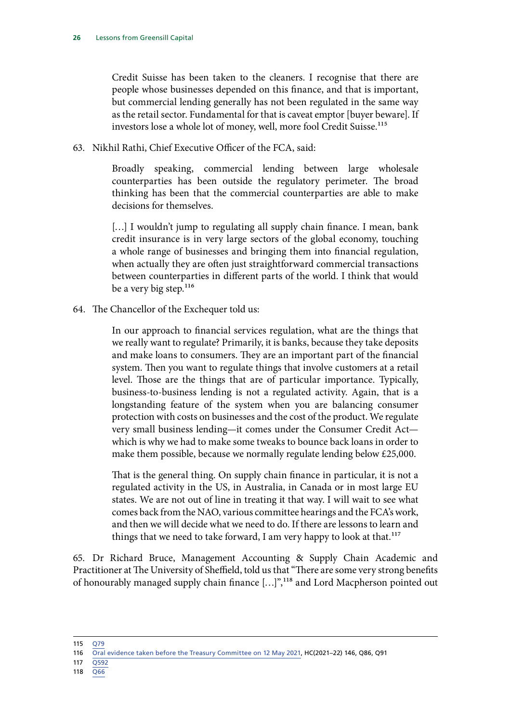Credit Suisse has been taken to the cleaners. I recognise that there are people whose businesses depended on this finance, and that is important, but commercial lending generally has not been regulated in the same way as the retail sector. Fundamental for that is caveat emptor [buyer beware]. If investors lose a whole lot of money, well, more fool Credit Suisse.<sup>115</sup>

63. Nikhil Rathi, Chief Executive Officer of the FCA, said:

Broadly speaking, commercial lending between large wholesale counterparties has been outside the regulatory perimeter. The broad thinking has been that the commercial counterparties are able to make decisions for themselves.

[...] I wouldn't jump to regulating all supply chain finance. I mean, bank credit insurance is in very large sectors of the global economy, touching a whole range of businesses and bringing them into financial regulation, when actually they are often just straightforward commercial transactions between counterparties in different parts of the world. I think that would be a very big step.<sup>116</sup>

64. The Chancellor of the Exchequer told us:

In our approach to financial services regulation, what are the things that we really want to regulate? Primarily, it is banks, because they take deposits and make loans to consumers. They are an important part of the financial system. Then you want to regulate things that involve customers at a retail level. Those are the things that are of particular importance. Typically, business-to-business lending is not a regulated activity. Again, that is a longstanding feature of the system when you are balancing consumer protection with costs on businesses and the cost of the product. We regulate very small business lending—it comes under the Consumer Credit Act which is why we had to make some tweaks to bounce back loans in order to make them possible, because we normally regulate lending below £25,000.

That is the general thing. On supply chain finance in particular, it is not a regulated activity in the US, in Australia, in Canada or in most large EU states. We are not out of line in treating it that way. I will wait to see what comes back from the NAO, various committee hearings and the FCA's work, and then we will decide what we need to do. If there are lessons to learn and things that we need to take forward, I am very happy to look at that.<sup>117</sup>

65. Dr Richard Bruce, Management Accounting & Supply Chain Academic and Practitioner at The University of Sheffield, told us that "There are some very strong benefits of honourably managed supply chain finance […]",118 and Lord Macpherson pointed out

115 [Q79](https://committees.parliament.uk/oralevidence/2138/pdf/)

- 117 [Q592](https://committees.parliament.uk/oralevidence/2293/pdf/)
- 118 [Q66](https://committees.parliament.uk/oralevidence/2138/pdf/)

<sup>116</sup> [Oral evidence taken before the Treasury Committee on 12 May 2021,](https://committees.parliament.uk/oralevidence/2155/pdf/) HC(2021–22) 146, Q86, Q91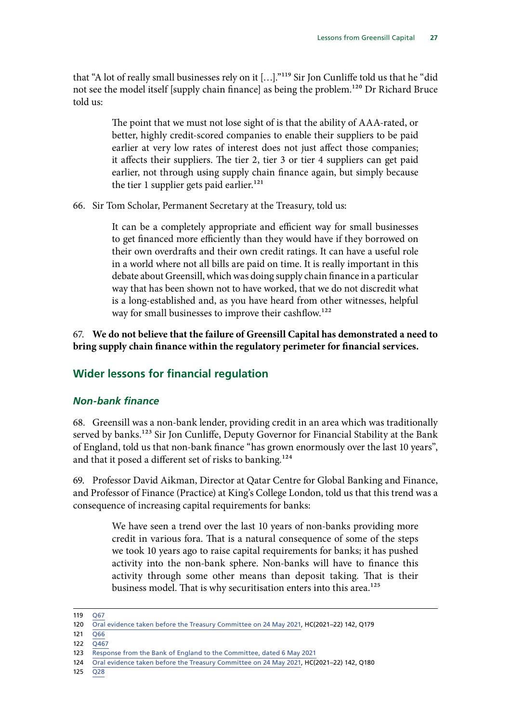<span id="page-28-0"></span>that "A lot of really small businesses rely on it [...]."<sup>119</sup> Sir Jon Cunliffe told us that he "did not see the model itself [supply chain finance] as being the problem.120 Dr Richard Bruce told us:

> The point that we must not lose sight of is that the ability of AAA-rated, or better, highly credit-scored companies to enable their suppliers to be paid earlier at very low rates of interest does not just affect those companies; it affects their suppliers. The tier 2, tier 3 or tier 4 suppliers can get paid earlier, not through using supply chain finance again, but simply because the tier 1 supplier gets paid earlier.<sup>121</sup>

66. Sir Tom Scholar, Permanent Secretary at the Treasury, told us:

It can be a completely appropriate and efficient way for small businesses to get financed more efficiently than they would have if they borrowed on their own overdrafts and their own credit ratings. It can have a useful role in a world where not all bills are paid on time. It is really important in this debate about Greensill, which was doing supply chain finance in a particular way that has been shown not to have worked, that we do not discredit what is a long-established and, as you have heard from other witnesses, helpful way for small businesses to improve their cashflow.<sup>122</sup>

67. **We do not believe that the failure of Greensill Capital has demonstrated a need to bring supply chain finance within the regulatory perimeter for financial services.**

# **Wider lessons for financial regulation**

#### *Non-bank finance*

68. Greensill was a non-bank lender, providing credit in an area which was traditionally served by banks.<sup>123</sup> Sir Jon Cunliffe, Deputy Governor for Financial Stability at the Bank of England, told us that non-bank finance "has grown enormously over the last 10 years", and that it posed a different set of risks to banking.<sup>124</sup>

69. Professor David Aikman, Director at Qatar Centre for Global Banking and Finance, and Professor of Finance (Practice) at King's College London, told us that this trend was a consequence of increasing capital requirements for banks:

> We have seen a trend over the last 10 years of non-banks providing more credit in various fora. That is a natural consequence of some of the steps we took 10 years ago to raise capital requirements for banks; it has pushed activity into the non-bank sphere. Non-banks will have to finance this activity through some other means than deposit taking. That is their business model. That is why securitisation enters into this area.<sup>125</sup>

125 [Q28](https://committees.parliament.uk/oralevidence/2138/pdf/)

<sup>119</sup> [Q67](https://committees.parliament.uk/oralevidence/2138/pdf/)

<sup>120</sup> [Oral evidence taken before the Treasury Committee on 24 May 2021,](https://committees.parliament.uk/oralevidence/2236/pdf/) HC(2021–22) 142, Q179

<sup>121</sup> [Q66](https://committees.parliament.uk/oralevidence/2138/pdf/)

 $122 \overline{0467}$ 

<sup>123</sup> [Response from the Bank of England to the Committee, dated 6 May 2021](https://committees.parliament.uk/publications/5759/documents/66073/default/)

<sup>124</sup> [Oral evidence taken before the Treasury Committee on 24 May 2021,](https://committees.parliament.uk/oralevidence/2236/pdf/) HC(2021–22) 142, Q180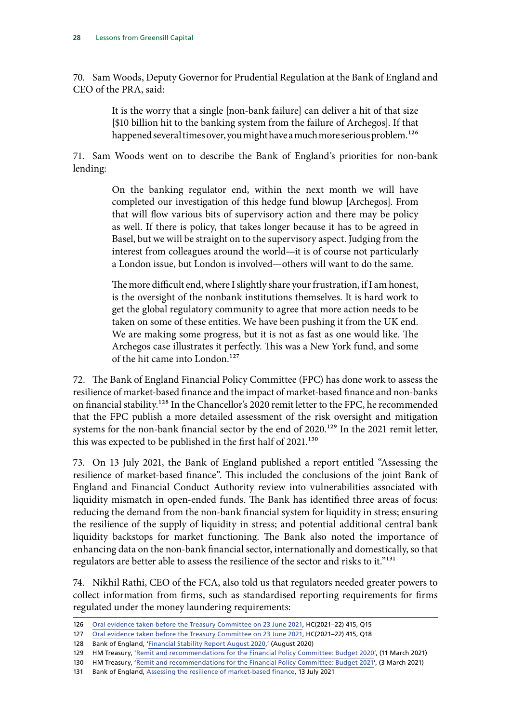70. Sam Woods, Deputy Governor for Prudential Regulation at the Bank of England and CEO of the PRA, said:

> It is the worry that a single [non-bank failure] can deliver a hit of that size [\$10 billion hit to the banking system from the failure of Archegos]. If that happened several times over, you might have a much more serious problem.<sup>126</sup>

71. Sam Woods went on to describe the Bank of England's priorities for non-bank lending:

> On the banking regulator end, within the next month we will have completed our investigation of this hedge fund blowup [Archegos]. From that will flow various bits of supervisory action and there may be policy as well. If there is policy, that takes longer because it has to be agreed in Basel, but we will be straight on to the supervisory aspect. Judging from the interest from colleagues around the world—it is of course not particularly a London issue, but London is involved—others will want to do the same.

> The more difficult end, where I slightly share your frustration, if I am honest, is the oversight of the nonbank institutions themselves. It is hard work to get the global regulatory community to agree that more action needs to be taken on some of these entities. We have been pushing it from the UK end. We are making some progress, but it is not as fast as one would like. The Archegos case illustrates it perfectly. This was a New York fund, and some of the hit came into London.<sup>127</sup>

72. The Bank of England Financial Policy Committee (FPC) has done work to assess the resilience of market-based finance and the impact of market-based finance and non-banks on financial stability.<sup>128</sup> In the Chancellor's 2020 remit letter to the FPC, he recommended that the FPC publish a more detailed assessment of the risk oversight and mitigation systems for the non-bank financial sector by the end of 2020.<sup>129</sup> In the 2021 remit letter, this was expected to be published in the first half of 2021.<sup>130</sup>

73. On 13 July 2021, the Bank of England published a report entitled "Assessing the resilience of market-based finance". This included the conclusions of the joint Bank of England and Financial Conduct Authority review into vulnerabilities associated with liquidity mismatch in open-ended funds. The Bank has identified three areas of focus: reducing the demand from the non-bank financial system for liquidity in stress; ensuring the resilience of the supply of liquidity in stress; and potential additional central bank liquidity backstops for market functioning. The Bank also noted the importance of enhancing data on the non-bank financial sector, internationally and domestically, so that regulators are better able to assess the resilience of the sector and risks to it."<sup>131</sup>

74. Nikhil Rathi, CEO of the FCA, also told us that regulators needed greater powers to collect information from firms, such as standardised reporting requirements for firms regulated under the money laundering requirements:

<sup>126</sup> [Oral evidence taken before the Treasury Committee on 23 June 2021](https://committees.parliament.uk/oralevidence/2433/pdf/), HC(2021–22) 415, Q15

<sup>127</sup> [Oral evidence taken before the Treasury Committee on 23 June 2021](https://committees.parliament.uk/oralevidence/2433/pdf/), HC(2021–22) 415, Q18

<sup>128</sup> Bank of England, '[Financial Stability Report August 2020](https://www.bankofengland.co.uk/-/media/boe/files/financial-stability-report/2020/august-2020.pdf),' (August 2020)

<sup>129</sup> HM Treasury, '[Remit and recommendations for the Financial Policy Committee: Budget 2020](https://www.gov.uk/government/publications/remit-and-recommendations-for-the-financial-policy-committee-budget-2020)', (11 March 2021)

<sup>130</sup> HM Treasury, '[Remit and recommendations for the Financial Policy Committee: Budget 2021'](https://www.gov.uk/government/publications/remit-and-recommendations-for-the-financial-policy-committee-budget-2021), (3 March 2021)

<sup>131</sup> Bank of England, [Assessing the resilience of market-based finance](https://www.bankofengland.co.uk/report/2021/assessing-the-resilience-of-market-based-finance), 13 July 2021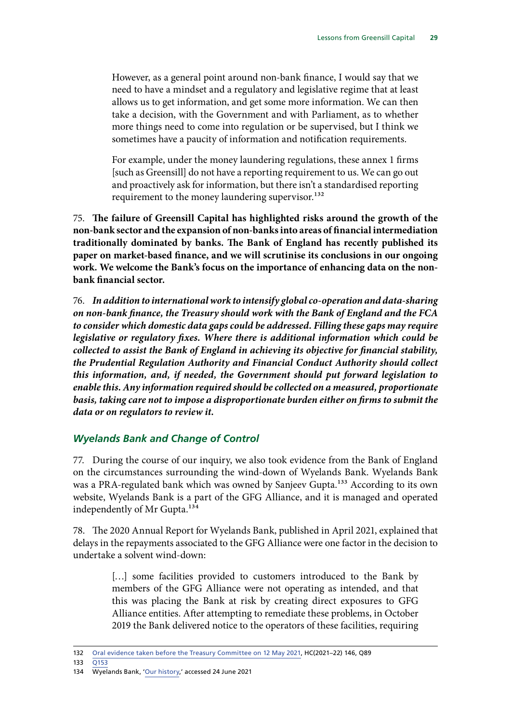<span id="page-30-0"></span>However, as a general point around non-bank finance, I would say that we need to have a mindset and a regulatory and legislative regime that at least allows us to get information, and get some more information. We can then take a decision, with the Government and with Parliament, as to whether more things need to come into regulation or be supervised, but I think we sometimes have a paucity of information and notification requirements.

For example, under the money laundering regulations, these annex 1 firms [such as Greensill] do not have a reporting requirement to us. We can go out and proactively ask for information, but there isn't a standardised reporting requirement to the money laundering supervisor.<sup>132</sup>

75. **The failure of Greensill Capital has highlighted risks around the growth of the non-bank sector and the expansion of non-banks into areas of financial intermediation traditionally dominated by banks. The Bank of England has recently published its paper on market-based finance, and we will scrutinise its conclusions in our ongoing work. We welcome the Bank's focus on the importance of enhancing data on the nonbank financial sector.**

76. *In addition to international work to intensify global co-operation and data-sharing on non-bank finance, the Treasury should work with the Bank of England and the FCA to consider which domestic data gaps could be addressed. Filling these gaps may require legislative or regulatory fixes. Where there is additional information which could be collected to assist the Bank of England in achieving its objective for financial stability, the Prudential Regulation Authority and Financial Conduct Authority should collect this information, and, if needed, the Government should put forward legislation to enable this. Any information required should be collected on a measured, proportionate basis, taking care not to impose a disproportionate burden either on firms to submit the data or on regulators to review it.*

#### *Wyelands Bank and Change of Control*

77. During the course of our inquiry, we also took evidence from the Bank of England on the circumstances surrounding the wind-down of Wyelands Bank. Wyelands Bank was a PRA-regulated bank which was owned by Sanjeev Gupta.<sup>133</sup> According to its own website, Wyelands Bank is a part of the GFG Alliance, and it is managed and operated independently of Mr Gupta.<sup>134</sup>

78. The 2020 Annual Report for Wyelands Bank, published in April 2021, explained that delays in the repayments associated to the GFG Alliance were one factor in the decision to undertake a solvent wind-down:

> [...] some facilities provided to customers introduced to the Bank by members of the GFG Alliance were not operating as intended, and that this was placing the Bank at risk by creating direct exposures to GFG Alliance entities. After attempting to remediate these problems, in October 2019 the Bank delivered notice to the operators of these facilities, requiring

<sup>132</sup> [Oral evidence taken before the Treasury Committee on 12 May 2021,](https://committees.parliament.uk/oralevidence/2155/pdf/) HC(2021–22) 146, Q89

<sup>133</sup> [Q153](https://committees.parliament.uk/oralevidence/2236/pdf/)

<sup>134</sup> Wyelands Bank, '[Our history](https://www.wyelandsbank.co.uk/about-us/our-history/),' accessed 24 June 2021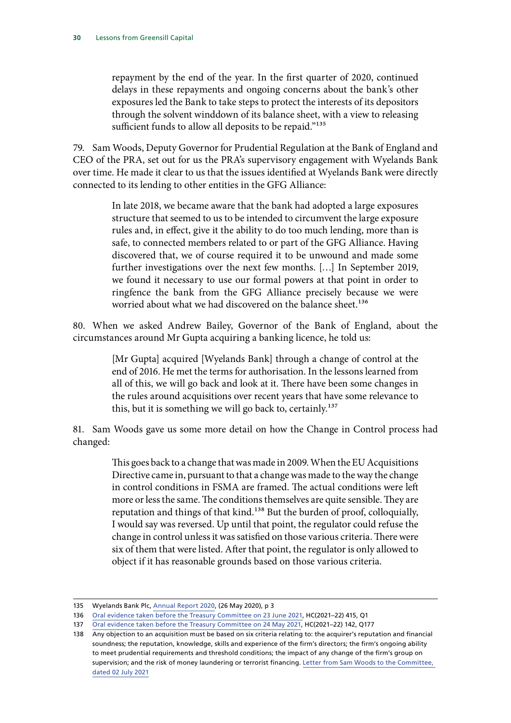repayment by the end of the year. In the first quarter of 2020, continued delays in these repayments and ongoing concerns about the bank's other exposures led the Bank to take steps to protect the interests of its depositors through the solvent winddown of its balance sheet, with a view to releasing sufficient funds to allow all deposits to be repaid."<sup>135</sup>

79. Sam Woods, Deputy Governor for Prudential Regulation at the Bank of England and CEO of the PRA, set out for us the PRA's supervisory engagement with Wyelands Bank over time. He made it clear to us that the issues identified at Wyelands Bank were directly connected to its lending to other entities in the GFG Alliance:

> In late 2018, we became aware that the bank had adopted a large exposures structure that seemed to us to be intended to circumvent the large exposure rules and, in effect, give it the ability to do too much lending, more than is safe, to connected members related to or part of the GFG Alliance. Having discovered that, we of course required it to be unwound and made some further investigations over the next few months. […] In September 2019, we found it necessary to use our formal powers at that point in order to ringfence the bank from the GFG Alliance precisely because we were worried about what we had discovered on the balance sheet.<sup>136</sup>

80. When we asked Andrew Bailey, Governor of the Bank of England, about the circumstances around Mr Gupta acquiring a banking licence, he told us:

> [Mr Gupta] acquired [Wyelands Bank] through a change of control at the end of 2016. He met the terms for authorisation. In the lessons learned from all of this, we will go back and look at it. There have been some changes in the rules around acquisitions over recent years that have some relevance to this, but it is something we will go back to, certainly.137

81. Sam Woods gave us some more detail on how the Change in Control process had changed:

> This goes back to a change that was made in 2009. When the EU Acquisitions Directive came in, pursuant to that a change was made to the way the change in control conditions in FSMA are framed. The actual conditions were left more or less the same. The conditions themselves are quite sensible. They are reputation and things of that kind.138 But the burden of proof, colloquially, I would say was reversed. Up until that point, the regulator could refuse the change in control unless it was satisfied on those various criteria. There were six of them that were listed. After that point, the regulator is only allowed to object if it has reasonable grounds based on those various criteria.

<sup>135</sup> Wyelands Bank Plc, [Annual Report 2020](https://www.wyelandsbank.co.uk/media/1257/statutory-accounts-2020-wyelands-bank_signed.pdf), (26 May 2020), p 3

<sup>136</sup> [Oral evidence taken before the Treasury Committee on 23 June 2021](https://committees.parliament.uk/oralevidence/2433/pdf/), HC(2021–22) 415, Q1

<sup>137</sup> [Oral evidence taken before the Treasury Committee on 24 May 2021,](https://committees.parliament.uk/oralevidence/2236/pdf/) HC(2021-22) 142, Q177

<sup>138</sup> Any objection to an acquisition must be based on six criteria relating to: the acquirer's reputation and financial soundness; the reputation, knowledge, skills and experience of the firm's directors; the firm's ongoing ability to meet prudential requirements and threshold conditions; the impact of any change of the firm's group on supervision; and the risk of money laundering or terrorist financing. [Letter from Sam Woods to the Committee,](https://committees.parliament.uk/publications/6744/documents/71940/default/)  [dated 02 July 2021](https://committees.parliament.uk/publications/6744/documents/71940/default/)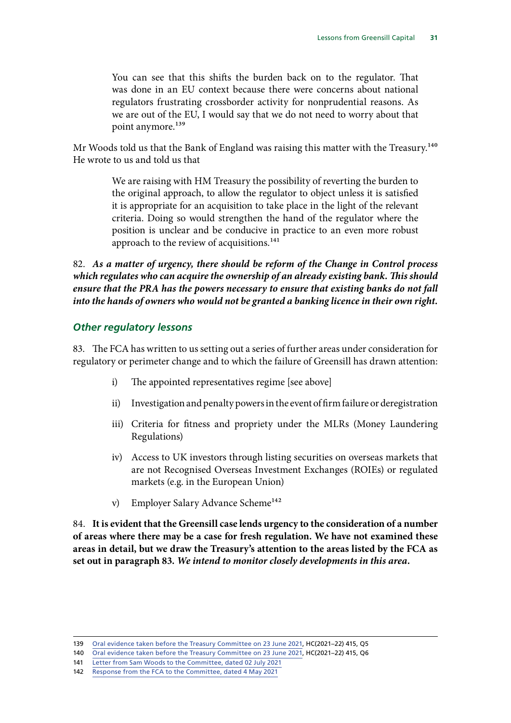<span id="page-32-0"></span>You can see that this shifts the burden back on to the regulator. That was done in an EU context because there were concerns about national regulators frustrating crossborder activity for nonprudential reasons. As we are out of the EU, I would say that we do not need to worry about that point anymore.<sup>139</sup>

Mr Woods told us that the Bank of England was raising this matter with the Treasury.<sup>140</sup> He wrote to us and told us that

> We are raising with HM Treasury the possibility of reverting the burden to the original approach, to allow the regulator to object unless it is satisfied it is appropriate for an acquisition to take place in the light of the relevant criteria. Doing so would strengthen the hand of the regulator where the position is unclear and be conducive in practice to an even more robust approach to the review of acquisitions.<sup>141</sup>

82. *As a matter of urgency, there should be reform of the Change in Control process which regulates who can acquire the ownership of an already existing bank. This should ensure that the PRA has the powers necessary to ensure that existing banks do not fall into the hands of owners who would not be granted a banking licence in their own right.*

#### *Other regulatory lessons*

83. The FCA has written to us setting out a series of further areas under consideration for regulatory or perimeter change and to which the failure of Greensill has drawn attention:

- i) The appointed representatives regime [see above]
- ii) Investigation and penalty powers in the event of firm failure or deregistration
- iii) Criteria for fitness and propriety under the MLRs (Money Laundering Regulations)
- iv) Access to UK investors through listing securities on overseas markets that are not Recognised Overseas Investment Exchanges (ROIEs) or regulated markets (e.g. in the European Union)
- v) Employer Salary Advance Scheme<sup>142</sup>

84. **It is evident that the Greensill case lends urgency to the consideration of a number of areas where there may be a case for fresh regulation. We have not examined these areas in detail, but we draw the Treasury's attention to the areas listed by the FCA as set out in paragraph 83.** *We intend to monitor closely developments in this area.*

<sup>139</sup> [Oral evidence taken before the Treasury Committee on 23 June 2021](https://committees.parliament.uk/oralevidence/2433/pdf/), HC(2021–22) 415, Q5

<sup>140</sup> [Oral evidence taken before the Treasury Committee on 23 June 2021](https://committees.parliament.uk/oralevidence/2433/pdf/), HC(2021-22) 415, Q6

<sup>141</sup> [Letter from Sam Woods to the Committee, dated 02 July 2021](https://committees.parliament.uk/publications/6744/documents/71940/default/)

<sup>142</sup> [Response from the FCA to the Committee, dated 4 May 2021](https://committees.parliament.uk/publications/5761/documents/66071/default/)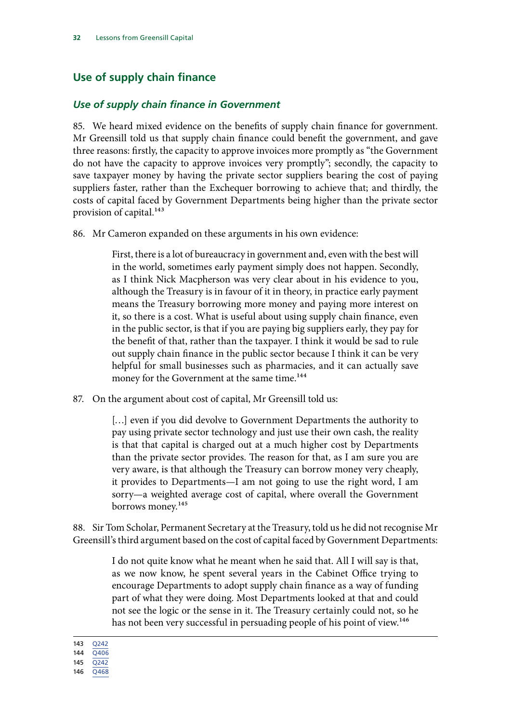# <span id="page-33-0"></span>**Use of supply chain finance**

#### *Use of supply chain finance in Government*

85. We heard mixed evidence on the benefits of supply chain finance for government. Mr Greensill told us that supply chain finance could benefit the government, and gave three reasons: firstly, the capacity to approve invoices more promptly as "the Government do not have the capacity to approve invoices very promptly"; secondly, the capacity to save taxpayer money by having the private sector suppliers bearing the cost of paying suppliers faster, rather than the Exchequer borrowing to achieve that; and thirdly, the costs of capital faced by Government Departments being higher than the private sector provision of capital.<sup>143</sup>

86. Mr Cameron expanded on these arguments in his own evidence:

First, there is a lot of bureaucracy in government and, even with the best will in the world, sometimes early payment simply does not happen. Secondly, as I think Nick Macpherson was very clear about in his evidence to you, although the Treasury is in favour of it in theory, in practice early payment means the Treasury borrowing more money and paying more interest on it, so there is a cost. What is useful about using supply chain finance, even in the public sector, is that if you are paying big suppliers early, they pay for the benefit of that, rather than the taxpayer. I think it would be sad to rule out supply chain finance in the public sector because I think it can be very helpful for small businesses such as pharmacies, and it can actually save money for the Government at the same time.<sup>144</sup>

87. On the argument about cost of capital, Mr Greensill told us:

[...] even if you did devolve to Government Departments the authority to pay using private sector technology and just use their own cash, the reality is that that capital is charged out at a much higher cost by Departments than the private sector provides. The reason for that, as I am sure you are very aware, is that although the Treasury can borrow money very cheaply, it provides to Departments—I am not going to use the right word, I am sorry—a weighted average cost of capital, where overall the Government borrows money.<sup>145</sup>

88. Sir Tom Scholar, Permanent Secretary at the Treasury, told us he did not recognise Mr Greensill's third argument based on the cost of capital faced by Government Departments:

> I do not quite know what he meant when he said that. All I will say is that, as we now know, he spent several years in the Cabinet Office trying to encourage Departments to adopt supply chain finance as a way of funding part of what they were doing. Most Departments looked at that and could not see the logic or the sense in it. The Treasury certainly could not, so he has not been very successful in persuading people of his point of view.<sup>146</sup>

143 [Q242](https://committees.parliament.uk/oralevidence/2149/pdf/)

144 [Q406](https://committees.parliament.uk/oralevidence/2163/pdf/)

145 [Q242](https://committees.parliament.uk/oralevidence/2149/pdf/)

146 [Q468](https://committees.parliament.uk/oralevidence/2292/pdf/)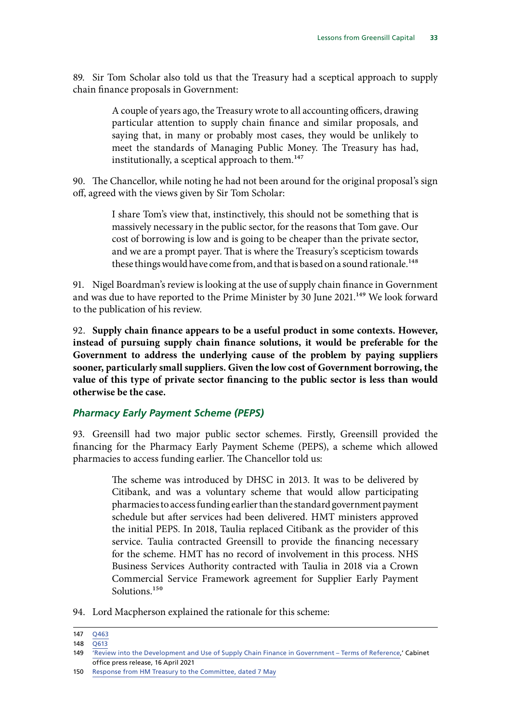<span id="page-34-0"></span>89. Sir Tom Scholar also told us that the Treasury had a sceptical approach to supply chain finance proposals in Government:

> A couple of years ago, the Treasury wrote to all accounting officers, drawing particular attention to supply chain finance and similar proposals, and saying that, in many or probably most cases, they would be unlikely to meet the standards of Managing Public Money. The Treasury has had, institutionally, a sceptical approach to them.<sup>147</sup>

90. The Chancellor, while noting he had not been around for the original proposal's sign off, agreed with the views given by Sir Tom Scholar:

> I share Tom's view that, instinctively, this should not be something that is massively necessary in the public sector, for the reasons that Tom gave. Our cost of borrowing is low and is going to be cheaper than the private sector, and we are a prompt payer. That is where the Treasury's scepticism towards these things would have come from, and that is based on a sound rationale.<sup>148</sup>

91. Nigel Boardman's review is looking at the use of supply chain finance in Government and was due to have reported to the Prime Minister by 30 June 2021.<sup>149</sup> We look forward to the publication of his review.

92. **Supply chain finance appears to be a useful product in some contexts. However, instead of pursuing supply chain finance solutions, it would be preferable for the Government to address the underlying cause of the problem by paying suppliers sooner, particularly small suppliers. Given the low cost of Government borrowing, the value of this type of private sector financing to the public sector is less than would otherwise be the case.**

#### *Pharmacy Early Payment Scheme (PEPS)*

93. Greensill had two major public sector schemes. Firstly, Greensill provided the financing for the Pharmacy Early Payment Scheme (PEPS), a scheme which allowed pharmacies to access funding earlier. The Chancellor told us:

> The scheme was introduced by DHSC in 2013. It was to be delivered by Citibank, and was a voluntary scheme that would allow participating pharmacies to access funding earlier than the standard government payment schedule but after services had been delivered. HMT ministers approved the initial PEPS. In 2018, Taulia replaced Citibank as the provider of this service. Taulia contracted Greensill to provide the financing necessary for the scheme. HMT has no record of involvement in this process. NHS Business Services Authority contracted with Taulia in 2018 via a Crown Commercial Service Framework agreement for Supplier Early Payment Solutions.<sup>150</sup>

94. Lord Macpherson explained the rationale for this scheme:

<sup>147</sup> [Q463](https://committees.parliament.uk/oralevidence/2292/pdf/)

<sup>148</sup> [Q613](https://committees.parliament.uk/oralevidence/2293/pdf/)

<sup>149</sup> ['Review into the Development and Use of Supply Chain Finance in Government – Terms of Reference](https://www.gov.uk/government/news/review-into-the-development-and-use-of-supply-chain-finance-in-government-terms-of-reference),' Cabinet office press release, 16 April 2021

<sup>150</sup> [Response from HM Treasury to the Committee, dated 7 May](https://committees.parliament.uk/publications/5758/documents/66074/default/)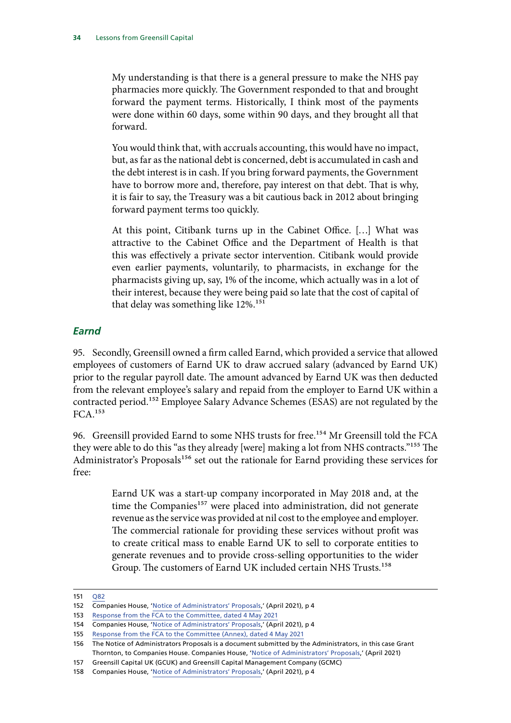<span id="page-35-0"></span>My understanding is that there is a general pressure to make the NHS pay pharmacies more quickly. The Government responded to that and brought forward the payment terms. Historically, I think most of the payments were done within 60 days, some within 90 days, and they brought all that forward.

You would think that, with accruals accounting, this would have no impact, but, as far as the national debt is concerned, debt is accumulated in cash and the debt interest is in cash. If you bring forward payments, the Government have to borrow more and, therefore, pay interest on that debt. That is why, it is fair to say, the Treasury was a bit cautious back in 2012 about bringing forward payment terms too quickly.

At this point, Citibank turns up in the Cabinet Office. […] What was attractive to the Cabinet Office and the Department of Health is that this was effectively a private sector intervention. Citibank would provide even earlier payments, voluntarily, to pharmacists, in exchange for the pharmacists giving up, say, 1% of the income, which actually was in a lot of their interest, because they were being paid so late that the cost of capital of that delay was something like 12%.<sup>151</sup>

#### *Earnd*

95. Secondly, Greensill owned a firm called Earnd, which provided a service that allowed employees of customers of Earnd UK to draw accrued salary (advanced by Earnd UK) prior to the regular payroll date. The amount advanced by Earnd UK was then deducted from the relevant employee's salary and repaid from the employer to Earnd UK within a contracted period.<sup>152</sup> Employee Salary Advance Schemes (ESAS) are not regulated by the FCA.153

96. Greensill provided Earnd to some NHS trusts for free.<sup>154</sup> Mr Greensill told the FCA they were able to do this "as they already [were] making a lot from NHS contracts."155 The Administrator's Proposals<sup>156</sup> set out the rationale for Earnd providing these services for free:

> Earnd UK was a start-up company incorporated in May 2018 and, at the time the Companies<sup>157</sup> were placed into administration, did not generate revenue as the service was provided at nil cost to the employee and employer. The commercial rationale for providing these services without profit was to create critical mass to enable Earnd UK to sell to corporate entities to generate revenues and to provide cross-selling opportunities to the wider Group. The customers of Earnd UK included certain NHS Trusts.158

<sup>151</sup> [Q82](https://committees.parliament.uk/oralevidence/2138/pdf/)

<sup>152</sup> Companies House, '[Notice of Administrators' Proposals](https://find-and-update.company-information.service.gov.uk/company/08126173/filing-history),' (April 2021), p 4

<sup>153</sup> [Response from the FCA to the Committee, dated 4 May 2021](https://committees.parliament.uk/publications/5761/documents/66071/default/)

<sup>154</sup> Companies House, '[Notice of Administrators' Proposals](https://find-and-update.company-information.service.gov.uk/company/08126173/filing-history),' (April 2021), p 4

<sup>155</sup> [Response from the FCA to the Committee \(Annex\), dated 4 May 2021](https://committees.parliament.uk/publications/5762/documents/66070/default/)

<sup>156</sup> The Notice of Administrators Proposals is a document submitted by the Administrators, in this case Grant Thornton, to Companies House. Companies House, ['Notice of Administrators' Proposals,](https://find-and-update.company-information.service.gov.uk/company/08126173/filing-history)' (April 2021)

<sup>157</sup> Greensill Capital UK (GCUK) and Greensill Capital Management Company (GCMC)

<sup>158</sup> Companies House, '[Notice of Administrators' Proposals](https://find-and-update.company-information.service.gov.uk/company/08126173/filing-history),' (April 2021), p 4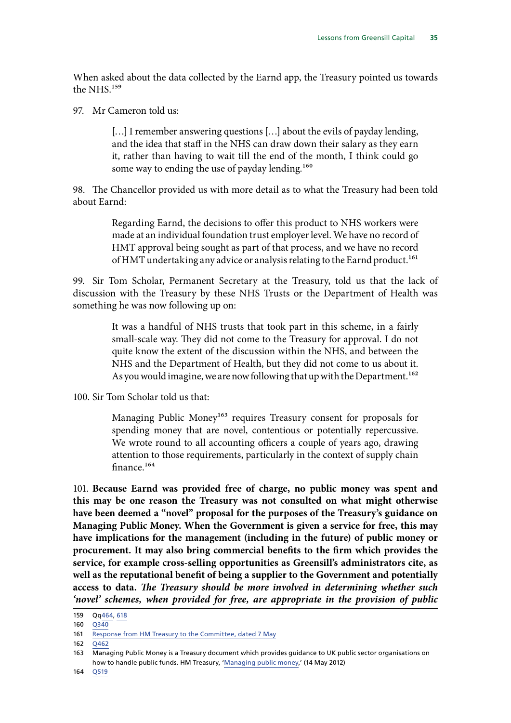When asked about the data collected by the Earnd app, the Treasury pointed us towards the NHS.159

97. Mr Cameron told us:

[...] I remember answering questions [...] about the evils of payday lending, and the idea that staff in the NHS can draw down their salary as they earn it, rather than having to wait till the end of the month, I think could go some way to ending the use of payday lending.<sup>160</sup>

98. The Chancellor provided us with more detail as to what the Treasury had been told about Earnd:

> Regarding Earnd, the decisions to offer this product to NHS workers were made at an individual foundation trust employer level. We have no record of HMT approval being sought as part of that process, and we have no record of HMT undertaking any advice or analysis relating to the Earnd product.<sup>161</sup>

99. Sir Tom Scholar, Permanent Secretary at the Treasury, told us that the lack of discussion with the Treasury by these NHS Trusts or the Department of Health was something he was now following up on:

> It was a handful of NHS trusts that took part in this scheme, in a fairly small-scale way. They did not come to the Treasury for approval. I do not quite know the extent of the discussion within the NHS, and between the NHS and the Department of Health, but they did not come to us about it. As you would imagine, we are now following that up with the Department.<sup>162</sup>

100. Sir Tom Scholar told us that:

Managing Public Money<sup>163</sup> requires Treasury consent for proposals for spending money that are novel, contentious or potentially repercussive. We wrote round to all accounting officers a couple of years ago, drawing attention to those requirements, particularly in the context of supply chain finance.164

101. **Because Earnd was provided free of charge, no public money was spent and this may be one reason the Treasury was not consulted on what might otherwise have been deemed a "novel" proposal for the purposes of the Treasury's guidance on Managing Public Money. When the Government is given a service for free, this may have implications for the management (including in the future) of public money or procurement. It may also bring commercial benefits to the firm which provides the service, for example cross-selling opportunities as Greensill's administrators cite, as well as the reputational benefit of being a supplier to the Government and potentially access to data.** *The Treasury should be more involved in determining whether such 'novel' schemes, when provided for free, are appropriate in the provision of public* 

 $162 \overline{0462}$ 

<sup>159</sup> Qq[464,](https://committees.parliament.uk/oralevidence/2292/pdf/) [618](https://committees.parliament.uk/oralevidence/2293/pdf/)

<sup>160</sup> [Q340](https://committees.parliament.uk/oralevidence/2163/pdf/)

<sup>161</sup> [Response from HM Treasury to the Committee, dated 7 May](https://committees.parliament.uk/publications/5758/documents/66074/default/)

<sup>163</sup> Managing Public Money is a Treasury document which provides guidance to UK public sector organisations on how to handle public funds. HM Treasury, ['Managing public money,](https://www.gov.uk/government/publications/managing-public-money)' (14 May 2012)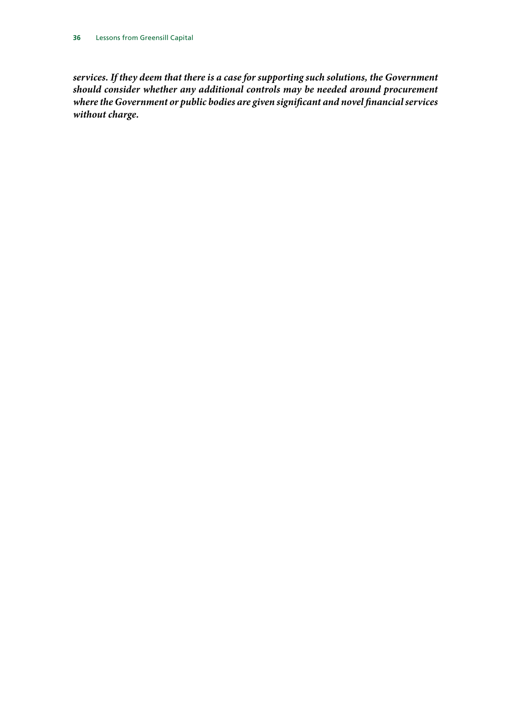*services. If they deem that there is a case for supporting such solutions, the Government should consider whether any additional controls may be needed around procurement where the Government or public bodies are given significant and novel financial services without charge.*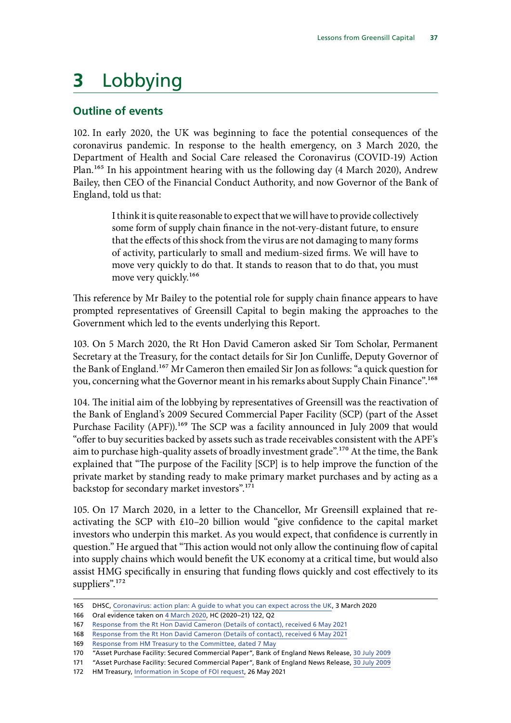# **3** Lobbying

# **Outline of events**

102. In early 2020, the UK was beginning to face the potential consequences of the coronavirus pandemic. In response to the health emergency, on 3 March 2020, the Department of Health and Social Care released the Coronavirus (COVID-19) Action Plan.165 In his appointment hearing with us the following day (4 March 2020), Andrew Bailey, then CEO of the Financial Conduct Authority, and now Governor of the Bank of England, told us that:

> I think it is quite reasonable to expect that we will have to provide collectively some form of supply chain finance in the not-very-distant future, to ensure that the effects of this shock from the virus are not damaging to many forms of activity, particularly to small and medium-sized firms. We will have to move very quickly to do that. It stands to reason that to do that, you must move very quickly.<sup>166</sup>

This reference by Mr Bailey to the potential role for supply chain finance appears to have prompted representatives of Greensill Capital to begin making the approaches to the Government which led to the events underlying this Report.

103. On 5 March 2020, the Rt Hon David Cameron asked Sir Tom Scholar, Permanent Secretary at the Treasury, for the contact details for Sir Jon Cunliffe, Deputy Governor of the Bank of England.<sup>167</sup> Mr Cameron then emailed Sir Jon as follows: "a quick question for you, concerning what the Governor meant in his remarks about Supply Chain Finance".<sup>168</sup>

104. The initial aim of the lobbying by representatives of Greensill was the reactivation of the Bank of England's 2009 Secured Commercial Paper Facility (SCP) (part of the Asset Purchase Facility (APF)).<sup>169</sup> The SCP was a facility announced in July 2009 that would "offer to buy securities backed by assets such as trade receivables consistent with the APF's aim to purchase high-quality assets of broadly investment grade".170 At the time, the Bank explained that "The purpose of the Facility [SCP] is to help improve the function of the private market by standing ready to make primary market purchases and by acting as a backstop for secondary market investors".<sup>171</sup>

105. On 17 March 2020, in a letter to the Chancellor, Mr Greensill explained that reactivating the SCP with £10–20 billion would "give confidence to the capital market investors who underpin this market. As you would expect, that confidence is currently in question." He argued that "This action would not only allow the continuing flow of capital into supply chains which would benefit the UK economy at a critical time, but would also assist HMG specifically in ensuring that funding flows quickly and cost effectively to its suppliers".<sup>172</sup>

<sup>165</sup> DHSC, [Coronavirus: action plan: A guide to what you can expect across the UK,](https://assets.publishing.service.gov.uk/government/uploads/system/uploads/attachment_data/file/869827/Coronavirus_action_plan_-_a_guide_to_what_you_can_expect_across_the_UK.pdf) 3 March 2020

<sup>166</sup> Oral evidence taken on [4 March 2020](https://committees.parliament.uk/oralevidence/110/default/), HC (2020–21) 122, Q2

<sup>167</sup> [Response from the Rt Hon David Cameron \(Details of contact\), received 6 May 2021](https://committees.parliament.uk/publications/5763/documents/66069/default/)

<sup>168</sup> [Response from the Rt Hon David Cameron \(Details of contact\), received 6 May 2021](https://committees.parliament.uk/publications/5763/documents/66069/default/)

<sup>169</sup> [Response from HM Treasury to the Committee, dated 7 May](https://committees.parliament.uk/publications/5758/documents/66074/default/)

<sup>170</sup> "Asset Purchase Facility: Secured Commercial Paper", Bank of England News Release, [30 July 2009](https://www.bankofengland.co.uk/-/media/boe/files/news/2009/july/asset-purchase-facility-secured-commercial-paper.pdf)

<sup>171</sup> "Asset Purchase Facility: Secured Commercial Paper", Bank of England News Release, [30 July 2009](https://www.bankofengland.co.uk/-/media/boe/files/news/2009/july/asset-purchase-facility-secured-commercial-paper.pdf)

<sup>172</sup> HM Treasury, [Information in Scope of FOI request,](https://assets.publishing.service.gov.uk/government/uploads/system/uploads/attachment_data/file/989441/Information_in_scope_of_FOI_11880_with_redactions_updated_26_05_21_Final.pdf) 26 May 2021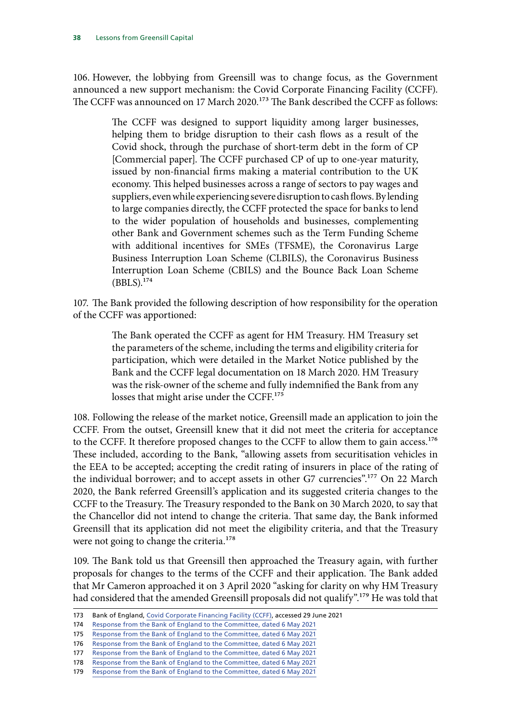106. However, the lobbying from Greensill was to change focus, as the Government announced a new support mechanism: the Covid Corporate Financing Facility (CCFF). The CCFF was announced on 17 March 2020.<sup>173</sup> The Bank described the CCFF as follows:

> The CCFF was designed to support liquidity among larger businesses, helping them to bridge disruption to their cash flows as a result of the Covid shock, through the purchase of short-term debt in the form of CP [Commercial paper]. The CCFF purchased CP of up to one-year maturity, issued by non-financial firms making a material contribution to the UK economy. This helped businesses across a range of sectors to pay wages and suppliers, even while experiencing severe disruption to cash flows. By lending to large companies directly, the CCFF protected the space for banks to lend to the wider population of households and businesses, complementing other Bank and Government schemes such as the Term Funding Scheme with additional incentives for SMEs (TFSME), the Coronavirus Large Business Interruption Loan Scheme (CLBILS), the Coronavirus Business Interruption Loan Scheme (CBILS) and the Bounce Back Loan Scheme (BBLS).174

107. The Bank provided the following description of how responsibility for the operation of the CCFF was apportioned:

> The Bank operated the CCFF as agent for HM Treasury. HM Treasury set the parameters of the scheme, including the terms and eligibility criteria for participation, which were detailed in the Market Notice published by the Bank and the CCFF legal documentation on 18 March 2020. HM Treasury was the risk-owner of the scheme and fully indemnified the Bank from any losses that might arise under the CCFF.<sup>175</sup>

108. Following the release of the market notice, Greensill made an application to join the CCFF. From the outset, Greensill knew that it did not meet the criteria for acceptance to the CCFF. It therefore proposed changes to the CCFF to allow them to gain access.<sup>176</sup> These included, according to the Bank, "allowing assets from securitisation vehicles in the EEA to be accepted; accepting the credit rating of insurers in place of the rating of the individual borrower; and to accept assets in other G7 currencies".<sup>177</sup> On 22 March 2020, the Bank referred Greensill's application and its suggested criteria changes to the CCFF to the Treasury. The Treasury responded to the Bank on 30 March 2020, to say that the Chancellor did not intend to change the criteria. That same day, the Bank informed Greensill that its application did not meet the eligibility criteria, and that the Treasury were not going to change the criteria.<sup>178</sup>

109. The Bank told us that Greensill then approached the Treasury again, with further proposals for changes to the terms of the CCFF and their application. The Bank added that Mr Cameron approached it on 3 April 2020 "asking for clarity on why HM Treasury had considered that the amended Greensill proposals did not qualify".179 He was told that

<sup>173</sup> Bank of England, [Covid Corporate Financing Facility \(CCFF\),](https://www.bankofengland.co.uk/markets/covid-corporate-financing-facility) accessed 29 June 2021

<sup>174</sup> [Response from the Bank of England to the Committee, dated 6 May 2021](https://committees.parliament.uk/publications/5759/documents/66073/default/)

<sup>175</sup> [Response from the Bank of England to the Committee, dated 6 May 2021](https://committees.parliament.uk/publications/5759/documents/66073/default/)

<sup>176</sup> [Response from the Bank of England to the Committee, dated 6 May 2021](https://committees.parliament.uk/publications/5759/documents/66073/default/)

<sup>177</sup> [Response from the Bank of England to the Committee, dated 6 May 2021](https://committees.parliament.uk/publications/5759/documents/66073/default/)

<sup>178</sup> [Response from the Bank of England to the Committee, dated 6 May 2021](https://committees.parliament.uk/publications/5759/documents/66073/default/)

<sup>179</sup> [Response from the Bank of England to the Committee, dated 6 May 2021](https://committees.parliament.uk/publications/5759/documents/66073/default/)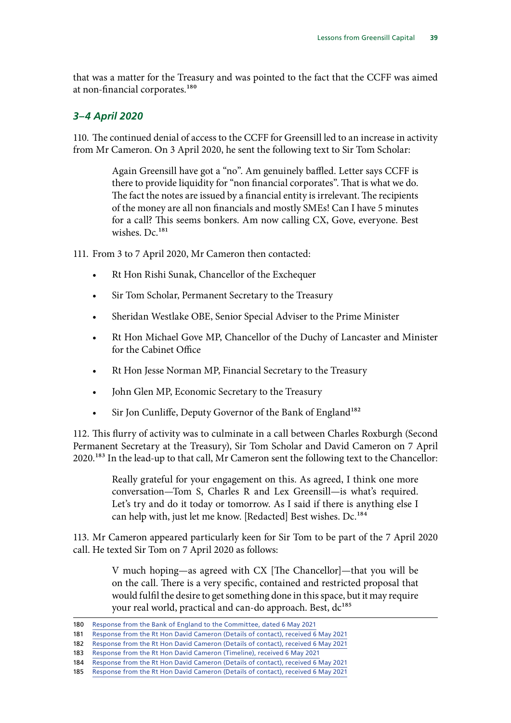that was a matter for the Treasury and was pointed to the fact that the CCFF was aimed at non-financial corporates.<sup>180</sup>

# *3–4 April 2020*

110. The continued denial of access to the CCFF for Greensill led to an increase in activity from Mr Cameron. On 3 April 2020, he sent the following text to Sir Tom Scholar:

> Again Greensill have got a "no". Am genuinely baffled. Letter says CCFF is there to provide liquidity for "non financial corporates". That is what we do. The fact the notes are issued by a financial entity is irrelevant. The recipients of the money are all non financials and mostly SMEs! Can I have 5 minutes for a call? This seems bonkers. Am now calling CX, Gove, everyone. Best wishes. Dc.<sup>181</sup>

111. From 3 to 7 April 2020, Mr Cameron then contacted:

- Rt Hon Rishi Sunak, Chancellor of the Exchequer
- Sir Tom Scholar, Permanent Secretary to the Treasury
- Sheridan Westlake OBE, Senior Special Adviser to the Prime Minister
- Rt Hon Michael Gove MP, Chancellor of the Duchy of Lancaster and Minister for the Cabinet Office
- Rt Hon Jesse Norman MP, Financial Secretary to the Treasury
- John Glen MP, Economic Secretary to the Treasury
- Sir Jon Cunliffe, Deputy Governor of the Bank of England<sup>182</sup>

112. This flurry of activity was to culminate in a call between Charles Roxburgh (Second Permanent Secretary at the Treasury), Sir Tom Scholar and David Cameron on 7 April 2020.183 In the lead-up to that call, Mr Cameron sent the following text to the Chancellor:

> Really grateful for your engagement on this. As agreed, I think one more conversation—Tom S, Charles R and Lex Greensill—is what's required. Let's try and do it today or tomorrow. As I said if there is anything else I can help with, just let me know. [Redacted] Best wishes. Dc.<sup>184</sup>

113. Mr Cameron appeared particularly keen for Sir Tom to be part of the 7 April 2020 call. He texted Sir Tom on 7 April 2020 as follows:

> V much hoping—as agreed with CX [The Chancellor]—that you will be on the call. There is a very specific, contained and restricted proposal that would fulfil the desire to get something done in this space, but it may require your real world, practical and can-do approach. Best, dc<sup>185</sup>

<sup>180</sup> [Response from the Bank of England to the Committee, dated 6 May 2021](https://committees.parliament.uk/publications/5759/documents/66073/default/)

<sup>181</sup> [Response from the Rt Hon David Cameron \(Details of contact\), received 6 May 2021](https://committees.parliament.uk/publications/5763/documents/66069/default/)

<sup>182</sup> [Response from the Rt Hon David Cameron \(Details of contact\), received 6 May 2021](https://committees.parliament.uk/publications/5763/documents/66069/default/)

<sup>183</sup> [Response from the Rt Hon David Cameron \(Timeline\), received 6 May 2021](https://committees.parliament.uk/publications/5765/documents/66067/default/)

<sup>184</sup> [Response from the Rt Hon David Cameron \(Details of contact\), received 6 May 2021](https://committees.parliament.uk/publications/5763/documents/66069/default/)

<sup>185</sup> [Response from the Rt Hon David Cameron \(Details of contact\), received 6 May 2021](https://committees.parliament.uk/publications/5763/documents/66069/default/)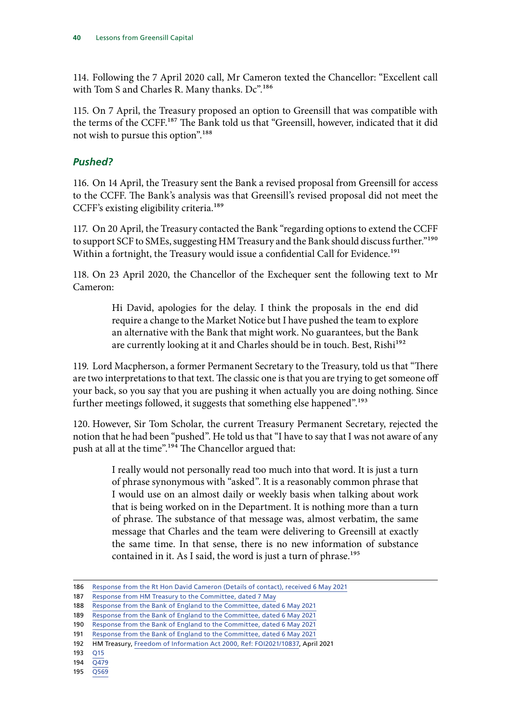114. Following the 7 April 2020 call, Mr Cameron texted the Chancellor: "Excellent call with Tom S and Charles R. Many thanks. Dc".<sup>186</sup>

115. On 7 April, the Treasury proposed an option to Greensill that was compatible with the terms of the CCFF.<sup>187</sup> The Bank told us that "Greensill, however, indicated that it did not wish to pursue this option".<sup>188</sup>

# *Pushed?*

116. On 14 April, the Treasury sent the Bank a revised proposal from Greensill for access to the CCFF. The Bank's analysis was that Greensill's revised proposal did not meet the CCFF's existing eligibility criteria.<sup>189</sup>

117. On 20 April, the Treasury contacted the Bank "regarding options to extend the CCFF to support SCF to SMEs, suggesting HM Treasury and the Bank should discuss further."<sup>190</sup> Within a fortnight, the Treasury would issue a confidential Call for Evidence.<sup>191</sup>

118. On 23 April 2020, the Chancellor of the Exchequer sent the following text to Mr Cameron:

> Hi David, apologies for the delay. I think the proposals in the end did require a change to the Market Notice but I have pushed the team to explore an alternative with the Bank that might work. No guarantees, but the Bank are currently looking at it and Charles should be in touch. Best, Rishi<sup>192</sup>

119. Lord Macpherson, a former Permanent Secretary to the Treasury, told us that "There are two interpretations to that text. The classic one is that you are trying to get someone off your back, so you say that you are pushing it when actually you are doing nothing. Since further meetings followed, it suggests that something else happened".<sup>193</sup>

120. However, Sir Tom Scholar, the current Treasury Permanent Secretary, rejected the notion that he had been "pushed". He told us that "I have to say that I was not aware of any push at all at the time".<sup>194</sup> The Chancellor argued that:

> I really would not personally read too much into that word. It is just a turn of phrase synonymous with "asked". It is a reasonably common phrase that I would use on an almost daily or weekly basis when talking about work that is being worked on in the Department. It is nothing more than a turn of phrase. The substance of that message was, almost verbatim, the same message that Charles and the team were delivering to Greensill at exactly the same time. In that sense, there is no new information of substance contained in it. As I said, the word is just a turn of phrase.<sup>195</sup>

<sup>186</sup> [Response from the Rt Hon David Cameron \(Details of contact\), received 6 May 2021](https://committees.parliament.uk/publications/5763/documents/66069/default/)

<sup>187</sup> [Response from HM Treasury to the Committee, dated 7 May](https://committees.parliament.uk/publications/5758/documents/66074/default/)

<sup>188</sup> [Response from the Bank of England to the Committee, dated 6 May 2021](https://committees.parliament.uk/publications/5759/documents/66073/default/)

<sup>189</sup> [Response from the Bank of England to the Committee, dated 6 May 2021](https://committees.parliament.uk/publications/5759/documents/66073/default/)

<sup>190</sup> [Response from the Bank of England to the Committee, dated 6 May 2021](https://committees.parliament.uk/publications/5759/documents/66073/default/)

<sup>191</sup> [Response from the Bank of England to the Committee, dated 6 May 2021](https://committees.parliament.uk/publications/5759/documents/66073/default/)

<sup>192</sup> HM Treasury, [Freedom of Information Act 2000, Ref: FOI2021/10837,](https://assets.publishing.service.gov.uk/government/uploads/system/uploads/attachment_data/file/977219/FOI_v29_FOI2021_10837_-_disclose__s41_vFINAL.pdf) April 2021

<sup>193</sup> [Q15](https://committees.parliament.uk/oralevidence/2138/pdf/)

<sup>194</sup> [Q479](https://committees.parliament.uk/oralevidence/2292/pdf/)

<sup>195</sup> [Q569](https://committees.parliament.uk/oralevidence/2293/pdf/)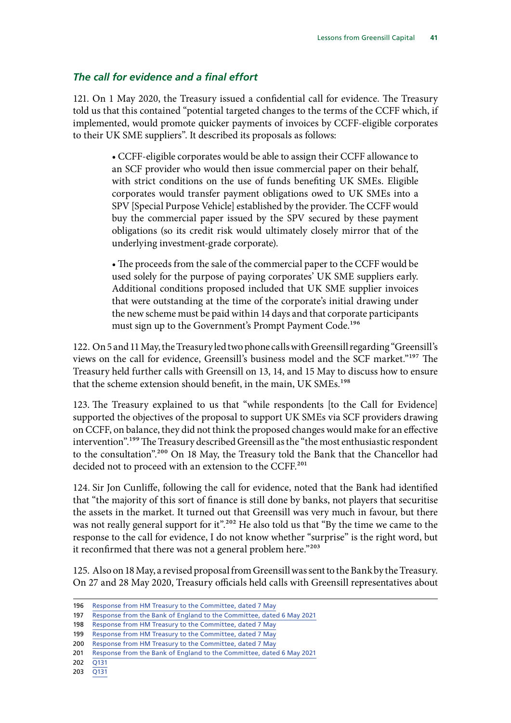#### *The call for evidence and a final effort*

121. On 1 May 2020, the Treasury issued a confidential call for evidence. The Treasury told us that this contained "potential targeted changes to the terms of the CCFF which, if implemented, would promote quicker payments of invoices by CCFF-eligible corporates to their UK SME suppliers". It described its proposals as follows:

> • CCFF-eligible corporates would be able to assign their CCFF allowance to an SCF provider who would then issue commercial paper on their behalf, with strict conditions on the use of funds benefiting UK SMEs. Eligible corporates would transfer payment obligations owed to UK SMEs into a SPV [Special Purpose Vehicle] established by the provider. The CCFF would buy the commercial paper issued by the SPV secured by these payment obligations (so its credit risk would ultimately closely mirror that of the underlying investment-grade corporate).

> • The proceeds from the sale of the commercial paper to the CCFF would be used solely for the purpose of paying corporates' UK SME suppliers early. Additional conditions proposed included that UK SME supplier invoices that were outstanding at the time of the corporate's initial drawing under the new scheme must be paid within 14 days and that corporate participants must sign up to the Government's Prompt Payment Code.<sup>196</sup>

122. On 5 and 11 May, the Treasury led two phone calls with Greensill regarding "Greensill's views on the call for evidence, Greensill's business model and the SCF market."197 The Treasury held further calls with Greensill on 13, 14, and 15 May to discuss how to ensure that the scheme extension should benefit, in the main, UK SMEs.<sup>198</sup>

123. The Treasury explained to us that "while respondents [to the Call for Evidence] supported the objectives of the proposal to support UK SMEs via SCF providers drawing on CCFF, on balance, they did not think the proposed changes would make for an effective intervention".199 The Treasury described Greensill as the "the most enthusiastic respondent to the consultation".<sup>200</sup> On 18 May, the Treasury told the Bank that the Chancellor had decided not to proceed with an extension to the CCFF.<sup>201</sup>

124. Sir Jon Cunliffe, following the call for evidence, noted that the Bank had identified that "the majority of this sort of finance is still done by banks, not players that securitise the assets in the market. It turned out that Greensill was very much in favour, but there was not really general support for it".<sup>202</sup> He also told us that "By the time we came to the response to the call for evidence, I do not know whether "surprise" is the right word, but it reconfirmed that there was not a general problem here."203

125. Also on 18 May, a revised proposal from Greensill was sent to the Bank by the Treasury. On 27 and 28 May 2020, Treasury officials held calls with Greensill representatives about

<sup>196</sup> [Response from HM Treasury to the Committee, dated 7 May](https://committees.parliament.uk/publications/5758/documents/66074/default/)

<sup>197</sup> [Response from the Bank of England to the Committee, dated 6 May 2021](https://committees.parliament.uk/publications/5759/documents/66073/default/)

<sup>198</sup> [Response from HM Treasury to the Committee, dated 7 May](https://committees.parliament.uk/publications/5758/documents/66074/default/)

<sup>199</sup> [Response from HM Treasury to the Committee, dated 7 May](https://committees.parliament.uk/publications/5758/documents/66074/default/)

<sup>200</sup> [Response from HM Treasury to the Committee, dated 7 May](https://committees.parliament.uk/publications/5758/documents/66074/default/)

<sup>201</sup> [Response from the Bank of England to the Committee, dated 6 May 2021](https://committees.parliament.uk/publications/5759/documents/66073/default/)

<sup>202</sup> [Q131](https://committees.parliament.uk/oralevidence/2236/pdf/)

<sup>203</sup> [Q131](https://committees.parliament.uk/oralevidence/2236/pdf/)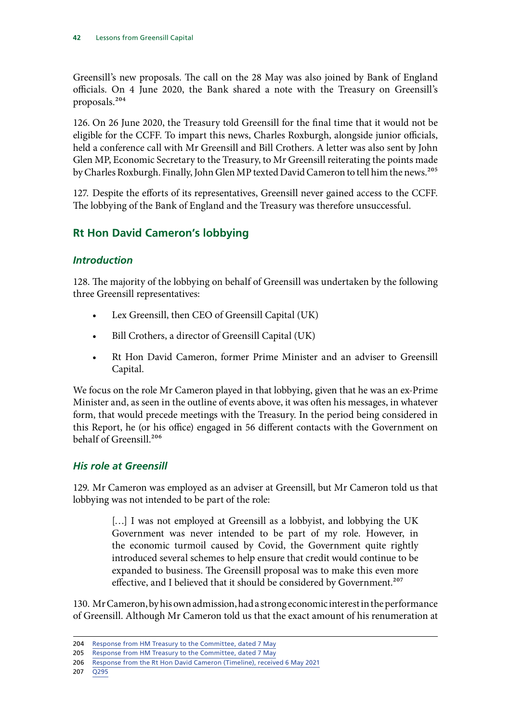Greensill's new proposals. The call on the 28 May was also joined by Bank of England officials. On 4 June 2020, the Bank shared a note with the Treasury on Greensill's proposals.204

126. On 26 June 2020, the Treasury told Greensill for the final time that it would not be eligible for the CCFF. To impart this news, Charles Roxburgh, alongside junior officials, held a conference call with Mr Greensill and Bill Crothers. A letter was also sent by John Glen MP, Economic Secretary to the Treasury, to Mr Greensill reiterating the points made by Charles Roxburgh. Finally, John Glen MP texted David Cameron to tell him the news.<sup>205</sup>

127. Despite the efforts of its representatives, Greensill never gained access to the CCFF. The lobbying of the Bank of England and the Treasury was therefore unsuccessful.

# **Rt Hon David Cameron's lobbying**

# *Introduction*

128. The majority of the lobbying on behalf of Greensill was undertaken by the following three Greensill representatives:

- Lex Greensill, then CEO of Greensill Capital (UK)
- Bill Crothers, a director of Greensill Capital (UK)
- Rt Hon David Cameron, former Prime Minister and an adviser to Greensill Capital.

We focus on the role Mr Cameron played in that lobbying, given that he was an ex-Prime Minister and, as seen in the outline of events above, it was often his messages, in whatever form, that would precede meetings with the Treasury. In the period being considered in this Report, he (or his office) engaged in 56 different contacts with the Government on behalf of Greensill.206

# *His role at Greensill*

129. Mr Cameron was employed as an adviser at Greensill, but Mr Cameron told us that lobbying was not intended to be part of the role:

> [...] I was not employed at Greensill as a lobbyist, and lobbying the UK Government was never intended to be part of my role. However, in the economic turmoil caused by Covid, the Government quite rightly introduced several schemes to help ensure that credit would continue to be expanded to business. The Greensill proposal was to make this even more effective, and I believed that it should be considered by Government.<sup>207</sup>

130. Mr Cameron, by his own admission, had a strong economic interest in the performance of Greensill. Although Mr Cameron told us that the exact amount of his renumeration at

<sup>204</sup> [Response from HM Treasury to the Committee, dated 7 May](https://committees.parliament.uk/publications/5758/documents/66074/default/)

<sup>205</sup> [Response from HM Treasury to the Committee, dated 7 May](https://committees.parliament.uk/publications/5758/documents/66074/default/)

<sup>206</sup> [Response from the Rt Hon David Cameron \(Timeline\), received 6 May 2021](https://committees.parliament.uk/publications/5765/documents/66067/default/)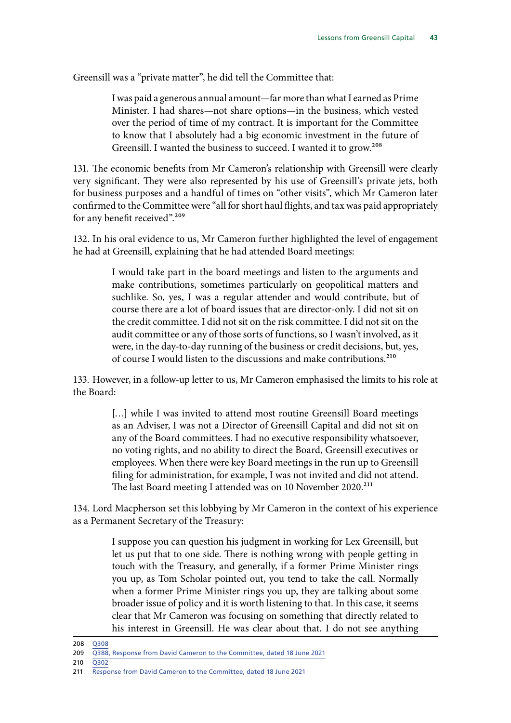Greensill was a "private matter", he did tell the Committee that:

I was paid a generous annual amount—far more than what I earned as Prime Minister. I had shares—not share options—in the business, which vested over the period of time of my contract. It is important for the Committee to know that I absolutely had a big economic investment in the future of Greensill. I wanted the business to succeed. I wanted it to grow.<sup>208</sup>

131. The economic benefits from Mr Cameron's relationship with Greensill were clearly very significant. They were also represented by his use of Greensill's private jets, both for business purposes and a handful of times on "other visits", which Mr Cameron later confirmed to the Committee were "all for short haul flights, and tax was paid appropriately for any benefit received".<sup>209</sup>

132. In his oral evidence to us, Mr Cameron further highlighted the level of engagement he had at Greensill, explaining that he had attended Board meetings:

> I would take part in the board meetings and listen to the arguments and make contributions, sometimes particularly on geopolitical matters and suchlike. So, yes, I was a regular attender and would contribute, but of course there are a lot of board issues that are director-only. I did not sit on the credit committee. I did not sit on the risk committee. I did not sit on the audit committee or any of those sorts of functions, so I wasn't involved, as it were, in the day-to-day running of the business or credit decisions, but, yes, of course I would listen to the discussions and make contributions.210

133. However, in a follow-up letter to us, Mr Cameron emphasised the limits to his role at the Board:

> [...] while I was invited to attend most routine Greensill Board meetings as an Adviser, I was not a Director of Greensill Capital and did not sit on any of the Board committees. I had no executive responsibility whatsoever, no voting rights, and no ability to direct the Board, Greensill executives or employees. When there were key Board meetings in the run up to Greensill filing for administration, for example, I was not invited and did not attend. The last Board meeting I attended was on 10 November 2020.<sup>211</sup>

134. Lord Macpherson set this lobbying by Mr Cameron in the context of his experience as a Permanent Secretary of the Treasury:

> I suppose you can question his judgment in working for Lex Greensill, but let us put that to one side. There is nothing wrong with people getting in touch with the Treasury, and generally, if a former Prime Minister rings you up, as Tom Scholar pointed out, you tend to take the call. Normally when a former Prime Minister rings you up, they are talking about some broader issue of policy and it is worth listening to that. In this case, it seems clear that Mr Cameron was focusing on something that directly related to his interest in Greensill. He was clear about that. I do not see anything

208 [Q308](https://committees.parliament.uk/oralevidence/2163/pdf/)

<sup>209</sup> [Q388, Response from David Cameron to the Committee, dated 18 June 2021](https://committees.parliament.uk/publications/6416/documents/70205/default/)

<sup>210</sup> [Q302](https://committees.parliament.uk/oralevidence/2163/pdf/)

<sup>211</sup> [Response from David Cameron to the Committee, dated 18 June 2021](https://committees.parliament.uk/publications/6416/documents/70205/default/)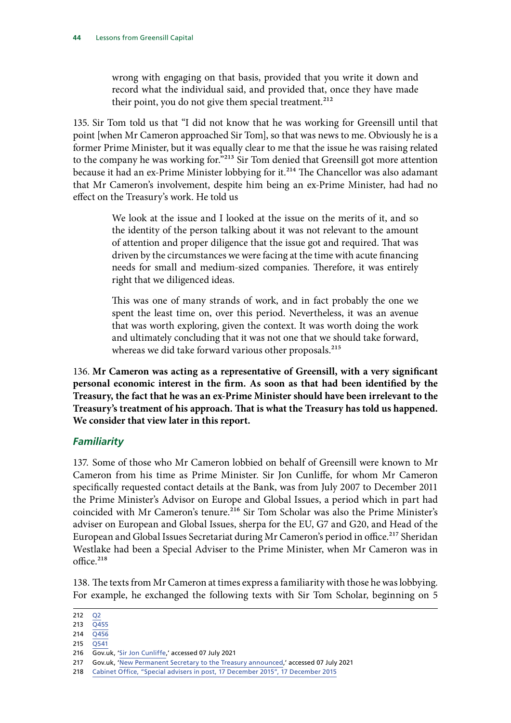wrong with engaging on that basis, provided that you write it down and record what the individual said, and provided that, once they have made their point, you do not give them special treatment. $^{212}$ 

135. Sir Tom told us that "I did not know that he was working for Greensill until that point [when Mr Cameron approached Sir Tom], so that was news to me. Obviously he is a former Prime Minister, but it was equally clear to me that the issue he was raising related to the company he was working for."<sup>213</sup> Sir Tom denied that Greensill got more attention because it had an ex-Prime Minister lobbying for it.<sup>214</sup> The Chancellor was also adamant that Mr Cameron's involvement, despite him being an ex-Prime Minister, had had no effect on the Treasury's work. He told us

> We look at the issue and I looked at the issue on the merits of it, and so the identity of the person talking about it was not relevant to the amount of attention and proper diligence that the issue got and required. That was driven by the circumstances we were facing at the time with acute financing needs for small and medium-sized companies. Therefore, it was entirely right that we diligenced ideas.

> This was one of many strands of work, and in fact probably the one we spent the least time on, over this period. Nevertheless, it was an avenue that was worth exploring, given the context. It was worth doing the work and ultimately concluding that it was not one that we should take forward, whereas we did take forward various other proposals.<sup>215</sup>

136. **Mr Cameron was acting as a representative of Greensill, with a very significant personal economic interest in the firm. As soon as that had been identified by the Treasury, the fact that he was an ex-Prime Minister should have been irrelevant to the Treasury's treatment of his approach. That is what the Treasury has told us happened. We consider that view later in this report.**

#### *Familiarity*

137. Some of those who Mr Cameron lobbied on behalf of Greensill were known to Mr Cameron from his time as Prime Minister. Sir Jon Cunliffe, for whom Mr Cameron specifically requested contact details at the Bank, was from July 2007 to December 2011 the Prime Minister's Advisor on Europe and Global Issues, a period which in part had coincided with Mr Cameron's tenure.<sup>216</sup> Sir Tom Scholar was also the Prime Minister's adviser on European and Global Issues, sherpa for the EU, G7 and G20, and Head of the European and Global Issues Secretariat during Mr Cameron's period in office.<sup>217</sup> Sheridan Westlake had been a Special Adviser to the Prime Minister, when Mr Cameron was in office.<sup>218</sup>

138. The texts from Mr Cameron at times express a familiarity with those he was lobbying. For example, he exchanged the following texts with Sir Tom Scholar, beginning on 5

<sup>212</sup> [Q2](https://committees.parliament.uk/oralevidence/2138/pdf/)

<sup>213</sup>  $\overline{Q4}$ 55

<sup>214</sup> [Q456](https://committees.parliament.uk/oralevidence/2292/pdf/)

<sup>215</sup> O<sub>541</sub>

<sup>216</sup> Gov.uk, '[Sir Jon Cunliffe](https://www.gov.uk/government/people/jon-cunliffe),' accessed 07 July 2021

<sup>217</sup> Gov.uk, '[New Permanent Secretary to the Treasury announced](https://www.gov.uk/government/news/new-permanent-secretary-to-the-treasury-announced),' accessed 07 July 2021

<sup>218</sup> Cabinet Office, ["Special advisers in post, 17 December 2015](https://assets.publishing.service.gov.uk/government/uploads/system/uploads/attachment_data/file/486829/List_of_Special_Advisers_in_post_at_17_December_2015.pdf)", 17 December 2015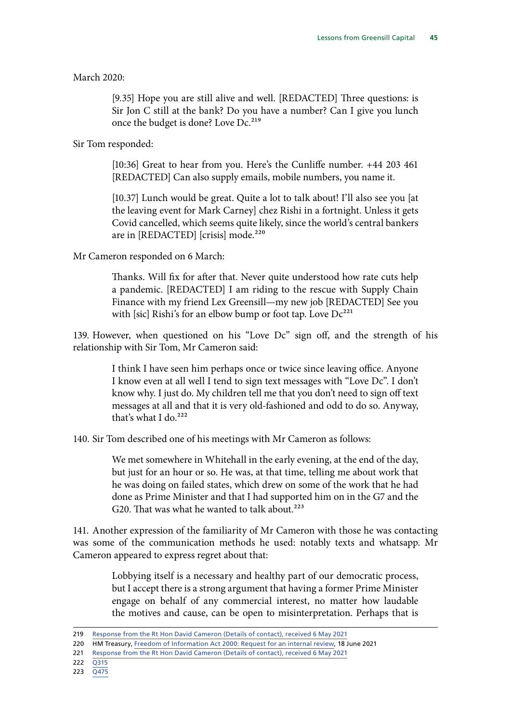March 2020:

[9.35] Hope you are still alive and well. [REDACTED] Three questions: is Sir Jon C still at the bank? Do you have a number? Can I give you lunch once the budget is done? Love Dc.<sup>219</sup>

Sir Tom responded:

[10:36] Great to hear from you. Here's the Cunliffe number. +44 203 461 [REDACTED] Can also supply emails, mobile numbers, you name it.

[10.37] Lunch would be great. Quite a lot to talk about! I'll also see you [at] the leaving event for Mark Carney] chez Rishi in a fortnight. Unless it gets Covid cancelled, which seems quite likely, since the world's central bankers are in [REDACTED] [crisis] mode.<sup>220</sup>

Mr Cameron responded on 6 March:

Thanks. Will fix for after that. Never quite understood how rate cuts help a pandemic. [REDACTED] I am riding to the rescue with Supply Chain Finance with my friend Lex Greensill—my new job [REDACTED] See you with [sic] Rishi's for an elbow bump or foot tap. Love  $Dc^{221}$ 

139. However, when questioned on his "Love Dc" sign off, and the strength of his relationship with Sir Tom, Mr Cameron said:

> I think I have seen him perhaps once or twice since leaving office. Anyone I know even at all well I tend to sign text messages with "Love Dc". I don't know why. I just do. My children tell me that you don't need to sign off text messages at all and that it is very old-fashioned and odd to do so. Anyway, that's what I do.<sup>222</sup>

140. Sir Tom described one of his meetings with Mr Cameron as follows:

We met somewhere in Whitehall in the early evening, at the end of the day, but just for an hour or so. He was, at that time, telling me about work that he was doing on failed states, which drew on some of the work that he had done as Prime Minister and that I had supported him on in the G7 and the G20. That was what he wanted to talk about.<sup>223</sup>

141. Another expression of the familiarity of Mr Cameron with those he was contacting was some of the communication methods he used: notably texts and whatsapp. Mr Cameron appeared to express regret about that:

> Lobbying itself is a necessary and healthy part of our democratic process, but I accept there is a strong argument that having a former Prime Minister engage on behalf of any commercial interest, no matter how laudable the motives and cause, can be open to misinterpretation. Perhaps that is

<sup>219</sup> [Response from the Rt Hon David Cameron \(Details of contact\), received 6 May 2021](https://committees.parliament.uk/publications/5763/documents/66069/default/)

<sup>220</sup> HM Treasury, [Freedom of Information Act 2000: Request for an internal review](https://assets.publishing.service.gov.uk/government/uploads/system/uploads/attachment_data/file/995064/IR2021_15134_Internal_Review_response_to_publish__redacted_.pdf), 18 June 2021

<sup>221</sup> [Response from the Rt Hon David Cameron \(Details of contact\), received 6 May 2021](https://committees.parliament.uk/publications/5763/documents/66069/default/)

<sup>222</sup> [Q315](https://committees.parliament.uk/oralevidence/2163/pdf/)

<sup>223</sup> [Q475](https://committees.parliament.uk/oralevidence/2292/pdf/)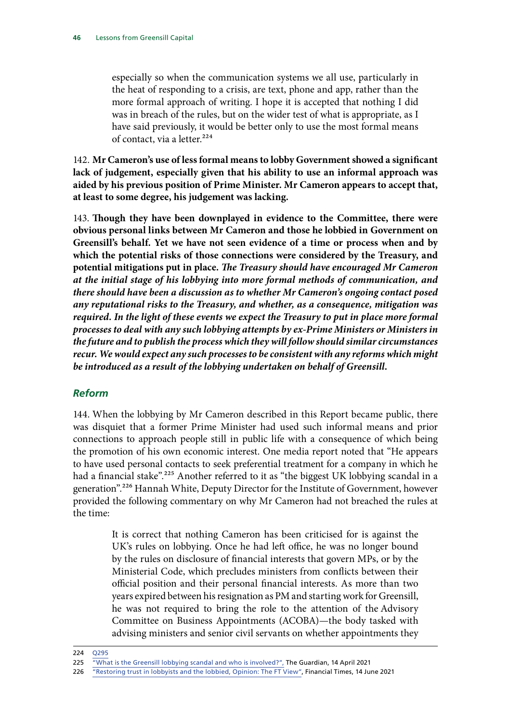especially so when the communication systems we all use, particularly in the heat of responding to a crisis, are text, phone and app, rather than the more formal approach of writing. I hope it is accepted that nothing I did was in breach of the rules, but on the wider test of what is appropriate, as I have said previously, it would be better only to use the most formal means of contact, via a letter.<sup>224</sup>

142. **Mr Cameron's use of less formal means to lobby Government showed a significant lack of judgement, especially given that his ability to use an informal approach was aided by his previous position of Prime Minister. Mr Cameron appears to accept that, at least to some degree, his judgement was lacking.**

143. **Though they have been downplayed in evidence to the Committee, there were obvious personal links between Mr Cameron and those he lobbied in Government on Greensill's behalf. Yet we have not seen evidence of a time or process when and by which the potential risks of those connections were considered by the Treasury, and potential mitigations put in place.** *The Treasury should have encouraged Mr Cameron at the initial stage of his lobbying into more formal methods of communication, and there should have been a discussion as to whether Mr Cameron's ongoing contact posed any reputational risks to the Treasury, and whether, as a consequence, mitigation was required. In the light of these events we expect the Treasury to put in place more formal processes to deal with any such lobbying attempts by ex-Prime Ministers or Ministers in the future and to publish the process which they will follow should similar circumstances recur. We would expect any such processes to be consistent with any reforms which might be introduced as a result of the lobbying undertaken on behalf of Greensill.*

# *Reform*

144. When the lobbying by Mr Cameron described in this Report became public, there was disquiet that a former Prime Minister had used such informal means and prior connections to approach people still in public life with a consequence of which being the promotion of his own economic interest. One media report noted that "He appears to have used personal contacts to seek preferential treatment for a company in which he had a financial stake".<sup>225</sup> Another referred to it as "the biggest UK lobbying scandal in a generation".<sup>226</sup> Hannah White, Deputy Director for the Institute of Government, however provided the following commentary on why Mr Cameron had not breached the rules at the time:

> It is correct that nothing Cameron has been criticised for is against the UK's rules on lobbying. Once he had left office, he was no longer bound by the rules on disclosure of financial interests that govern MPs, or by the Ministerial Code, which precludes ministers from conflicts between their official position and their personal financial interests. As more than two years expired between his resignation as PM and starting work for Greensill, he was not required to bring the role to the attention of the Advisory Committee on Business Appointments (ACOBA)—the body tasked with advising ministers and senior civil servants on whether appointments they

<sup>224</sup> [Q295](https://committees.parliament.uk/oralevidence/2163/pdf/)

<sup>225</sup> ["What is the Greensill lobbying scandal and who is involved?",](https://www.theguardian.com/business/2021/apr/14/what-is-greensill-lobbying-scandal-who-involved) The Guardian, 14 April 2021

<sup>226</sup> ["Restoring trust in lobbyists and the lobbied, Opinion: The FT View",](https://www.ft.com/content/2f7a1a0b-ac28-48cc-83b1-f5a98713ec45) Financial Times, 14 June 2021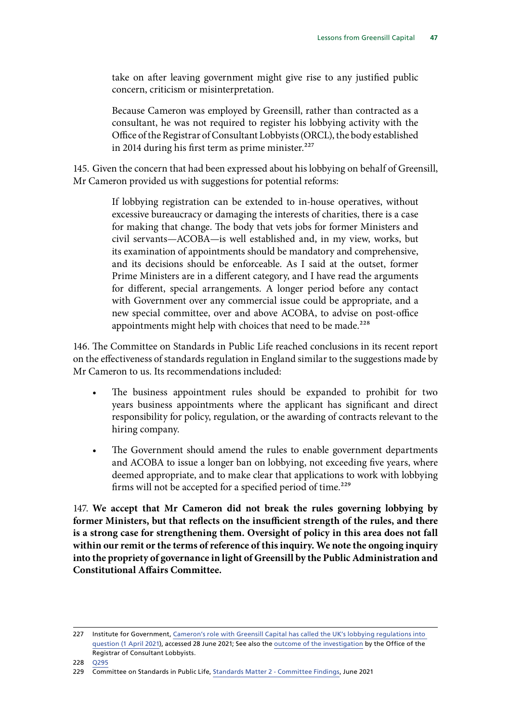take on after leaving government might give rise to any justified public concern, criticism or misinterpretation.

Because Cameron was employed by Greensill, rather than contracted as a consultant, he was not required to register his lobbying activity with the Office of the Registrar of Consultant Lobbyists (ORCL), the body established in 2014 during his first term as prime minister. $227$ 

145. Given the concern that had been expressed about his lobbying on behalf of Greensill, Mr Cameron provided us with suggestions for potential reforms:

> If lobbying registration can be extended to in-house operatives, without excessive bureaucracy or damaging the interests of charities, there is a case for making that change. The body that vets jobs for former Ministers and civil servants—ACOBA—is well established and, in my view, works, but its examination of appointments should be mandatory and comprehensive, and its decisions should be enforceable. As I said at the outset, former Prime Ministers are in a different category, and I have read the arguments for different, special arrangements. A longer period before any contact with Government over any commercial issue could be appropriate, and a new special committee, over and above ACOBA, to advise on post-office appointments might help with choices that need to be made.<sup>228</sup>

146. The Committee on Standards in Public Life reached conclusions in its recent report on the effectiveness of standards regulation in England similar to the suggestions made by Mr Cameron to us. Its recommendations included:

- The business appointment rules should be expanded to prohibit for two years business appointments where the applicant has significant and direct responsibility for policy, regulation, or the awarding of contracts relevant to the hiring company.
- The Government should amend the rules to enable government departments and ACOBA to issue a longer ban on lobbying, not exceeding five years, where deemed appropriate, and to make clear that applications to work with lobbying firms will not be accepted for a specified period of time.<sup>229</sup>

147. **We accept that Mr Cameron did not break the rules governing lobbying by former Ministers, but that reflects on the insufficient strength of the rules, and there is a strong case for strengthening them. Oversight of policy in this area does not fall within our remit or the terms of reference of this inquiry. We note the ongoing inquiry into the propriety of governance in light of Greensill by the Public Administration and Constitutional Affairs Committee.**

<sup>227</sup> Institute for Government, [Cameron's role with Greensill Capital has called the UK's lobbying regulations into](https://www.instituteforgovernment.org.uk/blog/cameron-greensill-lobbying-rules)  [question \(1 April 2021\)](https://www.instituteforgovernment.org.uk/blog/cameron-greensill-lobbying-rules), accessed 28 June 2021; See also the [outcome of the investigation](https://registrarofconsultantlobbyists.org.uk/investigation-case-summary-rt-hon-david-cameron/) by the Office of the Registrar of Consultant Lobbyists.

<sup>228</sup> [Q295](https://committees.parliament.uk/oralevidence/2163/pdf/)

<sup>229</sup> Committee on Standards in Public Life, [Standards Matter 2 - Committee Findings,](https://assets.publishing.service.gov.uk/government/uploads/system/uploads/attachment_data/file/993233/Committee_on_Standards_in_Public_Life_-_Standards_Matter_2_-_Report_of_Findings.pdf) June 2021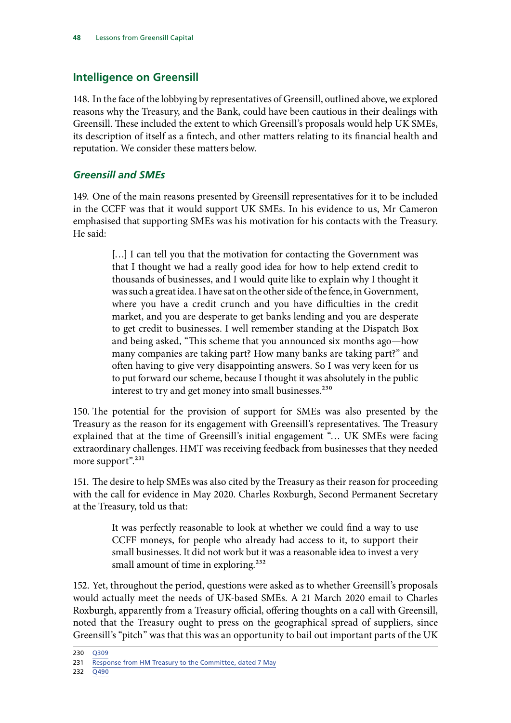# **Intelligence on Greensill**

148. In the face of the lobbying by representatives of Greensill, outlined above, we explored reasons why the Treasury, and the Bank, could have been cautious in their dealings with Greensill. These included the extent to which Greensill's proposals would help UK SMEs, its description of itself as a fintech, and other matters relating to its financial health and reputation. We consider these matters below.

# *Greensill and SMEs*

149. One of the main reasons presented by Greensill representatives for it to be included in the CCFF was that it would support UK SMEs. In his evidence to us, Mr Cameron emphasised that supporting SMEs was his motivation for his contacts with the Treasury. He said:

> [...] I can tell you that the motivation for contacting the Government was that I thought we had a really good idea for how to help extend credit to thousands of businesses, and I would quite like to explain why I thought it was such a great idea. I have sat on the other side of the fence, in Government, where you have a credit crunch and you have difficulties in the credit market, and you are desperate to get banks lending and you are desperate to get credit to businesses. I well remember standing at the Dispatch Box and being asked, "This scheme that you announced six months ago—how many companies are taking part? How many banks are taking part?" and often having to give very disappointing answers. So I was very keen for us to put forward our scheme, because I thought it was absolutely in the public interest to try and get money into small businesses.<sup>230</sup>

150. The potential for the provision of support for SMEs was also presented by the Treasury as the reason for its engagement with Greensill's representatives. The Treasury explained that at the time of Greensill's initial engagement "… UK SMEs were facing extraordinary challenges. HMT was receiving feedback from businesses that they needed more support".<sup>231</sup>

151. The desire to help SMEs was also cited by the Treasury as their reason for proceeding with the call for evidence in May 2020. Charles Roxburgh, Second Permanent Secretary at the Treasury, told us that:

> It was perfectly reasonable to look at whether we could find a way to use CCFF moneys, for people who already had access to it, to support their small businesses. It did not work but it was a reasonable idea to invest a very small amount of time in exploring.<sup>232</sup>

152. Yet, throughout the period, questions were asked as to whether Greensill's proposals would actually meet the needs of UK-based SMEs. A 21 March 2020 email to Charles Roxburgh, apparently from a Treasury official, offering thoughts on a call with Greensill, noted that the Treasury ought to press on the geographical spread of suppliers, since Greensill's "pitch" was that this was an opportunity to bail out important parts of the UK

<sup>230</sup> [Q309](https://committees.parliament.uk/oralevidence/2163/pdf/)

<sup>231</sup> [Response from HM Treasury to the Committee, dated 7 May](https://committees.parliament.uk/publications/5758/documents/66074/default/)

<sup>232</sup> [Q490](https://committees.parliament.uk/oralevidence/2292/pdf/)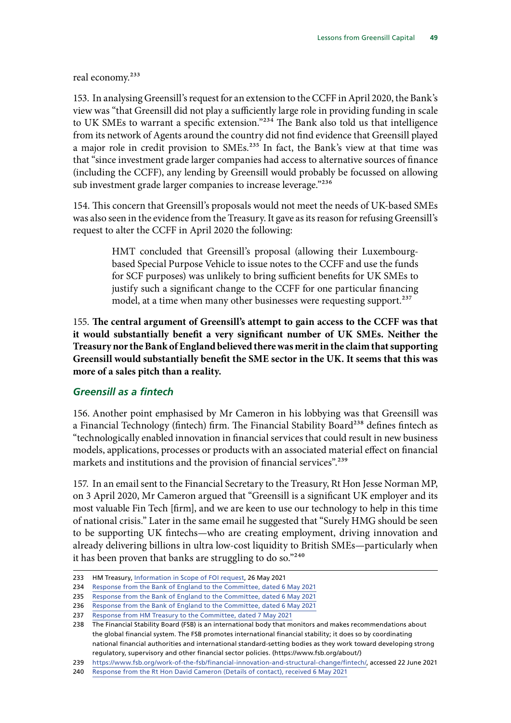real economy.<sup>233</sup>

153. In analysing Greensill's request for an extension to the CCFF in April 2020, the Bank's view was "that Greensill did not play a sufficiently large role in providing funding in scale to UK SMEs to warrant a specific extension."234 The Bank also told us that intelligence from its network of Agents around the country did not find evidence that Greensill played a major role in credit provision to SMEs.<sup>235</sup> In fact, the Bank's view at that time was that "since investment grade larger companies had access to alternative sources of finance (including the CCFF), any lending by Greensill would probably be focussed on allowing sub investment grade larger companies to increase leverage."236

154. This concern that Greensill's proposals would not meet the needs of UK-based SMEs was also seen in the evidence from the Treasury. It gave as its reason for refusing Greensill's request to alter the CCFF in April 2020 the following:

> HMT concluded that Greensill's proposal (allowing their Luxembourgbased Special Purpose Vehicle to issue notes to the CCFF and use the funds for SCF purposes) was unlikely to bring sufficient benefits for UK SMEs to justify such a significant change to the CCFF for one particular financing model, at a time when many other businesses were requesting support.<sup>237</sup>

155. **The central argument of Greensill's attempt to gain access to the CCFF was that it would substantially benefit a very significant number of UK SMEs. Neither the Treasury nor the Bank of England believed there was merit in the claim that supporting Greensill would substantially benefit the SME sector in the UK. It seems that this was more of a sales pitch than a reality.**

#### *Greensill as a fintech*

156. Another point emphasised by Mr Cameron in his lobbying was that Greensill was a Financial Technology (fintech) firm. The Financial Stability Board<sup>238</sup> defines fintech as "technologically enabled innovation in financial services that could result in new business models, applications, processes or products with an associated material effect on financial markets and institutions and the provision of financial services".<sup>239</sup>

157. In an email sent to the Financial Secretary to the Treasury, Rt Hon Jesse Norman MP, on 3 April 2020, Mr Cameron argued that "Greensill is a significant UK employer and its most valuable Fin Tech [firm], and we are keen to use our technology to help in this time of national crisis." Later in the same email he suggested that "Surely HMG should be seen to be supporting UK fintechs—who are creating employment, driving innovation and already delivering billions in ultra low-cost liquidity to British SMEs—particularly when it has been proven that banks are struggling to do so."240

<sup>233</sup> HM Treasury, [Information in Scope of FOI request,](https://assets.publishing.service.gov.uk/government/uploads/system/uploads/attachment_data/file/989441/Information_in_scope_of_FOI_11880_with_redactions_updated_26_05_21_Final.pdf) 26 May 2021

<sup>234</sup> [Response from the Bank of England to the Committee, dated 6 May 2021](https://committees.parliament.uk/publications/5759/documents/66073/default/)

<sup>235</sup> [Response from the Bank of England to the Committee, dated 6 May 2021](https://committees.parliament.uk/publications/5759/documents/66073/default/)

<sup>236</sup> [Response from the Bank of England to the Committee, dated 6 May 2021](https://committees.parliament.uk/publications/5759/documents/66073/default/)

<sup>237</sup> [Response from HM Treasury to the Committee, dated 7 May 2021](https://committees.parliament.uk/publications/5758/documents/66074/default/)

<sup>238</sup> The Financial Stability Board (FSB) is an international body that monitors and makes recommendations about the global financial system. The FSB promotes international financial stability; it does so by coordinating national financial authorities and international standard-setting bodies as they work toward developing strong regulatory, supervisory and other financial sector policies. (https://www.fsb.org/about/)

<sup>239</sup> [https://www.fsb.org/work-of-the-fsb/financial-innovation-and-structural-change/fintech/,](https://www.fsb.org/work-of-the-fsb/financial-innovation-and-structural-change/fintech/) accessed 22 June 2021

<sup>240</sup> [Response from the Rt Hon David Cameron \(Details of contact\), received 6 May 2021](https://committees.parliament.uk/publications/5763/documents/66069/default/)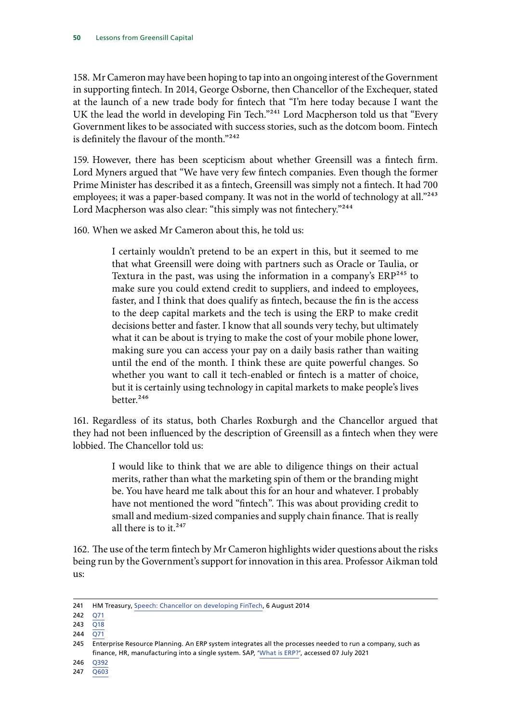158. Mr Cameron may have been hoping to tap into an ongoing interest of the Government in supporting fintech. In 2014, George Osborne, then Chancellor of the Exchequer, stated at the launch of a new trade body for fintech that "I'm here today because I want the UK the lead the world in developing Fin Tech."<sup>241</sup> Lord Macpherson told us that "Every Government likes to be associated with success stories, such as the dotcom boom. Fintech is definitely the flavour of the month."242

159. However, there has been scepticism about whether Greensill was a fintech firm. Lord Myners argued that "We have very few fintech companies. Even though the former Prime Minister has described it as a fintech, Greensill was simply not a fintech. It had 700 employees; it was a paper-based company. It was not in the world of technology at all."<sup>243</sup> Lord Macpherson was also clear: "this simply was not fintechery."<sup>244</sup>

160. When we asked Mr Cameron about this, he told us:

I certainly wouldn't pretend to be an expert in this, but it seemed to me that what Greensill were doing with partners such as Oracle or Taulia, or Textura in the past, was using the information in a company's  $ERP<sup>245</sup>$  to make sure you could extend credit to suppliers, and indeed to employees, faster, and I think that does qualify as fintech, because the fin is the access to the deep capital markets and the tech is using the ERP to make credit decisions better and faster. I know that all sounds very techy, but ultimately what it can be about is trying to make the cost of your mobile phone lower, making sure you can access your pay on a daily basis rather than waiting until the end of the month. I think these are quite powerful changes. So whether you want to call it tech-enabled or fintech is a matter of choice, but it is certainly using technology in capital markets to make people's lives better.<sup>246</sup>

161. Regardless of its status, both Charles Roxburgh and the Chancellor argued that they had not been influenced by the description of Greensill as a fintech when they were lobbied. The Chancellor told us:

> I would like to think that we are able to diligence things on their actual merits, rather than what the marketing spin of them or the branding might be. You have heard me talk about this for an hour and whatever. I probably have not mentioned the word "fintech". This was about providing credit to small and medium-sized companies and supply chain finance. That is really all there is to it.<sup>247</sup>

162. The use of the term fintech by Mr Cameron highlights wider questions about the risks being run by the Government's support for innovation in this area. Professor Aikman told us:

<sup>241</sup> HM Treasury, [Speech: Chancellor on developing FinTech](https://www.gov.uk/government/speeches/chancellor-on-developing-fintech), 6 August 2014

<sup>242</sup> [Q71](https://committees.parliament.uk/oralevidence/2138/html/)

<sup>243</sup> [Q18](https://committees.parliament.uk/oralevidence/2138/html/)

<sup>244</sup> [Q71](https://committees.parliament.uk/oralevidence/2138/html/)

<sup>245</sup> Enterprise Resource Planning. An ERP system integrates all the processes needed to run a company, such as finance, HR, manufacturing into a single system. SAP, '[What is ERP?](https://www.sap.com/uk/insights/what-is-erp.html)', accessed 07 July 2021

<sup>246</sup> [Q392](https://committees.parliament.uk/oralevidence/2163/pdf/)

<sup>247</sup> [Q603](https://committees.parliament.uk/oralevidence/2293/pdf/)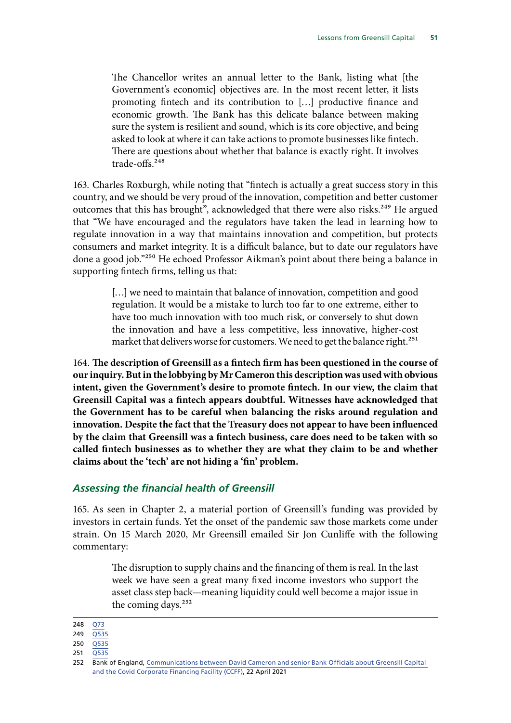The Chancellor writes an annual letter to the Bank, listing what [the Government's economic] objectives are. In the most recent letter, it lists promoting fintech and its contribution to […] productive finance and economic growth. The Bank has this delicate balance between making sure the system is resilient and sound, which is its core objective, and being asked to look at where it can take actions to promote businesses like fintech. There are questions about whether that balance is exactly right. It involves trade-offs.<sup>248</sup>

163. Charles Roxburgh, while noting that "fintech is actually a great success story in this country, and we should be very proud of the innovation, competition and better customer outcomes that this has brought", acknowledged that there were also risks.<sup>249</sup> He argued that "We have encouraged and the regulators have taken the lead in learning how to regulate innovation in a way that maintains innovation and competition, but protects consumers and market integrity. It is a difficult balance, but to date our regulators have done a good job."250 He echoed Professor Aikman's point about there being a balance in supporting fintech firms, telling us that:

> [...] we need to maintain that balance of innovation, competition and good regulation. It would be a mistake to lurch too far to one extreme, either to have too much innovation with too much risk, or conversely to shut down the innovation and have a less competitive, less innovative, higher-cost market that delivers worse for customers. We need to get the balance right.<sup>251</sup>

164. **The description of Greensill as a fintech firm has been questioned in the course of our inquiry. But in the lobbying by Mr Cameron this description was used with obvious intent, given the Government's desire to promote fintech. In our view, the claim that Greensill Capital was a fintech appears doubtful. Witnesses have acknowledged that the Government has to be careful when balancing the risks around regulation and innovation. Despite the fact that the Treasury does not appear to have been influenced by the claim that Greensill was a fintech business, care does need to be taken with so called fintech businesses as to whether they are what they claim to be and whether claims about the 'tech' are not hiding a 'fin' problem.**

#### *Assessing the financial health of Greensill*

165. As seen in Chapter 2, a material portion of Greensill's funding was provided by investors in certain funds. Yet the onset of the pandemic saw those markets come under strain. On 15 March 2020, Mr Greensill emailed Sir Jon Cunliffe with the following commentary:

> The disruption to supply chains and the financing of them is real. In the last week we have seen a great many fixed income investors who support the asset class step back—meaning liquidity could well become a major issue in the coming days.<sup>252</sup>

<sup>248</sup> [Q73](https://committees.parliament.uk/oralevidence/2138/html/)

<sup>249</sup> [Q535](https://committees.parliament.uk/oralevidence/2292/pdf/)

<sup>250</sup> [Q535](https://committees.parliament.uk/oralevidence/2292/pdf/)

<sup>251</sup> [Q535](https://committees.parliament.uk/oralevidence/2292/pdf/)

<sup>252</sup> Bank of England, [Communications between David Cameron and senior Bank Officials about Greensill Capital](https://www.bankofengland.co.uk/-/media/boe/files/freedom-of-information/2021/response-information.pdf?la=en&hash=46C7ACF152D47174EB8A48CB62F2A81CBCED3DFA)  [and the Covid Corporate Financing Facility \(CCFF\)](https://www.bankofengland.co.uk/-/media/boe/files/freedom-of-information/2021/response-information.pdf?la=en&hash=46C7ACF152D47174EB8A48CB62F2A81CBCED3DFA), 22 April 2021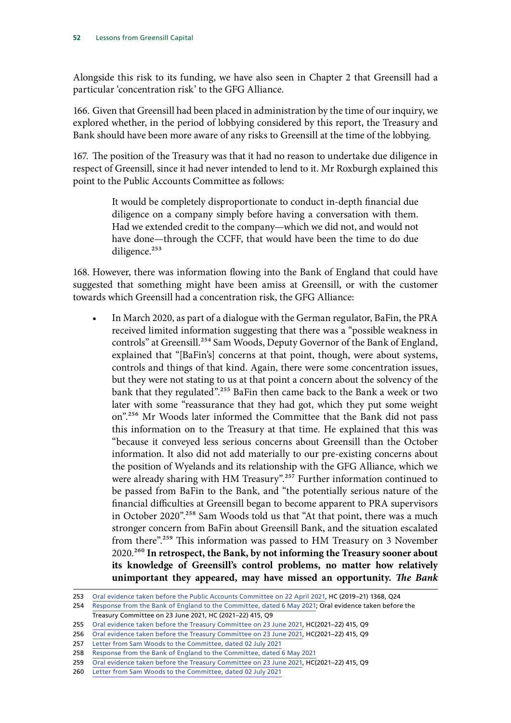Alongside this risk to its funding, we have also seen in Chapter 2 that Greensill had a particular 'concentration risk' to the GFG Alliance.

166. Given that Greensill had been placed in administration by the time of our inquiry, we explored whether, in the period of lobbying considered by this report, the Treasury and Bank should have been more aware of any risks to Greensill at the time of the lobbying.

167. The position of the Treasury was that it had no reason to undertake due diligence in respect of Greensill, since it had never intended to lend to it. Mr Roxburgh explained this point to the Public Accounts Committee as follows:

> It would be completely disproportionate to conduct in-depth financial due diligence on a company simply before having a conversation with them. Had we extended credit to the company—which we did not, and would not have done—through the CCFF, that would have been the time to do due diligence.<sup>253</sup>

168. However, there was information flowing into the Bank of England that could have suggested that something might have been amiss at Greensill, or with the customer towards which Greensill had a concentration risk, the GFG Alliance:

• In March 2020, as part of a dialogue with the German regulator, BaFin, the PRA received limited information suggesting that there was a "possible weakness in controls" at Greensill.254 Sam Woods, Deputy Governor of the Bank of England, explained that "[BaFin's] concerns at that point, though, were about systems, controls and things of that kind. Again, there were some concentration issues, but they were not stating to us at that point a concern about the solvency of the bank that they regulated".<sup>255</sup> BaFin then came back to the Bank a week or two later with some "reassurance that they had got, which they put some weight on".<sup>256</sup> Mr Woods later informed the Committee that the Bank did not pass this information on to the Treasury at that time. He explained that this was "because it conveyed less serious concerns about Greensill than the October information. It also did not add materially to our pre-existing concerns about the position of Wyelands and its relationship with the GFG Alliance, which we were already sharing with HM Treasury".<sup>257</sup> Further information continued to be passed from BaFin to the Bank, and "the potentially serious nature of the financial difficulties at Greensill began to become apparent to PRA supervisors in October 2020".<sup>258</sup> Sam Woods told us that "At that point, there was a much stronger concern from BaFin about Greensill Bank, and the situation escalated from there".259 This information was passed to HM Treasury on 3 November 2020.260 **In retrospect, the Bank, by not informing the Treasury sooner about its knowledge of Greensill's control problems, no matter how relatively unimportant they appeared, may have missed an opportunity.** *The Bank* 

<sup>253</sup> [Oral evidence taken before the Public Accounts Committee on 22 April 2021,](https://committees.parliament.uk/oralevidence/2083/default/) HC (2019–21) 1368, Q24

<sup>254</sup> [Response from the Bank of England to the Committee, dated 6 May 2021](https://committees.parliament.uk/publications/5759/documents/66073/default/); [Oral evidence taken before the](https://committees.parliament.uk/oralevidence/2433/pdf/)  [Treasury Committee on 23 June 2021](https://committees.parliament.uk/oralevidence/2433/pdf/), HC (2021–22) 415, Q9

<sup>255</sup> [Oral evidence taken before the Treasury Committee on 23 June 2021](https://committees.parliament.uk/oralevidence/2433/pdf/), HC(2021–22) 415, Q9

<sup>256</sup> [Oral evidence taken before the Treasury Committee on 23 June 2021](https://committees.parliament.uk/oralevidence/2433/pdf/), HC(2021-22) 415, Q9

<sup>257</sup> [Letter from Sam Woods to the Committee, dated 02 July 2021](https://committees.parliament.uk/publications/6744/documents/71940/default/)

<sup>258</sup> [Response from the Bank of England to the Committee, dated 6 May 2021](https://committees.parliament.uk/publications/5759/documents/66073/default/)

<sup>259</sup> [Oral evidence taken before the Treasury Committee on 23 June 2021](https://committees.parliament.uk/oralevidence/2433/pdf/), HC(2021–22) 415, Q9

<sup>260</sup> [Letter from Sam Woods to the Committee, dated 02 July 2021](https://committees.parliament.uk/publications/6744/documents/71940/default/)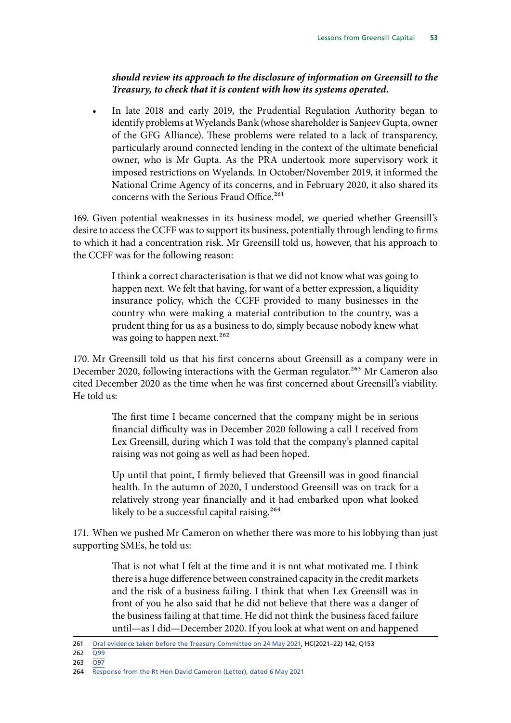### *should review its approach to the disclosure of information on Greensill to the Treasury, to check that it is content with how its systems operated.*

• In late 2018 and early 2019, the Prudential Regulation Authority began to identify problems at Wyelands Bank (whose shareholder is Sanjeev Gupta, owner of the GFG Alliance). These problems were related to a lack of transparency, particularly around connected lending in the context of the ultimate beneficial owner, who is Mr Gupta. As the PRA undertook more supervisory work it imposed restrictions on Wyelands. In October/November 2019, it informed the National Crime Agency of its concerns, and in February 2020, it also shared its concerns with the Serious Fraud Office.<sup>261</sup>

169. Given potential weaknesses in its business model, we queried whether Greensill's desire to access the CCFF was to support its business, potentially through lending to firms to which it had a concentration risk. Mr Greensill told us, however, that his approach to the CCFF was for the following reason:

> I think a correct characterisation is that we did not know what was going to happen next. We felt that having, for want of a better expression, a liquidity insurance policy, which the CCFF provided to many businesses in the country who were making a material contribution to the country, was a prudent thing for us as a business to do, simply because nobody knew what was going to happen next.<sup>262</sup>

170. Mr Greensill told us that his first concerns about Greensill as a company were in December 2020, following interactions with the German regulator.<sup>263</sup> Mr Cameron also cited December 2020 as the time when he was first concerned about Greensill's viability. He told us:

> The first time I became concerned that the company might be in serious financial difficulty was in December 2020 following a call I received from Lex Greensill, during which I was told that the company's planned capital raising was not going as well as had been hoped.

> Up until that point, I firmly believed that Greensill was in good financial health. In the autumn of 2020, I understood Greensill was on track for a relatively strong year financially and it had embarked upon what looked likely to be a successful capital raising.<sup>264</sup>

171. When we pushed Mr Cameron on whether there was more to his lobbying than just supporting SMEs, he told us:

> That is not what I felt at the time and it is not what motivated me. I think there is a huge difference between constrained capacity in the credit markets and the risk of a business failing. I think that when Lex Greensill was in front of you he also said that he did not believe that there was a danger of the business failing at that time. He did not think the business faced failure until—as I did—December 2020. If you look at what went on and happened

<sup>261</sup> [Oral evidence taken before the Treasury Committee on 24 May 2021,](https://committees.parliament.uk/oralevidence/2236/pdf/) HC(2021–22) 142, Q153

 $262 \quad \overline{Q99}$  $262 \quad \overline{Q99}$  $262 \quad \overline{Q99}$ 

<sup>263</sup> [Q97](https://committees.parliament.uk/oralevidence/2149/pdf/)

<sup>264</sup> [Response from the Rt Hon David Cameron \(Letter\), dated 6 May 2021](https://committees.parliament.uk/publications/5764/documents/66068/default/)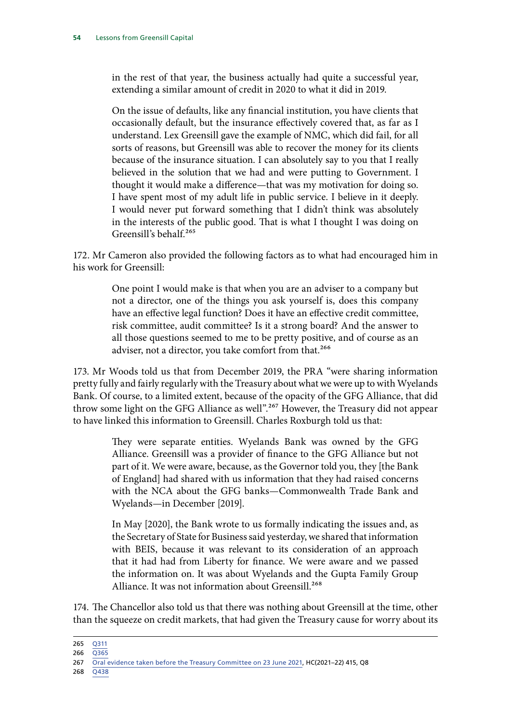in the rest of that year, the business actually had quite a successful year, extending a similar amount of credit in 2020 to what it did in 2019.

On the issue of defaults, like any financial institution, you have clients that occasionally default, but the insurance effectively covered that, as far as I understand. Lex Greensill gave the example of NMC, which did fail, for all sorts of reasons, but Greensill was able to recover the money for its clients because of the insurance situation. I can absolutely say to you that I really believed in the solution that we had and were putting to Government. I thought it would make a difference—that was my motivation for doing so. I have spent most of my adult life in public service. I believe in it deeply. I would never put forward something that I didn't think was absolutely in the interests of the public good. That is what I thought I was doing on Greensill's behalf.265

172. Mr Cameron also provided the following factors as to what had encouraged him in his work for Greensill:

> One point I would make is that when you are an adviser to a company but not a director, one of the things you ask yourself is, does this company have an effective legal function? Does it have an effective credit committee, risk committee, audit committee? Is it a strong board? And the answer to all those questions seemed to me to be pretty positive, and of course as an adviser, not a director, you take comfort from that.<sup>266</sup>

173. Mr Woods told us that from December 2019, the PRA "were sharing information pretty fully and fairly regularly with the Treasury about what we were up to with Wyelands Bank. Of course, to a limited extent, because of the opacity of the GFG Alliance, that did throw some light on the GFG Alliance as well".267 However, the Treasury did not appear to have linked this information to Greensill. Charles Roxburgh told us that:

> They were separate entities. Wyelands Bank was owned by the GFG Alliance. Greensill was a provider of finance to the GFG Alliance but not part of it. We were aware, because, as the Governor told you, they [the Bank of England] had shared with us information that they had raised concerns with the NCA about the GFG banks—Commonwealth Trade Bank and Wyelands—in December [2019].

> In May [2020], the Bank wrote to us formally indicating the issues and, as the Secretary of State for Business said yesterday, we shared that information with BEIS, because it was relevant to its consideration of an approach that it had had from Liberty for finance. We were aware and we passed the information on. It was about Wyelands and the Gupta Family Group Alliance. It was not information about Greensill.<sup>268</sup>

174. The Chancellor also told us that there was nothing about Greensill at the time, other than the squeeze on credit markets, that had given the Treasury cause for worry about its

<sup>265</sup> [Q311](https://committees.parliament.uk/oralevidence/2163/pdf/)

<sup>266</sup> [Q365](https://committees.parliament.uk/oralevidence/2163/pdf/)

<sup>267</sup> [Oral evidence taken before the Treasury Committee on 23 June 2021](https://committees.parliament.uk/oralevidence/2433/pdf/), HC(2021–22) 415, Q8

<sup>268</sup> [Q438](https://committees.parliament.uk/oralevidence/2292/pdf/)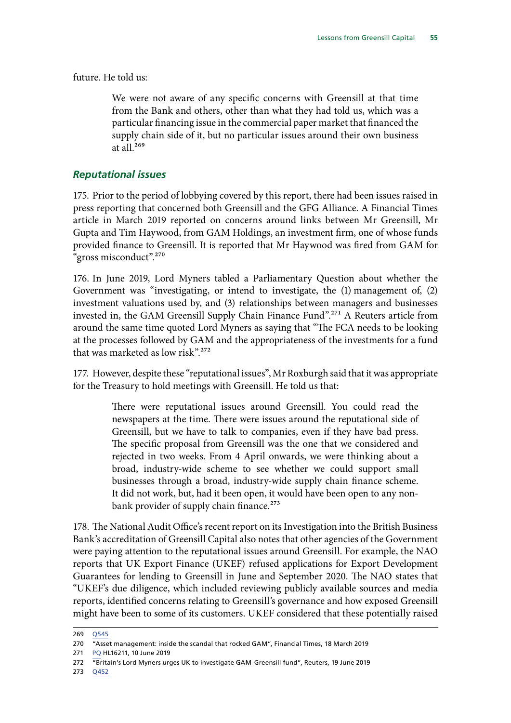future. He told us:

We were not aware of any specific concerns with Greensill at that time from the Bank and others, other than what they had told us, which was a particular financing issue in the commercial paper market that financed the supply chain side of it, but no particular issues around their own business at all $^{269}$ 

#### *Reputational issues*

175. Prior to the period of lobbying covered by this report, there had been issues raised in press reporting that concerned both Greensill and the GFG Alliance. A Financial Times article in March 2019 reported on concerns around links between Mr Greensill, Mr Gupta and Tim Haywood, from GAM Holdings, an investment firm, one of whose funds provided finance to Greensill. It is reported that Mr Haywood was fired from GAM for "gross misconduct".270

176. In June 2019, Lord Myners tabled a Parliamentary Question about whether the Government was "investigating, or intend to investigate, the (1) management of, (2) investment valuations used by, and (3) relationships between managers and businesses invested in, the GAM Greensill Supply Chain Finance Fund".271 A Reuters article from around the same time quoted Lord Myners as saying that "The FCA needs to be looking at the processes followed by GAM and the appropriateness of the investments for a fund that was marketed as low risk".<sup>272</sup>

177. However, despite these "reputational issues", Mr Roxburgh said that it was appropriate for the Treasury to hold meetings with Greensill. He told us that:

> There were reputational issues around Greensill. You could read the newspapers at the time. There were issues around the reputational side of Greensill, but we have to talk to companies, even if they have bad press. The specific proposal from Greensill was the one that we considered and rejected in two weeks. From 4 April onwards, we were thinking about a broad, industry-wide scheme to see whether we could support small businesses through a broad, industry-wide supply chain finance scheme. It did not work, but, had it been open, it would have been open to any nonbank provider of supply chain finance.<sup>273</sup>

178. The National Audit Office's recent report on its Investigation into the British Business Bank's accreditation of Greensill Capital also notes that other agencies of the Government were paying attention to the reputational issues around Greensill. For example, the NAO reports that UK Export Finance (UKEF) refused applications for Export Development Guarantees for lending to Greensill in June and September 2020. The NAO states that "UKEF's due diligence, which included reviewing publicly available sources and media reports, identified concerns relating to Greensill's governance and how exposed Greensill might have been to some of its customers. UKEF considered that these potentially raised

273 [Q452](https://committees.parliament.uk/oralevidence/2292/pdf/)

<sup>269</sup> [Q545](https://committees.parliament.uk/oralevidence/2293/pdf/)

<sup>270</sup> "Asset management: inside the scandal that rocked GAM", Financial Times, 18 March 2019

<sup>271</sup> [PQ](https://questions-statements.parliament.uk/written-questions/detail/2019-06-10/HL16211) HL16211, 10 June 2019

<sup>272</sup> "Britain's Lord Myners urges UK to investigate GAM-Greensill fund", Reuters, 19 June 2019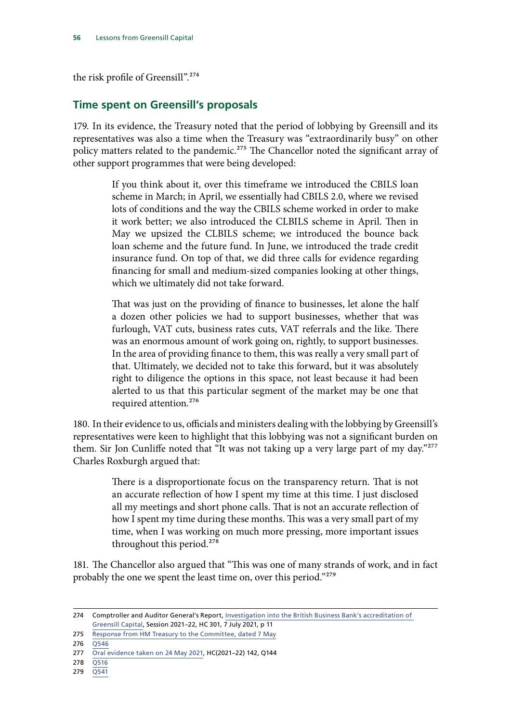the risk profile of Greensill".<sup>274</sup>

# **Time spent on Greensill's proposals**

179. In its evidence, the Treasury noted that the period of lobbying by Greensill and its representatives was also a time when the Treasury was "extraordinarily busy" on other policy matters related to the pandemic.<sup>275</sup> The Chancellor noted the significant array of other support programmes that were being developed:

> If you think about it, over this timeframe we introduced the CBILS loan scheme in March; in April, we essentially had CBILS 2.0, where we revised lots of conditions and the way the CBILS scheme worked in order to make it work better; we also introduced the CLBILS scheme in April. Then in May we upsized the CLBILS scheme; we introduced the bounce back loan scheme and the future fund. In June, we introduced the trade credit insurance fund. On top of that, we did three calls for evidence regarding financing for small and medium-sized companies looking at other things, which we ultimately did not take forward.

> That was just on the providing of finance to businesses, let alone the half a dozen other policies we had to support businesses, whether that was furlough, VAT cuts, business rates cuts, VAT referrals and the like. There was an enormous amount of work going on, rightly, to support businesses. In the area of providing finance to them, this was really a very small part of that. Ultimately, we decided not to take this forward, but it was absolutely right to diligence the options in this space, not least because it had been alerted to us that this particular segment of the market may be one that required attention.276

180. In their evidence to us, officials and ministers dealing with the lobbying by Greensill's representatives were keen to highlight that this lobbying was not a significant burden on them. Sir Jon Cunliffe noted that "It was not taking up a very large part of my day."277 Charles Roxburgh argued that:

> There is a disproportionate focus on the transparency return. That is not an accurate reflection of how I spent my time at this time. I just disclosed all my meetings and short phone calls. That is not an accurate reflection of how I spent my time during these months. This was a very small part of my time, when I was working on much more pressing, more important issues throughout this period.<sup>278</sup>

181. The Chancellor also argued that "This was one of many strands of work, and in fact probably the one we spent the least time on, over this period."279

<sup>274</sup> Comptroller and Auditor General's Report, [Investigation into the British Business Bank's accreditation of](https://www.nao.org.uk/wp-content/uploads/2021/07/Investigation-into-the-British-Business-Banks-accreditation-of-Greensill-Capital.pdf)  [Greensill Capital](https://www.nao.org.uk/wp-content/uploads/2021/07/Investigation-into-the-British-Business-Banks-accreditation-of-Greensill-Capital.pdf), Session 2021–22, HC 301, 7 July 2021, p 11

<sup>275</sup> [Response from HM Treasury to the Committee, dated 7 May](https://committees.parliament.uk/publications/5758/documents/66074/default/)

<sup>276 0546</sup> 

<sup>277</sup> [Oral evidence taken on 24 May 2021,](https://committees.parliament.uk/oralevidence/2236/pdf/) HC(2021–22) 142, Q144

<sup>278</sup> [Q516](https://committees.parliament.uk/oralevidence/2292/pdf/)

<sup>279</sup> [Q541](https://committees.parliament.uk/oralevidence/2293/pdf/)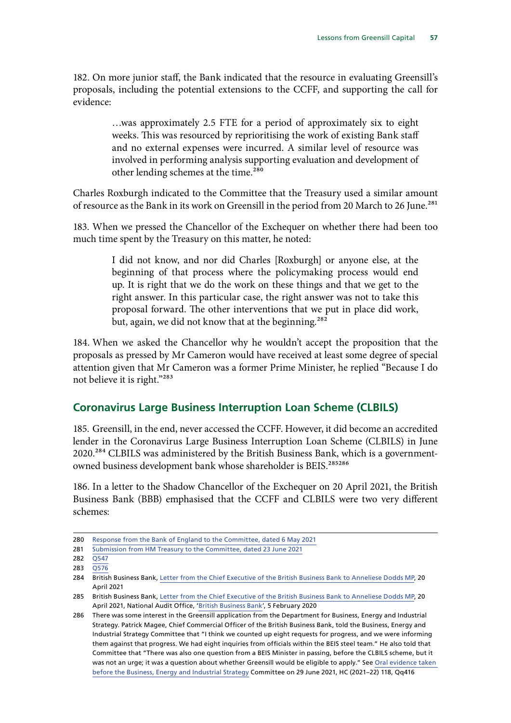182. On more junior staff, the Bank indicated that the resource in evaluating Greensill's proposals, including the potential extensions to the CCFF, and supporting the call for evidence:

> …was approximately 2.5 FTE for a period of approximately six to eight weeks. This was resourced by reprioritising the work of existing Bank staff and no external expenses were incurred. A similar level of resource was involved in performing analysis supporting evaluation and development of other lending schemes at the time.<sup>280</sup>

Charles Roxburgh indicated to the Committee that the Treasury used a similar amount of resource as the Bank in its work on Greensill in the period from 20 March to 26 June.<sup>281</sup>

183. When we pressed the Chancellor of the Exchequer on whether there had been too much time spent by the Treasury on this matter, he noted:

> I did not know, and nor did Charles [Roxburgh] or anyone else, at the beginning of that process where the policymaking process would end up. It is right that we do the work on these things and that we get to the right answer. In this particular case, the right answer was not to take this proposal forward. The other interventions that we put in place did work, but, again, we did not know that at the beginning.<sup>282</sup>

184. When we asked the Chancellor why he wouldn't accept the proposition that the proposals as pressed by Mr Cameron would have received at least some degree of special attention given that Mr Cameron was a former Prime Minister, he replied "Because I do not believe it is right."283

#### **Coronavirus Large Business Interruption Loan Scheme (CLBILS)**

185. Greensill, in the end, never accessed the CCFF. However, it did become an accredited lender in the Coronavirus Large Business Interruption Loan Scheme (CLBILS) in June 2020.<sup>284</sup> CLBILS was administered by the British Business Bank, which is a governmentowned business development bank whose shareholder is BEIS.<sup>285286</sup>

186. In a letter to the Shadow Chancellor of the Exchequer on 20 April 2021, the British Business Bank (BBB) emphasised that the CCFF and CLBILS were two very different schemes:

<sup>280</sup> [Response from the Bank of England to the Committee, dated 6 May 2021](https://committees.parliament.uk/publications/5759/documents/66073/default/)

<sup>281</sup> [Submission from HM Treasury to the Committee, dated 23 June 2021](https://committees.parliament.uk/publications/6475/documents/70576/default/)

<sup>282</sup> [Q547](https://committees.parliament.uk/oralevidence/2293/pdf/)

<sup>283</sup> [Q576](https://committees.parliament.uk/oralevidence/2293/pdf/)

<sup>284</sup> British Business Bank, [Letter from the Chief Executive of the British Business Bank to Anneliese Dodds MP,](https://www.british-business-bank.co.uk/wp-content/uploads/2021/04/Letter-from-CLLT-to-Anneliese-Dodds-re-Greensill-Final-Version-20-April-2021.pdf) 20 April 2021

<sup>285</sup> British Business Bank, Letter from the Chief Executive of the British Business Bank to Anneliese Dodds MP, 20 [April 2021,](https://www.british-business-bank.co.uk/wp-content/uploads/2021/04/Letter-from-CLLT-to-Anneliese-Dodds-re-Greensill-Final-Version-20-April-2021.pdf) National Audit Office, ['British Business Bank'](https://www.nao.org.uk/wp-content/uploads/2020/01/British-Business-Bank.pdf), 5 February 2020

<sup>286</sup> There was some interest in the Greensill application from the Department for Business, Energy and Industrial Strategy. Patrick Magee, Chief Commercial Officer of the British Business Bank, told the Business, Energy and Industrial Strategy Committee that "I think we counted up eight requests for progress, and we were informing them against that progress. We had eight inquiries from officials within the BEIS steel team." He also told that Committee that "There was also one question from a BEIS Minister in passing, before the CLBILS scheme, but it was not an urge; it was a question about whether Greensill would be eligible to apply." See [Oral evidence taken](https://committees.parliament.uk/oralevidence/2451/pdf/)  [before the Business, Energy and Industrial Strategy](https://committees.parliament.uk/oralevidence/2451/pdf/) Committee on 29 June 2021, HC (2021–22) 118, Qq416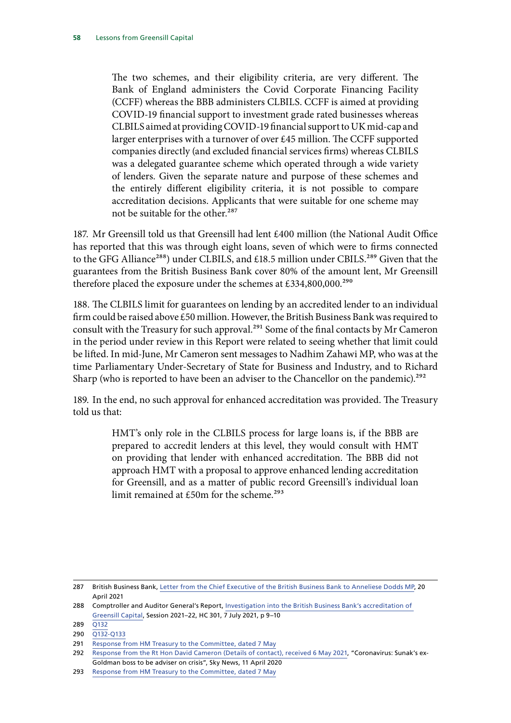The two schemes, and their eligibility criteria, are very different. The Bank of England administers the Covid Corporate Financing Facility (CCFF) whereas the BBB administers CLBILS. CCFF is aimed at providing COVID-19 financial support to investment grade rated businesses whereas CLBILS aimed at providing COVID-19 financial support to UK mid-cap and larger enterprises with a turnover of over £45 million. The CCFF supported companies directly (and excluded financial services firms) whereas CLBILS was a delegated guarantee scheme which operated through a wide variety of lenders. Given the separate nature and purpose of these schemes and the entirely different eligibility criteria, it is not possible to compare accreditation decisions. Applicants that were suitable for one scheme may not be suitable for the other.<sup>287</sup>

187. Mr Greensill told us that Greensill had lent £400 million (the National Audit Office has reported that this was through eight loans, seven of which were to firms connected to the GFG Alliance<sup>288</sup>) under CLBILS, and £18.5 million under CBILS.<sup>289</sup> Given that the guarantees from the British Business Bank cover 80% of the amount lent, Mr Greensill therefore placed the exposure under the schemes at £334,800,000.<sup>290</sup>

188. The CLBILS limit for guarantees on lending by an accredited lender to an individual firm could be raised above £50 million. However, the British Business Bank was required to consult with the Treasury for such approval.<sup>291</sup> Some of the final contacts by Mr Cameron in the period under review in this Report were related to seeing whether that limit could be lifted. In mid-June, Mr Cameron sent messages to Nadhim Zahawi MP, who was at the time Parliamentary Under-Secretary of State for Business and Industry, and to Richard Sharp (who is reported to have been an adviser to the Chancellor on the pandemic).<sup>292</sup>

189. In the end, no such approval for enhanced accreditation was provided. The Treasury told us that:

> HMT's only role in the CLBILS process for large loans is, if the BBB are prepared to accredit lenders at this level, they would consult with HMT on providing that lender with enhanced accreditation. The BBB did not approach HMT with a proposal to approve enhanced lending accreditation for Greensill, and as a matter of public record Greensill's individual loan limit remained at  $£50m$  for the scheme.<sup>293</sup>

<sup>287</sup> British Business Bank, [Letter from the Chief Executive of the British Business Bank to Anneliese Dodds MP,](https://www.british-business-bank.co.uk/wp-content/uploads/2021/04/Letter-from-CLLT-to-Anneliese-Dodds-re-Greensill-Final-Version-20-April-2021.pdf) 20 April 2021

<sup>288</sup> Comptroller and Auditor General's Report, [Investigation into the British Business Bank's accreditation of](https://www.nao.org.uk/wp-content/uploads/2021/07/Investigation-into-the-British-Business-Banks-accreditation-of-Greensill-Capital.pdf)  [Greensill Capital](https://www.nao.org.uk/wp-content/uploads/2021/07/Investigation-into-the-British-Business-Banks-accreditation-of-Greensill-Capital.pdf), Session 2021–22, HC 301, 7 July 2021, p 9–10

<sup>289</sup> [Q132](https://committees.parliament.uk/oralevidence/2149/pdf/)

<sup>290</sup> [Q132-Q133](https://committees.parliament.uk/oralevidence/2149/pdf/)

<sup>291</sup> [Response from HM Treasury to the Committee, dated 7 May](https://committees.parliament.uk/publications/5758/documents/66074/default/)

<sup>292</sup> [Response from the Rt Hon David Cameron \(Details of contact\), received 6 May 2021,](https://committees.parliament.uk/publications/5763/documents/66069/default/) ["Coronavirus: Sunak's ex-](https://news.sky.com/story/coronavirus-sunaks-ex-goldman-boss-to-be-adviser-on-crisis-11971965)[Goldman boss to be adviser on crisis"](https://news.sky.com/story/coronavirus-sunaks-ex-goldman-boss-to-be-adviser-on-crisis-11971965), Sky News, 11 April 2020

<sup>293</sup> [Response from HM Treasury to the Committee, dated 7 May](https://committees.parliament.uk/publications/5758/documents/66074/default/)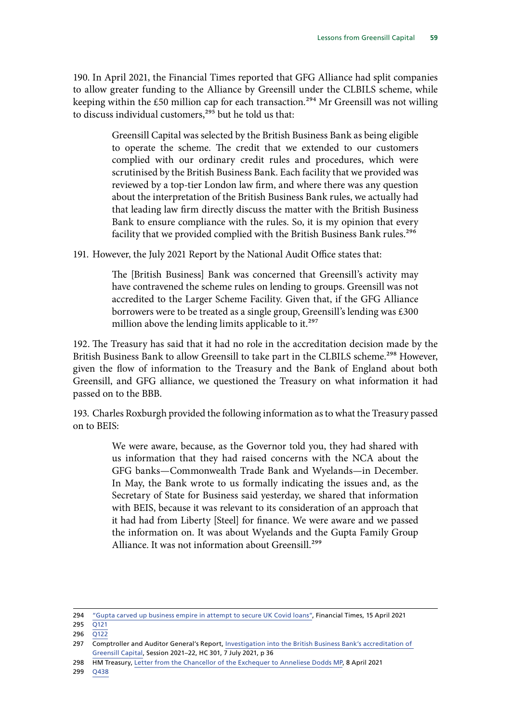190. In April 2021, the Financial Times reported that GFG Alliance had split companies to allow greater funding to the Alliance by Greensill under the CLBILS scheme, while keeping within the £50 million cap for each transaction.<sup>294</sup> Mr Greensill was not willing to discuss individual customers,<sup>295</sup> but he told us that:

> Greensill Capital was selected by the British Business Bank as being eligible to operate the scheme. The credit that we extended to our customers complied with our ordinary credit rules and procedures, which were scrutinised by the British Business Bank. Each facility that we provided was reviewed by a top-tier London law firm, and where there was any question about the interpretation of the British Business Bank rules, we actually had that leading law firm directly discuss the matter with the British Business Bank to ensure compliance with the rules. So, it is my opinion that every facility that we provided complied with the British Business Bank rules.<sup>296</sup>

191. However, the July 2021 Report by the National Audit Office states that:

The [British Business] Bank was concerned that Greensill's activity may have contravened the scheme rules on lending to groups. Greensill was not accredited to the Larger Scheme Facility. Given that, if the GFG Alliance borrowers were to be treated as a single group, Greensill's lending was £300 million above the lending limits applicable to it.<sup>297</sup>

192. The Treasury has said that it had no role in the accreditation decision made by the British Business Bank to allow Greensill to take part in the CLBILS scheme.<sup>298</sup> However, given the flow of information to the Treasury and the Bank of England about both Greensill, and GFG alliance, we questioned the Treasury on what information it had passed on to the BBB.

193. Charles Roxburgh provided the following information as to what the Treasury passed on to BEIS:

> We were aware, because, as the Governor told you, they had shared with us information that they had raised concerns with the NCA about the GFG banks—Commonwealth Trade Bank and Wyelands—in December. In May, the Bank wrote to us formally indicating the issues and, as the Secretary of State for Business said yesterday, we shared that information with BEIS, because it was relevant to its consideration of an approach that it had had from Liberty [Steel] for finance. We were aware and we passed the information on. It was about Wyelands and the Gupta Family Group Alliance. It was not information about Greensill.<sup>299</sup>

296 [Q122](https://committees.parliament.uk/oralevidence/2149/pdf/)

299 [Q438](https://committees.parliament.uk/oralevidence/2292/pdf/)

<sup>294</sup> ["Gupta carved up business empire in attempt to secure UK Covid loans",](https://www.ft.com/content/b2c846db-2537-47e3-a75d-5118c69ba54a) Financial Times, 15 April 2021

<sup>295</sup> [Q121](https://committees.parliament.uk/oralevidence/2149/pdf/)

<sup>297</sup> Comptroller and Auditor General's Report, Investigation into the British Business Bank's accreditation of [Greensill Capital](https://www.nao.org.uk/wp-content/uploads/2021/07/Investigation-into-the-British-Business-Banks-accreditation-of-Greensill-Capital.pdf), Session 2021–22, HC 301, 7 July 2021, p 36

<sup>298</sup> HM Treasury, [Letter from the Chancellor of the Exchequer to Anneliese Dodds MP](https://assets.publishing.service.gov.uk/government/uploads/system/uploads/attachment_data/file/977194/20210408_-_Letter_from_the_Chancellor_to_Anneliese_Dodds_-_Greensill_Capital.pdf), 8 April 2021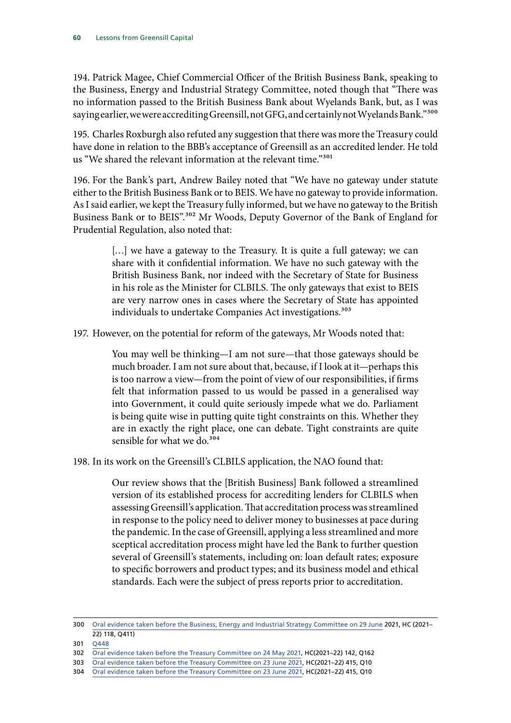194. Patrick Magee, Chief Commercial Officer of the British Business Bank, speaking to the Business, Energy and Industrial Strategy Committee, noted though that "There was no information passed to the British Business Bank about Wyelands Bank, but, as I was saying earlier, we were accrediting Greensill, not GFG, and certainly not Wyelands Bank."<sup>300</sup>

195. Charles Roxburgh also refuted any suggestion that there was more the Treasury could have done in relation to the BBB's acceptance of Greensill as an accredited lender. He told us "We shared the relevant information at the relevant time."<sup>301</sup>

196. For the Bank's part, Andrew Bailey noted that "We have no gateway under statute either to the British Business Bank or to BEIS. We have no gateway to provide information. As I said earlier, we kept the Treasury fully informed, but we have no gateway to the British Business Bank or to BEIS".302 Mr Woods, Deputy Governor of the Bank of England for Prudential Regulation, also noted that:

> [...] we have a gateway to the Treasury. It is quite a full gateway; we can share with it confidential information. We have no such gateway with the British Business Bank, nor indeed with the Secretary of State for Business in his role as the Minister for CLBILS. The only gateways that exist to BEIS are very narrow ones in cases where the Secretary of State has appointed individuals to undertake Companies Act investigations.<sup>303</sup>

197. However, on the potential for reform of the gateways, Mr Woods noted that:

You may well be thinking—I am not sure—that those gateways should be much broader. I am not sure about that, because, if I look at it—perhaps this is too narrow a view—from the point of view of our responsibilities, if firms felt that information passed to us would be passed in a generalised way into Government, it could quite seriously impede what we do. Parliament is being quite wise in putting quite tight constraints on this. Whether they are in exactly the right place, one can debate. Tight constraints are quite sensible for what we do.<sup>304</sup>

198. In its work on the Greensill's CLBILS application, the NAO found that:

Our review shows that the [British Business] Bank followed a streamlined version of its established process for accrediting lenders for CLBILS when assessing Greensill's application. That accreditation process was streamlined in response to the policy need to deliver money to businesses at pace during the pandemic. In the case of Greensill, applying a less streamlined and more sceptical accreditation process might have led the Bank to further question several of Greensill's statements, including on: loan default rates; exposure to specific borrowers and product types; and its business model and ethical standards. Each were the subject of press reports prior to accreditation.

<sup>300</sup> [Oral evidence taken before the Business, Energy and Industrial Strategy Committee on 29 June](https://committees.parliament.uk/oralevidence/2451/pdf/) 2021, HC (2021– 22) 118, Q411)

<sup>301</sup> [Q448](https://committees.parliament.uk/oralevidence/2292/pdf/)

<sup>302</sup> [Oral evidence taken before the Treasury Committee on 24 May 2021,](https://committees.parliament.uk/oralevidence/2236/pdf/) HC(2021–22) 142, Q162

<sup>303</sup> [Oral evidence taken before the Treasury Committee on 23 June 2021](https://committees.parliament.uk/oralevidence/2433/pdf/), HC(2021–22) 415, Q10

<sup>304</sup> [Oral evidence taken before the Treasury Committee on 23 June 2021](https://committees.parliament.uk/oralevidence/2433/pdf/), HC(2021–22) 415, Q10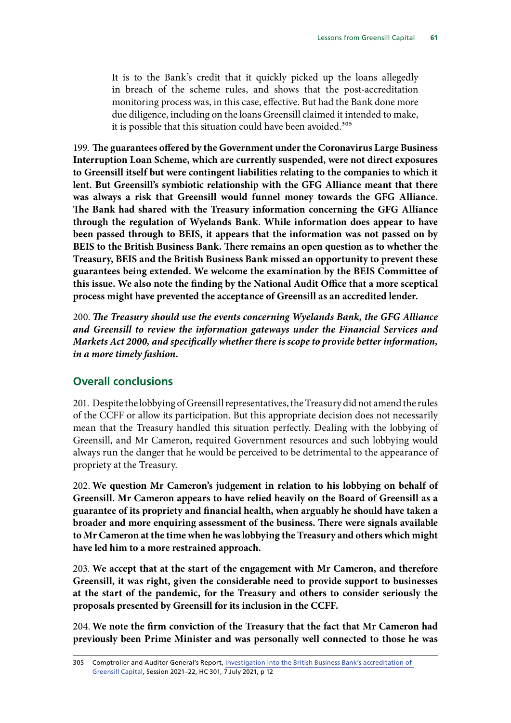It is to the Bank's credit that it quickly picked up the loans allegedly in breach of the scheme rules, and shows that the post-accreditation monitoring process was, in this case, effective. But had the Bank done more due diligence, including on the loans Greensill claimed it intended to make, it is possible that this situation could have been avoided.<sup>305</sup>

199. **The guarantees offered by the Government under the Coronavirus Large Business Interruption Loan Scheme, which are currently suspended, were not direct exposures to Greensill itself but were contingent liabilities relating to the companies to which it lent. But Greensill's symbiotic relationship with the GFG Alliance meant that there was always a risk that Greensill would funnel money towards the GFG Alliance. The Bank had shared with the Treasury information concerning the GFG Alliance through the regulation of Wyelands Bank. While information does appear to have been passed through to BEIS, it appears that the information was not passed on by BEIS to the British Business Bank. There remains an open question as to whether the Treasury, BEIS and the British Business Bank missed an opportunity to prevent these guarantees being extended. We welcome the examination by the BEIS Committee of this issue. We also note the finding by the National Audit Office that a more sceptical process might have prevented the acceptance of Greensill as an accredited lender.**

200. *The Treasury should use the events concerning Wyelands Bank, the GFG Alliance and Greensill to review the information gateways under the Financial Services and Markets Act 2000, and specifically whether there is scope to provide better information, in a more timely fashion.*

#### **Overall conclusions**

201. Despite the lobbying of Greensill representatives, the Treasury did not amend the rules of the CCFF or allow its participation. But this appropriate decision does not necessarily mean that the Treasury handled this situation perfectly. Dealing with the lobbying of Greensill, and Mr Cameron, required Government resources and such lobbying would always run the danger that he would be perceived to be detrimental to the appearance of propriety at the Treasury.

202. **We question Mr Cameron's judgement in relation to his lobbying on behalf of Greensill. Mr Cameron appears to have relied heavily on the Board of Greensill as a guarantee of its propriety and financial health, when arguably he should have taken a broader and more enquiring assessment of the business. There were signals available to Mr Cameron at the time when he was lobbying the Treasury and others which might have led him to a more restrained approach.**

203. **We accept that at the start of the engagement with Mr Cameron, and therefore Greensill, it was right, given the considerable need to provide support to businesses at the start of the pandemic, for the Treasury and others to consider seriously the proposals presented by Greensill for its inclusion in the CCFF.**

204. **We note the firm conviction of the Treasury that the fact that Mr Cameron had previously been Prime Minister and was personally well connected to those he was** 

<sup>305</sup> Comptroller and Auditor General's Report, [Investigation into the British Business Bank's accreditation of](https://www.nao.org.uk/wp-content/uploads/2021/07/Investigation-into-the-British-Business-Banks-accreditation-of-Greensill-Capital.pdf)  [Greensill Capital](https://www.nao.org.uk/wp-content/uploads/2021/07/Investigation-into-the-British-Business-Banks-accreditation-of-Greensill-Capital.pdf), Session 2021–22, HC 301, 7 July 2021, p 12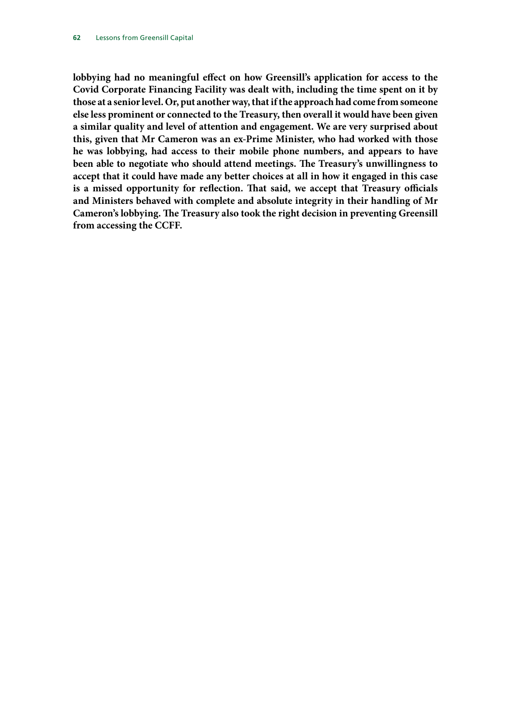**lobbying had no meaningful effect on how Greensill's application for access to the Covid Corporate Financing Facility was dealt with, including the time spent on it by those at a senior level. Or, put another way, that if the approach had come from someone else less prominent or connected to the Treasury, then overall it would have been given a similar quality and level of attention and engagement. We are very surprised about this, given that Mr Cameron was an ex-Prime Minister, who had worked with those he was lobbying, had access to their mobile phone numbers, and appears to have been able to negotiate who should attend meetings. The Treasury's unwillingness to accept that it could have made any better choices at all in how it engaged in this case is a missed opportunity for reflection. That said, we accept that Treasury officials and Ministers behaved with complete and absolute integrity in their handling of Mr Cameron's lobbying. The Treasury also took the right decision in preventing Greensill from accessing the CCFF.**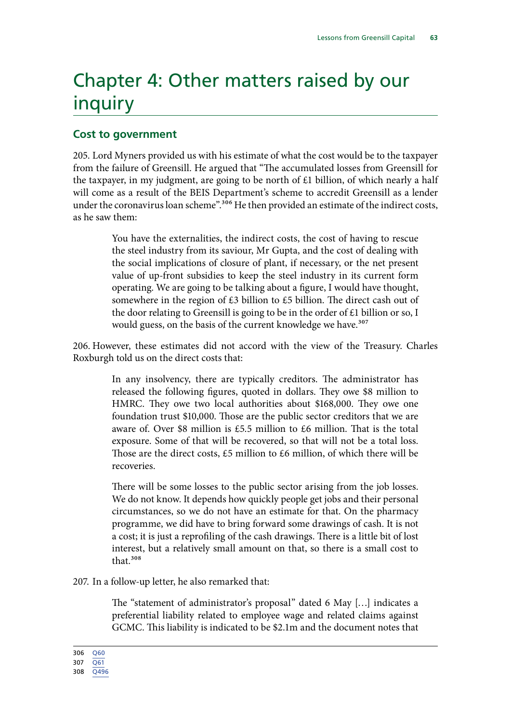# Chapter 4: Other matters raised by our inquiry

# **Cost to government**

205. Lord Myners provided us with his estimate of what the cost would be to the taxpayer from the failure of Greensill. He argued that "The accumulated losses from Greensill for the taxpayer, in my judgment, are going to be north of  $£1$  billion, of which nearly a half will come as a result of the BEIS Department's scheme to accredit Greensill as a lender under the coronavirus loan scheme".<sup>306</sup> He then provided an estimate of the indirect costs, as he saw them:

> You have the externalities, the indirect costs, the cost of having to rescue the steel industry from its saviour, Mr Gupta, and the cost of dealing with the social implications of closure of plant, if necessary, or the net present value of up-front subsidies to keep the steel industry in its current form operating. We are going to be talking about a figure, I would have thought, somewhere in the region of £3 billion to £5 billion. The direct cash out of the door relating to Greensill is going to be in the order of £1 billion or so, I would guess, on the basis of the current knowledge we have.<sup>307</sup>

206. However, these estimates did not accord with the view of the Treasury. Charles Roxburgh told us on the direct costs that:

> In any insolvency, there are typically creditors. The administrator has released the following figures, quoted in dollars. They owe \$8 million to HMRC. They owe two local authorities about \$168,000. They owe one foundation trust \$10,000. Those are the public sector creditors that we are aware of. Over \$8 million is £5.5 million to £6 million. That is the total exposure. Some of that will be recovered, so that will not be a total loss. Those are the direct costs, £5 million to £6 million, of which there will be recoveries.

> There will be some losses to the public sector arising from the job losses. We do not know. It depends how quickly people get jobs and their personal circumstances, so we do not have an estimate for that. On the pharmacy programme, we did have to bring forward some drawings of cash. It is not a cost; it is just a reprofiling of the cash drawings. There is a little bit of lost interest, but a relatively small amount on that, so there is a small cost to that.308

#### 207. In a follow-up letter, he also remarked that:

The "statement of administrator's proposal" dated 6 May […] indicates a preferential liability related to employee wage and related claims against GCMC. This liability is indicated to be \$2.1m and the document notes that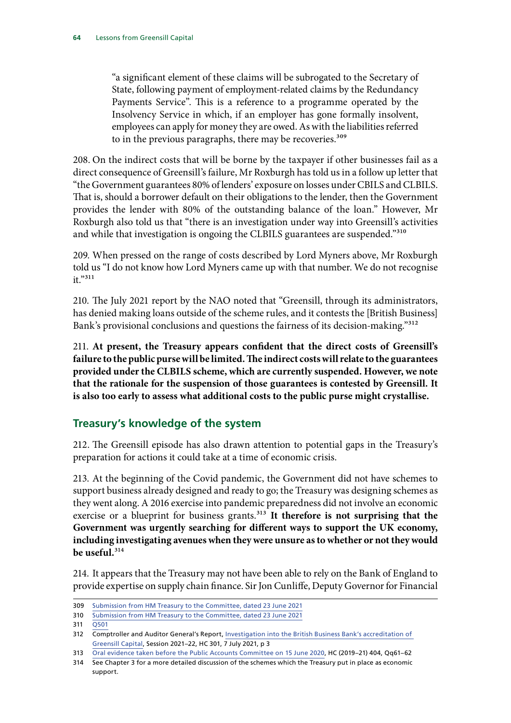"a significant element of these claims will be subrogated to the Secretary of State, following payment of employment-related claims by the Redundancy Payments Service". This is a reference to a programme operated by the Insolvency Service in which, if an employer has gone formally insolvent, employees can apply for money they are owed. As with the liabilities referred to in the previous paragraphs, there may be recoveries.<sup>309</sup>

208. On the indirect costs that will be borne by the taxpayer if other businesses fail as a direct consequence of Greensill's failure, Mr Roxburgh has told us in a follow up letter that "the Government guarantees 80% of lenders' exposure on losses under CBILS and CLBILS. That is, should a borrower default on their obligations to the lender, then the Government provides the lender with 80% of the outstanding balance of the loan." However, Mr Roxburgh also told us that "there is an investigation under way into Greensill's activities and while that investigation is ongoing the CLBILS guarantees are suspended."<sup>310</sup>

209. When pressed on the range of costs described by Lord Myners above, Mr Roxburgh told us "I do not know how Lord Myners came up with that number. We do not recognise it."311

210. The July 2021 report by the NAO noted that "Greensill, through its administrators, has denied making loans outside of the scheme rules, and it contests the [British Business] Bank's provisional conclusions and questions the fairness of its decision-making."312

211. **At present, the Treasury appears confident that the direct costs of Greensill's failure to the public purse will be limited. The indirect costs will relate to the guarantees provided under the CLBILS scheme, which are currently suspended. However, we note that the rationale for the suspension of those guarantees is contested by Greensill. It is also too early to assess what additional costs to the public purse might crystallise.**

# **Treasury's knowledge of the system**

212. The Greensill episode has also drawn attention to potential gaps in the Treasury's preparation for actions it could take at a time of economic crisis.

213. At the beginning of the Covid pandemic, the Government did not have schemes to support business already designed and ready to go; the Treasury was designing schemes as they went along. A 2016 exercise into pandemic preparedness did not involve an economic exercise or a blueprint for business grants.<sup>313</sup> It therefore is not surprising that the **Government was urgently searching for different ways to support the UK economy, including investigating avenues when they were unsure as to whether or not they would be useful.**314

214. It appears that the Treasury may not have been able to rely on the Bank of England to provide expertise on supply chain finance. Sir Jon Cunliffe, Deputy Governor for Financial

<sup>309</sup> [Submission from HM Treasury to the Committee, dated 23 June 2021](https://committees.parliament.uk/publications/6475/documents/70576/default/)

<sup>310</sup> [Submission from HM Treasury to the Committee, dated 23 June 2021](https://committees.parliament.uk/publications/6475/documents/70576/default/)

<sup>311</sup> [Q501](https://committees.parliament.uk/oralevidence/2292/pdf/)

<sup>312</sup> Comptroller and Auditor General's Report, [Investigation into the British Business Bank's accreditation of](https://www.nao.org.uk/wp-content/uploads/2021/07/Investigation-into-the-British-Business-Banks-accreditation-of-Greensill-Capital.pdf)  [Greensill Capital](https://www.nao.org.uk/wp-content/uploads/2021/07/Investigation-into-the-British-Business-Banks-accreditation-of-Greensill-Capital.pdf), Session 2021–22, HC 301, 7 July 2021, p 3

<sup>313</sup> [Oral evidence taken before the Public Accounts Committee on 15 June 2020](https://committees.parliament.uk/oralevidence/502/pdf/), HC (2019–21) 404, Qq61–62

<sup>314</sup> See Chapter 3 for a more detailed discussion of the schemes which the Treasury put in place as economic support.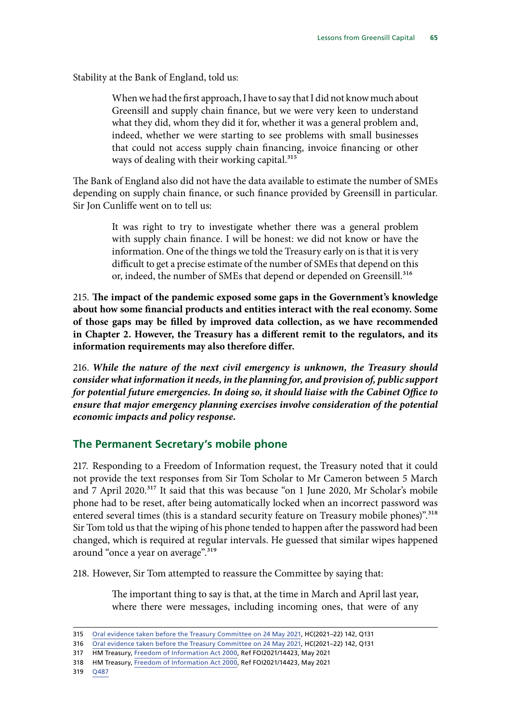Stability at the Bank of England, told us:

When we had the first approach, I have to say that I did not know much about Greensill and supply chain finance, but we were very keen to understand what they did, whom they did it for, whether it was a general problem and, indeed, whether we were starting to see problems with small businesses that could not access supply chain financing, invoice financing or other ways of dealing with their working capital.<sup>315</sup>

The Bank of England also did not have the data available to estimate the number of SMEs depending on supply chain finance, or such finance provided by Greensill in particular. Sir Jon Cunliffe went on to tell us:

> It was right to try to investigate whether there was a general problem with supply chain finance. I will be honest: we did not know or have the information. One of the things we told the Treasury early on is that it is very difficult to get a precise estimate of the number of SMEs that depend on this or, indeed, the number of SMEs that depend or depended on Greensill.<sup>316</sup>

215. **The impact of the pandemic exposed some gaps in the Government's knowledge about how some financial products and entities interact with the real economy. Some of those gaps may be filled by improved data collection, as we have recommended in Chapter 2. However, the Treasury has a different remit to the regulators, and its information requirements may also therefore differ.**

216. *While the nature of the next civil emergency is unknown, the Treasury should consider what information it needs, in the planning for, and provision of, public support for potential future emergencies. In doing so, it should liaise with the Cabinet Office to ensure that major emergency planning exercises involve consideration of the potential economic impacts and policy response.*

# **The Permanent Secretary's mobile phone**

217. Responding to a Freedom of Information request, the Treasury noted that it could not provide the text responses from Sir Tom Scholar to Mr Cameron between 5 March and 7 April 2020.317 It said that this was because "on 1 June 2020, Mr Scholar's mobile phone had to be reset, after being automatically locked when an incorrect password was entered several times (this is a standard security feature on Treasury mobile phones)".<sup>318</sup> Sir Tom told us that the wiping of his phone tended to happen after the password had been changed, which is required at regular intervals. He guessed that similar wipes happened around "once a year on average".<sup>319</sup>

218. However, Sir Tom attempted to reassure the Committee by saying that:

The important thing to say is that, at the time in March and April last year, where there were messages, including incoming ones, that were of any

<sup>315</sup> [Oral evidence taken before the Treasury Committee on 24 May 2021,](https://committees.parliament.uk/oralevidence/2236/pdf/) HC(2021–22) 142, Q131

<sup>316</sup> [Oral evidence taken before the Treasury Committee on 24 May 2021,](https://committees.parliament.uk/oralevidence/2236/pdf/) HC(2021–22) 142, Q131

<sup>317</sup> HM Treasury, [Freedom of Information Act 2000,](https://assets.publishing.service.gov.uk/government/uploads/system/uploads/attachment_data/file/988302/FOI2021_14423.pdf) Ref FOI2021/14423, May 2021

<sup>318</sup> HM Treasury, [Freedom of Information Act 2000,](https://assets.publishing.service.gov.uk/government/uploads/system/uploads/attachment_data/file/988302/FOI2021_14423.pdf) Ref FOI2021/14423, May 2021

<sup>319</sup> [Q487](https://committees.parliament.uk/oralevidence/2292/pdf/)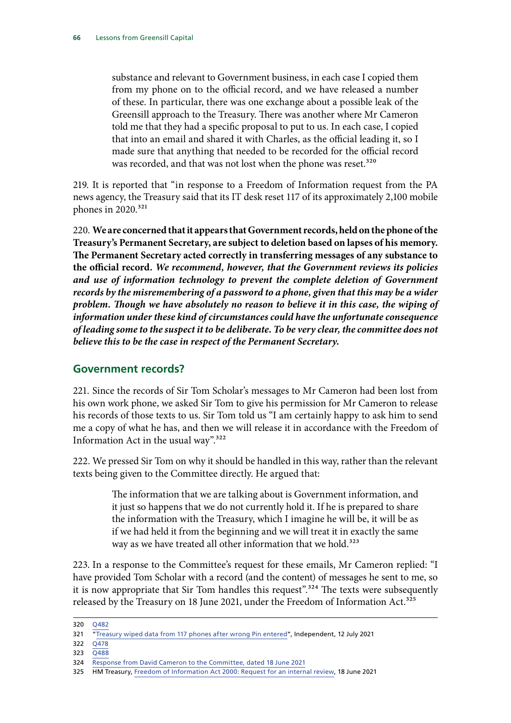substance and relevant to Government business, in each case I copied them from my phone on to the official record, and we have released a number of these. In particular, there was one exchange about a possible leak of the Greensill approach to the Treasury. There was another where Mr Cameron told me that they had a specific proposal to put to us. In each case, I copied that into an email and shared it with Charles, as the official leading it, so I made sure that anything that needed to be recorded for the official record was recorded, and that was not lost when the phone was reset.<sup>320</sup>

219. It is reported that "in response to a Freedom of Information request from the PA news agency, the Treasury said that its IT desk reset 117 of its approximately 2,100 mobile phones in 2020.<sup>321</sup>

220. **We are concerned that it appears that Government records, held on the phone of the Treasury's Permanent Secretary, are subject to deletion based on lapses of his memory. The Permanent Secretary acted correctly in transferring messages of any substance to the official record.** *We recommend, however, that the Government reviews its policies and use of information technology to prevent the complete deletion of Government records by the misremembering of a password to a phone, given that this may be a wider problem. Though we have absolutely no reason to believe it in this case, the wiping of information under these kind of circumstances could have the unfortunate consequence of leading some to the suspect it to be deliberate. To be very clear, the committee does not believe this to be the case in respect of the Permanent Secretary.*

# **Government records?**

221. Since the records of Sir Tom Scholar's messages to Mr Cameron had been lost from his own work phone, we asked Sir Tom to give his permission for Mr Cameron to release his records of those texts to us. Sir Tom told us "I am certainly happy to ask him to send me a copy of what he has, and then we will release it in accordance with the Freedom of Information Act in the usual way". $322$ 

222. We pressed Sir Tom on why it should be handled in this way, rather than the relevant texts being given to the Committee directly. He argued that:

> The information that we are talking about is Government information, and it just so happens that we do not currently hold it. If he is prepared to share the information with the Treasury, which I imagine he will be, it will be as if we had held it from the beginning and we will treat it in exactly the same way as we have treated all other information that we hold.<sup>323</sup>

223. In a response to the Committee's request for these emails, Mr Cameron replied: "I have provided Tom Scholar with a record (and the content) of messages he sent to me, so it is now appropriate that Sir Tom handles this request".<sup>324</sup> The texts were subsequently released by the Treasury on 18 June 2021, under the Freedom of Information Act.<sup>325</sup>

322 [Q478](https://committees.parliament.uk/oralevidence/2292/pdf/)

<sup>320</sup> [Q482](https://committees.parliament.uk/oralevidence/2292/pdf/)

<sup>321</sup> [Treasury wiped data from 117 phones after wrong Pin entered"](https://www.independent.co.uk/business/treasury-wiped-data-from-117-phones-after-wrong-pin-entered-b1882294.html), Independent, 12 July 2021

<sup>323</sup> [Q488](https://committees.parliament.uk/oralevidence/2292/pdf/)

<sup>324</sup> [Response from David Cameron to the Committee, dated 18 June 2021](https://committees.parliament.uk/publications/6416/documents/70205/default/)

<sup>325</sup> HM Treasury, [Freedom of Information Act 2000: Request for an internal review](https://assets.publishing.service.gov.uk/government/uploads/system/uploads/attachment_data/file/995064/IR2021_15134_Internal_Review_response_to_publish__redacted_.pdf), 18 June 2021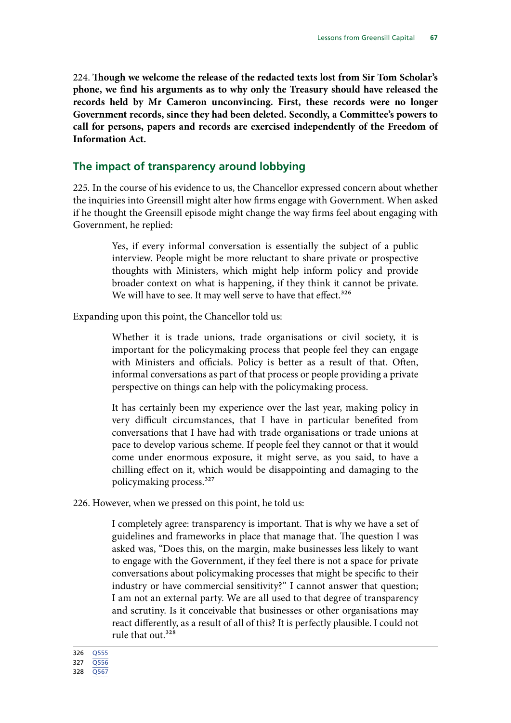224. **Though we welcome the release of the redacted texts lost from Sir Tom Scholar's phone, we find his arguments as to why only the Treasury should have released the records held by Mr Cameron unconvincing. First, these records were no longer Government records, since they had been deleted. Secondly, a Committee's powers to call for persons, papers and records are exercised independently of the Freedom of Information Act.**

# **The impact of transparency around lobbying**

225. In the course of his evidence to us, the Chancellor expressed concern about whether the inquiries into Greensill might alter how firms engage with Government. When asked if he thought the Greensill episode might change the way firms feel about engaging with Government, he replied:

> Yes, if every informal conversation is essentially the subject of a public interview. People might be more reluctant to share private or prospective thoughts with Ministers, which might help inform policy and provide broader context on what is happening, if they think it cannot be private. We will have to see. It may well serve to have that effect.<sup>326</sup>

Expanding upon this point, the Chancellor told us:

Whether it is trade unions, trade organisations or civil society, it is important for the policymaking process that people feel they can engage with Ministers and officials. Policy is better as a result of that. Often, informal conversations as part of that process or people providing a private perspective on things can help with the policymaking process.

It has certainly been my experience over the last year, making policy in very difficult circumstances, that I have in particular benefited from conversations that I have had with trade organisations or trade unions at pace to develop various scheme. If people feel they cannot or that it would come under enormous exposure, it might serve, as you said, to have a chilling effect on it, which would be disappointing and damaging to the policymaking process.327

226. However, when we pressed on this point, he told us:

I completely agree: transparency is important. That is why we have a set of guidelines and frameworks in place that manage that. The question I was asked was, "Does this, on the margin, make businesses less likely to want to engage with the Government, if they feel there is not a space for private conversations about policymaking processes that might be specific to their industry or have commercial sensitivity?" I cannot answer that question; I am not an external party. We are all used to that degree of transparency and scrutiny. Is it conceivable that businesses or other organisations may react differently, as a result of all of this? It is perfectly plausible. I could not rule that out.328

326 [Q555](https://committees.parliament.uk/oralevidence/2293/pdf/)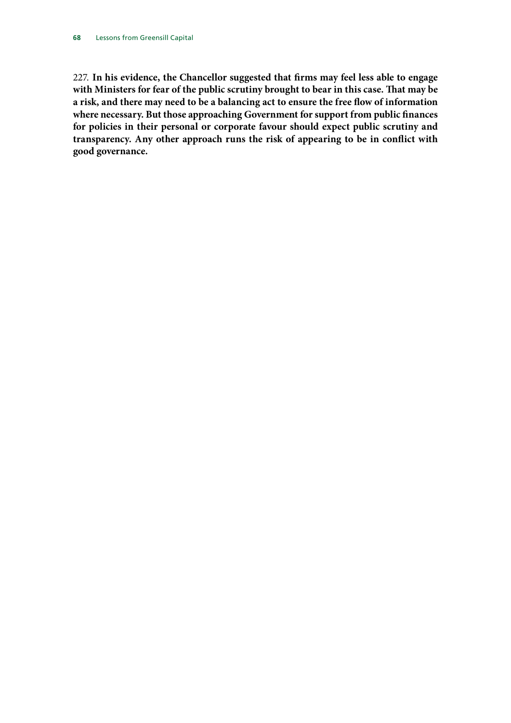227. **In his evidence, the Chancellor suggested that firms may feel less able to engage with Ministers for fear of the public scrutiny brought to bear in this case. That may be a risk, and there may need to be a balancing act to ensure the free flow of information where necessary. But those approaching Government for support from public finances for policies in their personal or corporate favour should expect public scrutiny and transparency. Any other approach runs the risk of appearing to be in conflict with good governance.**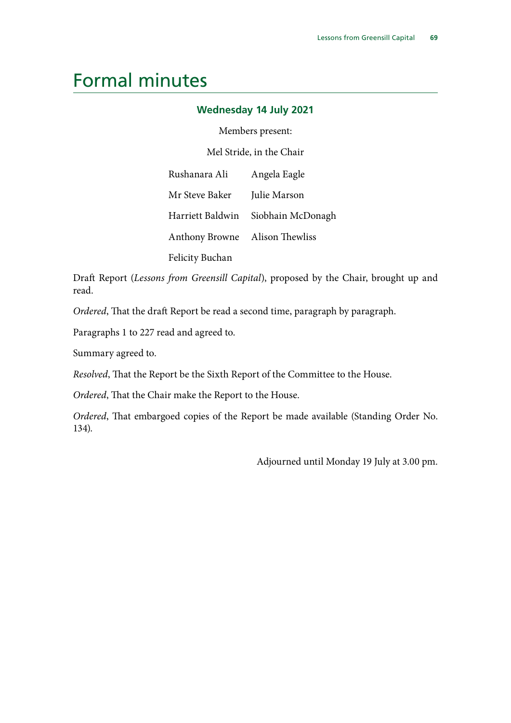# Formal minutes

# **Wednesday 14 July 2021**

Members present:

Mel Stride, in the Chair

| Rushanara Ali                  | Angela Eagle                       |
|--------------------------------|------------------------------------|
| Mr Steve Baker                 | Julie Marson                       |
|                                | Harriett Baldwin Siobhain McDonagh |
| Anthony Browne Alison Thewliss |                                    |
| <b>Felicity Buchan</b>         |                                    |

Draft Report (*Lessons from Greensill Capital*), proposed by the Chair, brought up and read.

*Ordered*, That the draft Report be read a second time, paragraph by paragraph.

Paragraphs 1 to 227 read and agreed to.

Summary agreed to.

*Resolved*, That the Report be the Sixth Report of the Committee to the House.

*Ordered*, That the Chair make the Report to the House.

*Ordered*, That embargoed copies of the Report be made available (Standing Order No. 134).

Adjourned until Monday 19 July at 3.00 pm.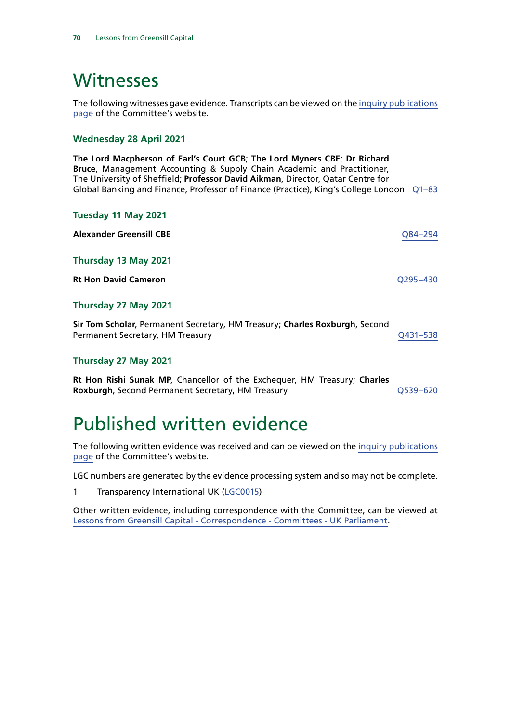# Witnesses

The following witnesses gave evidence. Transcripts can be viewed on the [inquiry publications](https://committees.parliament.uk/work/1193/default/publications/oral-evidence/) [page](https://committees.parliament.uk/work/1193/default/publications/oral-evidence/) of the Committee's website.

#### **Wednesday 28 April 2021**

**The Lord Macpherson of Earl's Court GCB**; **The Lord Myners CBE**; **Dr Richard Bruce**, Management Accounting & Supply Chain Academic and Practitioner, The University of Sheffield; **Professor David Aikman**, Director, Qatar Centre for Global Banking and Finance, Professor of Finance (Practice), King's College London [Q1–83](https://committees.parliament.uk/oralevidence/2138/html/)

#### **Tuesday 11 May 2021**

**Alexander Greensill CBE** [Q84–294](https://committees.parliament.uk/oralevidence/2149/html/) **Thursday 13 May 2021 Rt Hon David Cameron** [Q295–430](https://committees.parliament.uk/oralevidence/2163/html/)

#### **Thursday 27 May 2021**

| Sir Tom Scholar, Permanent Secretary, HM Treasury; Charles Roxburgh, Second |          |
|-----------------------------------------------------------------------------|----------|
| Permanent Secretary, HM Treasury                                            | O431-538 |

#### **Thursday 27 May 2021**

**Rt Hon Rishi Sunak MP**, Chancellor of the Exchequer, HM Treasury; **Charles Roxburgh, Second Permanent Secretary, HM Treasury COS39-620 Q539-620** 

# Published written evidence

The following written evidence was received and can be viewed on the [inquiry publications](https://committees.parliament.uk/work/1193/default/publications/written-evidence/) [page](https://committees.parliament.uk/work/1193/default/publications/written-evidence/) of the Committee's website.

LGC numbers are generated by the evidence processing system and so may not be complete.

1 Transparency International UK ([LGC0015\)](https://committees.parliament.uk/writtenevidence/35594/html/)

Other written evidence, including correspondence with the Committee, can be viewed at [Lessons from Greensill Capital - Correspondence - Committees - UK Parliament.](https://committees.parliament.uk/work/1193/lessons-from-greensill-capital/publications/3/correspondence/)